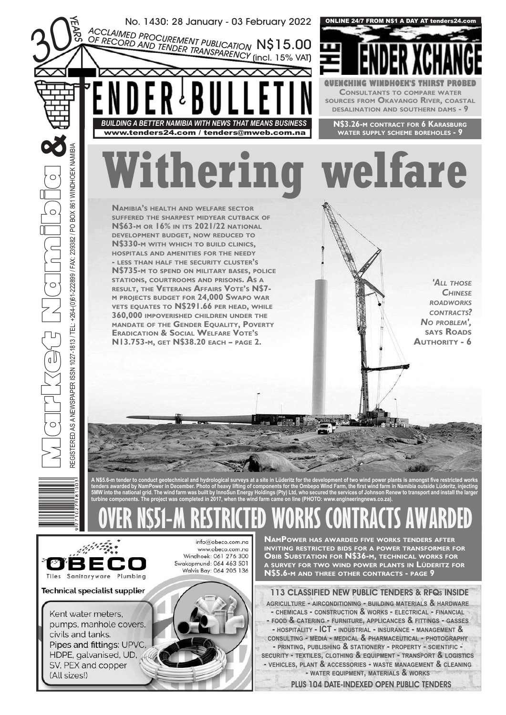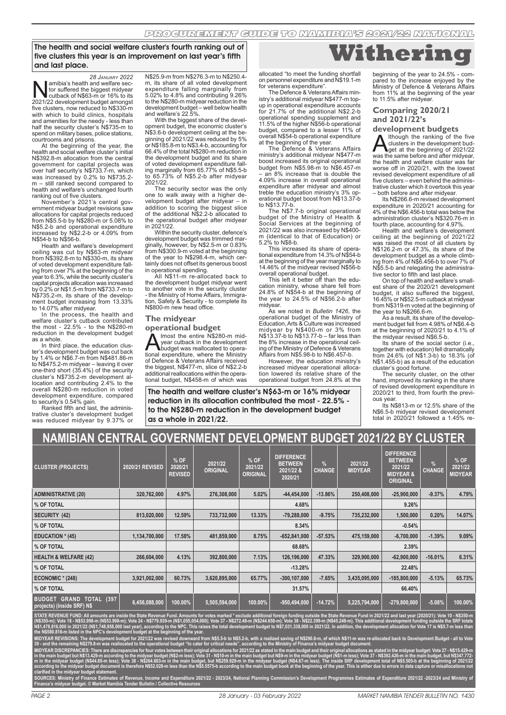The health and social welfare cluster's fourth ranking out of five clusters this year is an improvement on last year's fifth and last place.

*28 JANUARY 2022*<br>-amibia's health and welfare sec amibia's health and welfare sector suffered the biggest midyear<br>2021/22 development budges mor 16% to its<br>2021/22 development budget amongst tor suffered the biggest midyear cutback of N\$63-m or 16% to its 2021/22 development budget amongst five clusters, now reduced to N\$330-m with which to build clinics, hospitals and amenities for the needy - less than half the security cluster's N\$735-m to spend on military bases, police stations,

courtrooms and prisons. At the beginning of the year, the health and social welfare cluster's initial N\$392.8-m allocation from the central government for capital projects was over half security's N\$733.7-m, which was increased by 0.2% to N\$735.2- m – still ranked second compared to health and welfare's unchanged fourth ranking out of five clusters.

November's 2021's central government midyear budget revisions saw allocations for capital projects reduced from N\$5.5-b by N\$280-m or 5.08% to N\$5.2-b and operational expenditure increased by N\$2.2-b or 4.09% from

N\$54-b to N\$56-b. Health and welfare's development ceiling was cut by N\$63-m midyear from N\$392.8-m to N\$330-m, its share of voted development expenditure falling from over 7% at the beginning of the year to 6.3%, while the security cluster's capital projects allocation was increased by 0.2% or N\$1.5-m from N\$733.7-m to N\$735.2-m, its share of the development budget increasing from 13.33% to 14.07% after midyear.

In the process, the health and welfare cluster's cutback contributed the most - 22.5% - to the N\$280-m reduction in the development budget as a whole.

In third place, the education cluster's development budget was cut back by 1.4% or N\$6.7-m from N\$481.86-m to N\$475.2-m midyear – leaving it over one-third short (35.4%) of the security cluster's N\$735.2-m development allocation and contributing 2.4% to the overall N\$280-m reduction in voted development expenditure, compared to security's 0.54% gain. Ranked fifth and last, the adminis-

trative cluster's development budget was reduced midyear by 9.37% or N\$25.9-m from N\$276.3-m to N\$250.4 m, its share of all voted development expenditure falling marginally from 5.02% to 4.8% and contributing 9.26% to the N\$280-m midyear reduction in the development budget – well below health and welfare's 22.5%.

With the biggest share of the devel-opment budget, the economic cluster's N\$3.6-b development ceiling at the beginning of 2021/22 was reduced by 5% or N\$185.8-m to N\$3.4-b, accounting for 66.4% of the total N\$280-m reduction in the development budget and its share of voted development expenditure falling marginally from 65.77% of N\$5.5-b to 65.73% of N\$5.2-b after midyear 2021/22.

The security sector was the only one to walk away with a higher development budget after midyear – in addition to scoring the biggest slice of the additional N\$2.2-b allocated to the operational budget after midyear in 2021/22.

Within the security cluster, defence's development budget was trimmed marginally, however, by N\$2.5-m or 0.83% from N\$300.9-m voted at the beginning of the year to N\$298.4-m, which certainly does not offset its generous boost

in operational spending. All N\$11-m re-allocated back to the development budget midyear went to another vote in the security cluster - the Ministry of Home Affairs, Immigration, Safety & Security - to complete its N\$800-m new head office.

#### **The midyear**

**operational budget**<br> **A** Imost the entire N\$280-m mid- $\sum_{\text{year cutback in the device N$3280-m mid-  
tional exnenditure where the Ministro$ year cutback in the development budget was reallocated to operational expenditure, where the Ministry of Defence & Veterans Affairs received the biggest, N\$477-m, slice of N\$2.2-b additional reallocations within the operational budget, N\$458-m of which was

The health and welfare cluster's N\$63-m or 16% midyear reduction in its allocation contributed the most - 22.5% to the N\$280-m reduction in the development budget as a whole in 2021/22.

**Withering**

allocated "to meet the funding shortfall on personnel expenditure and N\$19.1-m for veterans expenditure".

The Defence & Veterans Affairs ministry's additional midyear N\$477-m topup in operational expenditure accounts for 21.7% of the additional N\$2.2-b operational spending supplement and 11.5% of the higher N\$56-b operational budget, compared to a lesser 11% of overall N\$54-b operational expenditure

at the beginning of the year. The Defence & Veterans Affairs ministry's additional midyear N\$477-m boost increased its original operational budget from N\$5.98-m to N\$6.457-m – an 8% increase that is double the 4.09% increase in overall operational expenditure after midyear and almost treble the education ministry's 3% operational budget boost from N\$13.37-b to N\$13.77-b.

The N\$7.7-b original operational budget of the Ministry of Health & Social Services at the beginning of 2021/22 was also increased by N\$400- m (identical to that of Education) or 5.2% to N\$8-b.

This increased its share of operational expenditure from 14.3% of N\$54-b at the beginning of the year marginally to 14.46% of the midyear revised N\$56-b overall operational budget.

This left it better off than the edu-cation ministry, whose share fell from 24.8% of N\$54-b at the beginning of the year to 24.5% of N\$56.2-b after midyear.

As we noted in *Bulletin 1426*, the operational budget of the Ministry of Education, Arts & Culture was increased midyear by N\$400-m or 3% from N\$13.37-b to N\$13.77-b – far less than the 8% increase in the operational ceiling of the Ministry of Defence & Veterans Affairs from N\$5.98-b to N\$6.457-b.

However, the education ministry's increased midyear operational allocation lowered its relative share of the operational budget from 24.8% at the

beginning of the year to 24.5% - com-pared to the increase enjoyed by the Ministry of Defence & Veterans Affairs from 11% at the beginning of the year to 11.5% after midyear.

#### **Comparing 2020/21 and 2021/22's**

**development budgets**

**A** though the ranking of the five diget at the development bud-<br>get at the beginning of 2021/22<br>was the same before and after midyear, Ithough the ranking of the five<br>clusters in the development budthe health and welfare cluster was far worse off in 2020/21, with the lowest revised development expenditure of all five clusters – even behind the administrative cluster which it overtook this year – both before and after midyear.

Its N\$266.6-m revised development expenditure in 2020/21 accounting for 4% of the N\$6.456-b total was below the administration cluster's N\$320.76-m in fourth place, accounting for 4.97%.

Health and welfare's development ceiling at the beginning of 2021/22 was raised the most of all clusters by N\$126.2-m or 47.3%, its share of the development budget as a whole climbing from 4% of N\$6.456-b to over 7% of N\$5.5-b and relegating the administra-tive sector to fifth and last place.

On top of health and welfare's small-est share of the 2020/21 development budget, it also suffered the biggest, 16.45% or N\$52.5-m cutback at midyear from N\$319-m voted at the beginning of the year to N\$266.6-m.

As a result, its share of the development budget fell from 4.98% of N\$6.4-b at the beginning of 2020/21 to 4.1% of the midyear revised N\$6.5-b.

Its share of the social sector (i.e., together with education) fell dramatically from 24.6% (of N\$1.3-b) to 18.3% (of N\$1.455-b) as a result of the education

cluster's good fortune. The security cluster, on the other hand, improved its ranking in the share of revised development expenditure in 2020/21 to third, from fourth the previous year.

Its N\$813-m or 12.5% share of the N\$6.5-b midyear revised development total in 2020/21 followed a 1.45% re-

| NAMIBIAN CENTRAL GOVERNMENT DEVELOPMENT BUDGET 2021/22 BY CLUSTER                |                 |                                     |                            |                                    |                                                             |                       |                           |                                                                                    |                                |                                   |
|----------------------------------------------------------------------------------|-----------------|-------------------------------------|----------------------------|------------------------------------|-------------------------------------------------------------|-----------------------|---------------------------|------------------------------------------------------------------------------------|--------------------------------|-----------------------------------|
| <b>CLUSTER (PROJECTS)</b>                                                        | 2020/21 REVISED | $%$ OF<br>2020/21<br><b>REVISED</b> | 2021/22<br><b>ORIGINAL</b> | % OF<br>2021/22<br><b>ORIGINAL</b> | <b>DIFFERENCE</b><br><b>BETWEEN</b><br>2021/22 &<br>2020/21 | $\%$<br><b>CHANGE</b> | 2021/22<br><b>MIDYEAR</b> | <b>DIFFERENCE</b><br><b>BETWEEN</b><br>2021/22<br><b>MIDYEAR &amp;</b><br>ORIGINAL | $\frac{9}{6}$<br><b>CHANGE</b> | % OF<br>2021/22<br><b>MIDYEAR</b> |
| <b>ADMINISTRATIVE (20)</b>                                                       | 320,762,000     | 4.97%                               | 276,308,000                | 5.02%                              | $-44,454,000$                                               | $-13.86%$             | 250,408,000               | $-25,900,000$                                                                      | $-9.37%$                       | 4.79%                             |
| % OF TOTAL                                                                       |                 |                                     |                            |                                    | 4.68%                                                       |                       |                           | 9.26%                                                                              |                                |                                   |
| SECURITY (42)                                                                    | 813,020,000     | 12.59%                              | 733,732,000                | 13.33%                             | $-79,288,000$                                               | $-9.75%$              | 735,232,000               | 1,500,000                                                                          | 0.20%                          | 14.07%                            |
| % OF TOTAL                                                                       |                 |                                     |                            |                                    | 8.34%                                                       |                       |                           | $-0.54%$                                                                           |                                |                                   |
| <b>EDUCATION * (45)</b>                                                          | 1,134,700,000   | 17.58%                              | 481,859,000                | 8.75%                              | $-652,841,000$                                              | $-57.53%$             | 475,159,000               | $-6,700,000$                                                                       | $-1.39%$                       | 9.09%                             |
| % OF TOTAL                                                                       |                 |                                     |                            |                                    | 68.68%                                                      |                       |                           | 2.39%                                                                              |                                |                                   |
| <b>HEALTH &amp; WELFARE (42)</b>                                                 | 266,604,000     | 4.13%                               | 392,800,000                | 7.13%                              | 126,196,000                                                 | 47.33%                | 329,900,000               | $-62,900,000$                                                                      | $-16.01%$                      | 6.31%                             |
| % OF TOTAL                                                                       |                 |                                     |                            |                                    | $-13.28%$                                                   |                       |                           | 22.48%                                                                             |                                |                                   |
| <b>ECONOMIC * (248)</b>                                                          | 3,921,002,000   | 60.73%                              | 3,620,895,000              | 65.77%                             | $-300, 107, 000$                                            | $-7.65%$              | 3,435,095,000             | $-185,800,000$                                                                     | $-5.13%$                       | 65.73%                            |
| % OF TOTAL                                                                       |                 |                                     |                            |                                    | 31.57%                                                      |                       |                           | 66.40%                                                                             |                                |                                   |
| <b>GRAND</b><br><b>TOTAL (397</b><br><b>BUDGET</b><br>projects) (inside SRF) N\$ | 6,456,088,000   | 100.00%                             | 5,505,594,000              | 100.00%                            | -950,494,000                                                | $-14.72%$             | 5,225,794,000             | $-279,800,000$                                                                     | $-5.08%$                       | 100.00%                           |

**STATE REVENUE FUND: All amounts are inside the State Revenue Fund. Amounts for votes marked \* exclude additional foreign funding outside the State Revenue Fund in 2021/22 and last year (2020/21): Vote 10 - N\$350-m (N\$350-m); Vote 18 - N\$53.998-m (N\$53.998-m); Vote 24 - N\$779.939-m (N\$1,055,054,000); Vote 37 - N\$272.48-m (N\$244.658-m); Vote 38 - N\$22.399-m (N\$45.248-m). This additional development funding outside the SRF totals**  N\$1,478,816,000 in 2021/22 (N\$1,748,958,000 last year), according to the NPC. This raises the total development budget to N\$7,031,338,000 in 2021/22. In addition, the development allocation for Vote 17 is N\$5.7-m less than **the N\$580.818-m listed in the NPC's development budget at the beginning of the year.**

**MIDYEAR REVISIONS: The development budget for 2021/22 was revised downward from N\$5.5-b to N\$5.2-b, with a realized saving of N\$290.8-m, of which N\$11-m was re-allocated back to Development Budget - all to Vote 39 - and the remaining N\$279.8-m was reallocated to the operational budget "to cater for critical needs", according to the Ministry of Finance's midyear budget document.** 

MIDYEAR DISCREPANCIES: There are discrepancies for four votes between their original allocations for 2021/22 as stated in the main budget and their original allocations as stated in the midyear budget: Vote 27 - N\$15.429-m in the main budget but N\$13.429-m according to the midyear budget (N\$2-m less); Vote 31 - N\$10-m in the main budget but N\$9-m in the midyear budget (N\$1-m less); Vote 37 - N\$392.426-m in the main budget, but N\$347.772**m in the midyear budget (N\$44.65-m less); Vote 38 - N\$264.603-m in the main budget, but N\$259.929-m in the midyear budget (N\$4.67-m less). The inside SRF development total of N\$5.505-b at the beginning of 2021/22**  according to the midyear budget document is therefore N\$52.028-m less than the N\$5.5575-b according to the main budget book at the beginning of the year. This is either due to errors in data capture or misallocations not **clarified in the midyear budget statement.**

re 2021/22 - 2023/24, National Planning Commission's Development Programmes Estimates of Expenditure 2021/22 -2023/24 and Mi **Finance's midyear budget. © Market Namibia Tender Bulletin / Collective Resources**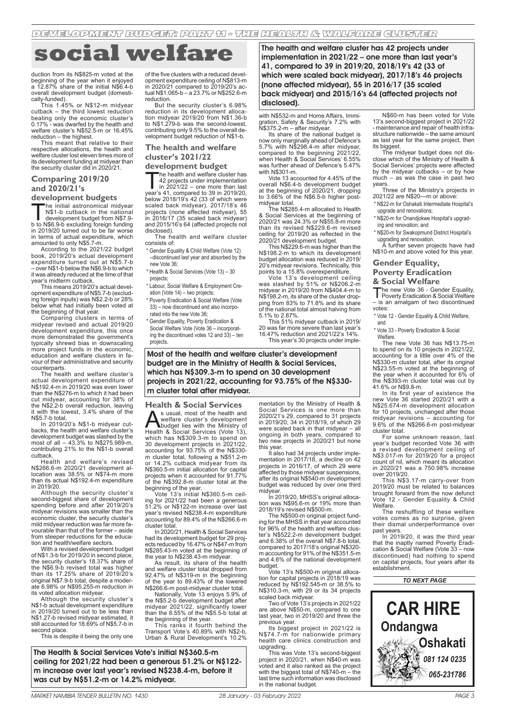DEVELOPMENT BUDGET: PART 11 - THE HEALTH & WALFARE CLUSTER

# **social welfare**

duction from its N\$825-m voted at the beginning of the year when it enjoyed a 12.87% share of the initial N\$6.4-b overall development budget (domestically-funded).

This 1.45% or N\$12-m midyear cutback – the third lowest reduction beating only the economic cluster's 0.17% - was dwarfed by the health and welfare cluster's N\$52.5-m or 16.45% reduction – the highest.

This meant that relative to their respective allocations, the health and welfare cluster lost eleven times more of its development funding at midyear than the security cluster did in 2020/21.

#### **Comparing 2019/20 and 2020/21's**

**development budgets**

The initial astronomical midyear<br>
N\$1-b cutback in the national<br>
b to N\$6.9-b excluding foreign funding<br>
in 2019/20 turned out to be far worse N\$1-b cutback in the national development budget from N\$7.9 in terms of actual expenditure, which amounted to only N\$5.7-m.

According to the 2021/22 budget book, 2019/20's actual development expenditure turned out at N\$5.7-b – over N\$1-b below the N\$6.9-b to which it was already reduced at the time of that year's midterm cutback.

This means 2019/20's actual development expenditure of N\$5.7-b (excluding foreign inputs) was N\$2.2-b or 28% below what had initially been voted at the beginning of that year.

Comparing clusters in terms of midyear revised and actual 2019/20 development expenditure, this once more demonstrated the government's typically shrewd bias in downscaling more project funds in the economic, education and welfare clusters in favour of their administrative and security

counterparts. The health and welfare cluster's actual development expenditure of N\$192.4-m in 2019/20 was even lower than the N\$276-m to which it had been cut midyear, accounting for 38% of the N\$2.2-b overall reduction, leaving it with the lowest, 3.4% share of the N\$5.7-b total.

In 2019/20's N\$1-b midyear cutbacks, the health and welfare cluster's development budget was slashed by the most of all – 43.3% to N\$275.989-m, contributing 21% to the N\$1-b overall cutback.

Health and welfare's revised N\$266.6-m 2020/21 development al-location was 38.5% or N\$74-m more than its actual N\$192.4-m expenditure in 2019/20.

Although the security cluster's second-biggest share of development spending before and after 2019/20's midyear revisions was smaller than the economic cluster, the security cluster's mild midyear reduction was far more favourable than that of the former – aside from steeper reductions for the education and health/welfare sectors.

With a revised development budget of N\$1.3-b for 2019/20 in second place, the security cluster's 18.37% share of the N\$6.9-b revised total was higher than its 17.25% share of 2019/20's original N\$7.9-b total, despite a moderate 6.98% or N\$95.255-m reduction in its voted allocation midyear.

Although the security cluster's N\$1-b actual development expenditure in 2019/20 turned out to be less than N\$1.27-b revised midyear estimated, it still accounted for 18.69% of N\$5.7-b in second place

This is despite it being the only one

of the five clusters with a reduced development expenditure ceiling of N\$813-m in 2020/21 compared to 2019/20's actual N\$1.065-b – a 23.7% or N\$252.6-m reduction.

But the security cluster's 6.98% reduction in its development alloca-tion midyear 2019/20 from N\$1.36-b to N\$1.279-b was the second-lowest, contributing only 9.5% to the overall development budget reduction of N\$1-b.

#### **The health and welfare cluster's 2021/22**

**development budget**<br>The health and welfare cluster has The health and welfare cluster has<br>42 projects under implementation<br>in 2021/22 – one more than last<br>vear's 41, compared to 39 in 2019/20. 42 projects under implementation

in 2021/22 – one more than last year's 41, compared to 39 in 2019/20, below 2018/19's 42 (33 of which were scaled back midyear), 2017/18's 46 projects (none affected midyear), 55 in 2016/17 (35 scaled back midyear) and 2015/16's 64 (affected projects not disclosed).

The health and welfare cluster consists of:

Gender Equality & Child Welfare (Vote 12) –discontinued last year and absorbed by the new Vote 36;

\* Health & Social Services (Vote 13) – 30 projects;

\* Labour, Social Welfare & Employment Creation (Vote 14) – two projects;

- \* Poverty Eradication & Social Welfare (Vote 33) – now discontinued and also incorporated into the new Vote 36;
- \* Gender Equality, Poverty Eradication & Social Welfare Vote (Vote 36 – incorporating the discontinued votes 12 and 33) – ten projects.

The health and welfare cluster has 42 projects under implementation in 2021/22 – one more than last year's 41, compared to 39 in 2019/20, 2018/19's 42 (33 of which were scaled back midyear), 2017/18's 46 projects (none affected midyear), 55 in 2016/17 (35 scaled back midyear) and 2015/16's 64 (affected projects not disclosed).

with N\$532-m and Home Affairs, Immigration, Safety & Security's 7.2% with N\$375.2-m – after midyear.

Its share of the national budget is now only marginally ahead of Defence's 5.7% with N\$298.4-m after midyear, compared to the beginning 2021/22, when Health & Social Services' 6.55% was further ahead of Defence's 5.47% with N\$301-m.

Vote 13 accounted for 4.45% of the overall N\$6.4-b development budget at the beginning of 2020/21, dropping to 3.66% of the N\$6.5-b higher post-midyear total.

The N\$285.4-m allocated to Health & Social Services at the beginning of 2020/21 was 24.3% or N\$55.8-m more than its revised N\$229.6-m revised ceiling for 2019/20 as reflected in the 2020/21 development budget.

This N\$229.6-m was higher than the N\$198.2-m to which its development budget allocation was reduced in 2019/ 20's midyear revisions. Technically, this points to a 15.8% overexpenditure.

Vote 13's development ceiling was slashed by 51% or N\$206.2-m midyear in 2019/20 from N\$404.4-m to N\$198.2-m, its share of the cluster dropping from 83% to 71.8% and its share of the national total almost halving from 5.1% to 2.87%.

This 51% midyear cutback in 2019/ 20 was far more severe than last year's 16.47% reduction and 2021/22's 14%.

This year's 30 projects under imple-

Most of the health and welfare cluster's development budget are in the Ministry of Health & Social Services, which has N\$309.3-m to spend on 30 development projects in 2021/22, accounting for 93.75% of the N\$330 m cluster total after midyear.

**Health & Social Services**<br>**A** susual most of the health and

**AS** usual, most of the health and welfare cluster's development<br>budget lies with the Ministry of<br>Health & Social Services (Vote 13), welfare cluster's development which has N\$309.3-m to spend on 30 development projects in 2021/22, accounting for 93.75% of the N\$330 m cluster total, following a N\$51.2-m or 14.2% cutback midyear from its N\$360.5-m initial allocation for capital projects when it accounted for 91.77% of the N\$392.8-m cluster total at the beginning of the year.

Vote 13's initial N\$360.5-m ceil-ing for 2021/22 had been a generous 51.2% or N\$122-m increase over last year's revised N\$238.4-m expenditure accounting for 89.4% of the N\$266.6-m cluster total.

In 2020/21, Health & Social Services had its development budget for 29 proj-ects reduced by 16.47% or N\$47-m from N\$285.43-m voted at the beginning of the year to N\$238.43-m midyear.

As result, its share of the health and welfare cluster total dropped from 92.47% of N\$319-m in the beginning of the year to 89.43% of the lowered N\$266.6-m post-midyear cluster total.

Nationally, Vote 13 enjoys 5.9% of the N\$5.2-b development budget after midyear 2021/22, significantly lower than the 6.55% of the N\$5.5-b total at the beginning of the year.

This ranks it fourth behind the Transport Vote's 40.89% with N\$2-b, Urban & Rural Development's 10.2%

The Health & Social Services Vote's initial N\$360.5-m ceiling for 2021/22 had been a generous 51.2% or N\$122 m increase over last year's revised N\$238.4-m, before it was cut by N\$51.2-m or 14.2% midyear.

mentation by the Ministry of Health & Social Services is one more than 2020/21's 29, compared to 31 projects in 2019/20, 34 in 2018/19, of which 29 were scaled back in that midyear – all ongoing in both years, compared to two new projects in 2020/21 but none this year.

It also had 34 projects under imple-mentation in 2017/18, a decline on 42 projects in 2016/17, of which 29 were affected by those midyear suspensions, after its original N\$540-m development budget was reduced by over one third midyear

In 2019/20, MHSS's original alloca-tion was N\$95.6-m or 19% more than 2018/19's revised N\$500-m.

The N\$500-m original project fund-ing for the MHSS in that year accounted for 96% of the health and welfare cluster's N\$522.2-m development budget and 6.38% of the overall N\$7.8-b total, compared to 2017/18's original N\$320 m accounting for 91% of the N\$351.5-m and 4.6% of the national development

budget. Vote 13's N\$500-m original allocation for capital projects in 2018/19 was reduced by N\$192.545-m or 38.5% to N\$310.3-m, with 29 or its 34 projects

scaled back midyear. Two of Vote 13's projects in 2021/22 are above N\$50-m, compared to one last year, two in 2019/20 and three the previous year.

Its biggest project in 2021/22 is N\$74.7-m for nationwide primary health care clinics construction and upgrading. This was Vote 13's second-biggest

project in 2020/21, when N\$40-m was voted and it also ranked as the project with the biggest total of N\$740-m – the last time such information was disclosed in the national budget.

N\$60-m has been voted for Vote 13's second-biggest project in 2021/22 - maintenance and repair of health infrastructure nationwide – the same amount as last year for the same project, then its biggest.

The midyear budget does not disclose which of the Ministry of Health & Social Services' projects were affected by the midyear cutbacks – or by how much – as was the case in past two years.

Three of the Ministry's projects in 2021/22 are N\$20—m or above:

- \* N\$22-m for Oshakati Intermediate Hospital's upgrade and renovations;
- \* N\$20-m for Onandjokwe Hospital's upgrading and renovation; and
- \* N\$20-m for Swakopmund District Hospital's upgrading and renovation.

A further seven projects have had N\$10-m and above voted for this year.

**Gender Equality,** 

## **Poverty Eradication**

**& Social Welfare**<br>The new Vote 36 - Gender Fouality The new Vote 36 - Gender Equality,<br>
Poverty Eradication & Social Welfare – is an amalgam of two discontinued votes:

\* Vote 12 - Gender Equality & Child Welfare; and

\* Vote 33 - Poverty Eradication & Social **Welfare** 

The new Vote 36 has N\$13.75-m to spend on its 10 projects in 2021/22, accounting for a little over 4% of the N\$330-m cluster total, after its original N\$23.55-m voted at the beginning of the year when it accounted for 6% of the N\$393-m cluster total was cut by 41.6% or N\$9.8-m.

In its first year of existence the new Vote 36 started 2020/21 with a N\$25.674-m development allocation for 10 projects, unchanged after those midyear revisions – accounting for 9.6% of the N\$266.6-m post-midyear cluster total.

For some unknown reason, last year's budget recorded Vote 36 with a revised development ceiling of N\$3.017-m for 2019/20 for a project count of nil, which meant its allocation in 2020/21 was a 750.98% increase over 2019/20.

This N\$3.17-m carry-over from 2019/20 must be related to balances brought forward from the now defunct Vote 12 - Gender Equality & Child Welfare.

The reshuffling of these welfare votes comes as no surprise, given their dismal underperformance over past years.

In 2019/20, it was the third year that the inaptly named Poverty Eradication & Social Welfare (Vote 33 – now discontinued) had nothing to spend on capital projects, four years after its establishment.

*TO NEXT PAGE*

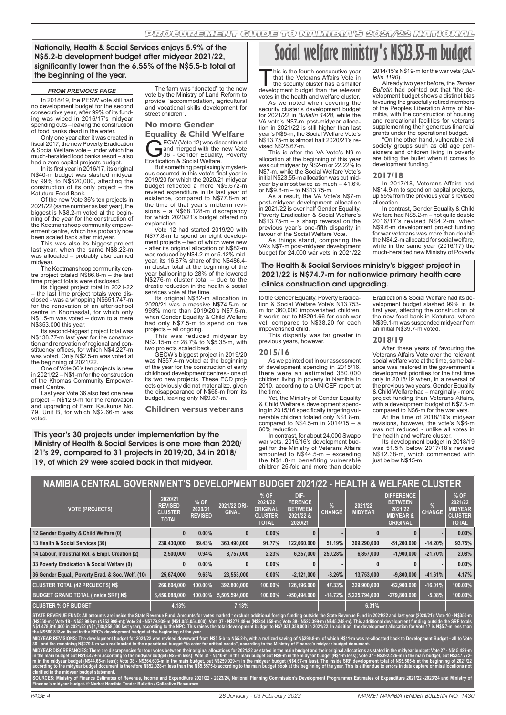Nationally, Health & Social Services enjoys 5.9% of the N\$5.2-b development budget after midyear 2021/22, significantly lower than the 6.55% of the N\$5.5-b total at the beginning of the year.

In 2018/19, the PESW vote still had no development budget for the second consecutive year, after 99% of its funding was wiped in 2016/17's midyear spending cuts – leaving the construction of food banks dead in the water.

Only one year after it was created in fiscal 2017, the new Poverty Eradication & Social Welfare vote – under which the much-heralded food banks resort – also had a zero capital projects budget. In its first year in 2016/17, its original

N\$40-m budget was slashed midyear by 99% to N\$520,000, affecting the construction of its only project – the Katutura Food Bank.

Of the new Vote 36's ten projects in 2021/22 (same number as last year), the biggest is N\$8.2-m voted at the beginning of the year for the construction of the Keetmanshoop community empow-erment centre, which has probably now been scaled back after midyear.

This was also its biggest project last year, when the same N\$8.22-m was allocated – probably also canned midyear.

The Keetmanshoop community cen-tre project totaled N\$86.8-m – the last time project totals were disclosed.

Its biggest project total in 2021-22 – the last time project totals were disclosed - was a whopping N\$651.747-m for the renovation of an after-school centre in Khomasdal, for which only N\$1.5-m was voted – down to a mere

N\$353,000 this year. Its second-biggest project total was N\$138.77-m last year for the construction and renovation of regional and constituency offices, for which N\$4.227-m was voted. Only N\$2.5-m was voted at the beginning of 2021/22.

One of Vote 36's ten projects is new in 2021/22 – N\$1-m for the construction of the Khomas Community Empowerment Centre.

Last year Vote 36 also had one new project – N\$12.9-m for the renovation and upgrading of Farm Kaukurus No. 79, Unit B, for which N\$2.66-m was voted.

**FROM PREVIOUS PAGE** The farm was "donated" to the new vote by the Ministry of Land Reform to provide "accommodation, agricultural and vocational skills development for street children".

#### **No more Gender**

**Equality & Child Welfare**<br>ECW (Vote 12) was discontinued ECW (Vote 12) was discontinued<br>and merged with the new Vote<br>Fradication & Social Welfare and merged with the new Vote 36 - Gender Equality, Poverty Eradication & Social Welfare.

But something perplexingly mysterious occurred in this vote's final year in 2019/20 for which the 2020/21 midyear budget reflected a mere N\$9.672-m revised expenditure in its last year of existence, compared to N\$77.8-m at the time of that year's midterm revisions – a N\$68.128-m discrepancy for which 2020/21's budget offered no

explanation. Vote 12 had started 2019/20 with N\$77.8-m to spend on eight development projects – two of which were new - after its original allocation of N\$82-m was reduced by N\$4.2-m or 5.12% mid-year, its 16.87% share of the N\$486.4 m cluster total at the beginning of the year ballooning to 28% of the lowered N\$276-m cluster total – due to the drastic reduction in the health & social services vote at the time.

Its original N\$82-m allocation in 2020/21 was a massive N\$74.5-m or 993% more than 2019/20's N\$7.5-m, when Gender Equality & Child Welfare had only N\$7.5-m to spend on five projects – all ongoing.

This was reduced midyear by N\$2.15-m or 28.7% to N\$5.35-m, with two projects scaled back.

GECW's biggest project in 2019/20 was N\$57.4-m voted at the beginning of the year for the construction of early childhood development centres - one of its two new projects. These ECD projects obviously did not materialize, given the disappearance of N\$68-m from its budget, leaving only N\$9.67-m.

**Children versus veterans**

This year's 30 projects under implementation by the Ministry of Health & Social Services is one more than 2020/ 21's 29, compared to 31 projects in 2019/20, 34 in 2018/ 19, of which 29 were scaled back in that midyear.

# **Social welfare ministry's N\$23.55-m budget**

This is the fourth consecutive year<br>that the Veterans Affairs Vote in<br>development budget than the relevant that the Veterans Affairs Vote in the security cluster has a smaller development budget than the relevant votes in the health and welfare cluster.

As we noted when covering the security cluster's development budget for 2021/22 in *Bulletin 1428*, while the VA vote's N\$7-m post-midyear allocation in 2021/22 is still higher than last year's N\$5-m, the Social Welfare Vote's N\$13.75-m is almost half 2020/21's revised N\$25.67-m.

This is after the VA Vote's N9-m allocation at the beginning of this year was cut midyear by N\$2-m or 22.22% to N\$7-m, while the Social Welfare Vote's initial N\$23.55-m allocation was cut midyear by almost twice as much – 41.6% or N\$9.8-m – to N\$13.75-m.

As a result, the VA Vote's N\$7-m post-midyear development allocation in 2021/22 is over half Gender Equality, Poverty Eradication & Social Welfare's N\$13.75-m – a sharp reversal on the previous year's one-fifth disparity in favour of the Social Welfare Vote.

As things stand, comparing the VA's N\$7-m post-midyear development budget for 24,000 war vets in 2021/22

2014/15's N\$19-m for the war vets (*Bulletin 1190*).

Already two year before, the *Tender Bulletin* had pointed out that "the development budget shows a distinct bias favouring the gracefully retired members of the Peoples Liberation Army of Namibia, with the construction of housing and recreational facilities for veterans supplementing their generous financial grants under the operational budget.

"On the other hand, vulnerable civil society groups such as old age pensioners and children living in poverty are biting the bullet when it comes to development funding."

#### **2017/18**

In 2017/18, Veterans Affairs had N\$14.9-m to spend on capital projects, up 55% from the previous year's revised allocation.

In contrast, Gender Equality & Child Welfare had N\$8.2-m – not quite double 2016/17's revised N\$4.2-m, when N\$9.6-m development project funding for war veterans was more than double the N\$4.2-m allocated for social welfare while in the same year (2016/17) the much-heralded new Ministry of Poverty

The Health & Social Services ministry's biggest project in 2021/22 is N\$74.7-m for nationwide primary health care clinics construction and upgrading.

to the Gender Equality, Poverty Eradication & Social Welfare Vote's N13.753 m for 360,000 impoverished children, it works out to N\$291.66 for each war vet, compared to N\$38.20 for each impoverished child.

This disparity was far greater in previous years, however.

#### **2015/16**

As we pointed out in our assessment of development spending in 2015/16, there were an estimated 360,000 children living in poverty in Namibia in 2010, according to a UNICEF report at the time.

Yet, the Ministry of Gender Equality & Child Welfare's development spend-ing in 2015/16 specifically targeting vul-nerable children totaled only N\$1.8-m, compared to N\$4.5-m in  $2014/15 - a$ 60% reduction.

In contrast, for about 24,000 Swapo war vets, 2015/16's development budget for the Ministry of Veterans Affairs amounted to N\$44.5-m – exceeding the N\$1.8-m benefiting vulnerable children 25-fold and more than double

Eradication & Social Welfare had its development budget slashed 99% in its first year, affecting the construction of the new food bank in Katutura, where N\$39.1-m was suspended midyear from an initial N\$39.7-m voted.

#### **2018/19**

After these years of favouring the Veterans Affairs Vote over the relevant social welfare vote at the time, some balance was restored in the government's development priorities for the first time only in 2018/19 when, in a reversal of the previous two years, Gender Equality & Child Welfare had – marginally - more project funding than Veterans Affairs, with a development budget of N\$7.5-m compared to N\$6-m for the war vets.

At the time of 2018/19's midyear revisions, however, the vote's N\$6-m was not reduced - unlike all votes in the health and welfare cluster.

Its development budget in 2018/19 was 51.5% below 2017/18's revised N\$12.38-m, which commenced with just below N\$15-m.

# **NAMIBIA CENTRAL GOVERNMENT'S DEVELOPMENT BUDGET 2021/22 - HEALTH & WELFARE CLUSTER**

| INAMIDIA CENTRAL GOVERNMENT<br>LALIII Q WLLI ANL CLUOTLN |                                                             |                                   |                              |                                                                        |                                                                  |               |                           |                                                                                           |               |                                                                     |
|----------------------------------------------------------|-------------------------------------------------------------|-----------------------------------|------------------------------|------------------------------------------------------------------------|------------------------------------------------------------------|---------------|---------------------------|-------------------------------------------------------------------------------------------|---------------|---------------------------------------------------------------------|
| <b>VOTE (PROJECTS)</b>                                   | 2020/21<br><b>REVISED</b><br><b>CLUSTER</b><br><b>TOTAL</b> | % OF<br>2020/21<br><b>REVISED</b> | 2021/22 ORI-<br><b>GINAL</b> | $%$ OF<br>2021/22<br><b>ORIGINAL</b><br><b>CLUSTER</b><br><b>TOTAL</b> | DIF-<br><b>FERENCE</b><br><b>BETWEEN</b><br>2021/22 &<br>2020/21 | <b>CHANGE</b> | 2021/22<br><b>MIDYEAR</b> | <b>DIFFERENCE</b><br><b>BETWEEN</b><br>2021/22<br><b>MIDYEAR &amp;</b><br><b>ORIGINAL</b> | <b>CHANGE</b> | % OF<br>2021/22<br><b>MIDYEAR</b><br><b>CLUSTER</b><br><b>TOTAL</b> |
| 12 Gender Equality & Child Welfare (0)                   |                                                             | $0.00\%$                          | 0                            | $0.00\%$                                                               |                                                                  |               |                           |                                                                                           |               | $0.00\%$                                                            |
| 13 Health & Social Services (30)                         | 238,430,000                                                 | 89.43%                            | 360.490.000                  | 91.77%                                                                 | 122.060.000                                                      | 51.19%        | 309.290.000               | $-51,200,000$                                                                             | $-14.20%$     | 93.75%                                                              |
| 14 Labour, Industrial Rel. & Empl. Creation (2)          | 2,500,000                                                   | 0.94%                             | 8,757,000                    | 2.23%                                                                  | 6,257,000                                                        | 250.28%       | 6.857.000                 | $-1,900,000$                                                                              | $-21.70%$     | 2.08%                                                               |
| 33 Poverty Eradication & Social Welfare (0)              |                                                             | $0.00\%$                          | 0                            | $0.00\%$                                                               |                                                                  |               |                           |                                                                                           |               | $0.00\%$                                                            |
| 36 Gender Equal., Poverty Erad. & Soc. Welf. (10)        | 25.674.000                                                  | 9.63%                             | 23.553.000                   | 6.00%                                                                  | $-2,121,000$                                                     | $-8.26%$      | 13.753.000                | $-9,800,000$                                                                              | $-41.61%$     | 4.17%                                                               |
| <b>CLUSTER TOTAL (42 PROJECTS) NS</b>                    | 266,604,000                                                 | 100.00%                           | 392,800,000                  | 100.00%                                                                | 126.196.000                                                      | 47.33%        | 329,900,000               | $-62,900,000$                                                                             | $-16.01%$     | 100.00%                                                             |
| <b>BUDGET GRAND TOTAL (inside SRF) N\$</b>               | 6,456,088,000                                               | 100.00%                           | 5,505,594,000                | 100.00%                                                                | -950,494,000                                                     | $-14.72%$     | 5,225,794,000             | $-279,800,000$                                                                            | $-5.08%$      | 100.00%                                                             |
| <b>CLUSTER % OF BUDGET</b>                               | 4.13%                                                       |                                   | 7.13%                        |                                                                        |                                                                  |               | 6.31%                     |                                                                                           |               |                                                                     |

**STATE REVENUE FUND: All amounts are inside the State Revenue Fund. Amounts for votes marked \* exclude additional foreign funding outside the State Revenue Fund in 2021/22 and last year (2020/21): Vote 10 - N\$350-m (N\$350-m); Vote 18 - N\$53.998-m (N\$53.998-m); Vote 24 - N\$779.939-m (N\$1,055,054,000); Vote 37 - N\$272.48-m (N\$244.658-m); Vote 38 - N\$22.399-m (N\$45.248-m). This additional development funding outside the SRF totals**  N\$1,478,816,000 in 2021/22 (N\$1,748,958,000 last year), according to the NPC. This raises the total development budget to N\$7,031,338,000 in 2021/22. In addition, the development allocation for Vote 17 is N\$5.7-m less than **the N\$580.818-m listed in the NPC's development budget at the beginning of the year.**

**MIDYEAR REVISIONS: The development budget for 2021/22 was revised downward from N\$5.5-b to N\$5.2-b, with a realized saving of N\$290.8-m, of which N\$11-m was re-allocated back to Development Budget - all to Vote 39 - and the remaining N\$279.8-m was reallocated to the operational budget "to cater for critical needs", according to the Ministry of Finance's midyear budget document.** 

MIDYEAR DISCREPANCIES: There are discrepancies for four votes between their original allocations for 2021/22 as stated in the main budget and their original allocations as stated in the midyear budget: Vote 27 - N\$15.429-m in the main budget but N\$13.429-m according to the midyear budget (N\$2-m less); Vote 31 - N\$10-m in the main budget but N\$9-m in the midyear budget (N\$1-m less); Vote 37 - N\$392.426-m in the main budget, but N\$347.772**m in the midyear budget (N\$44.65-m less); Vote 38 - N\$264.603-m in the main budget, but N\$259.929-m in the midyear budget (N\$4.67-m less). The inside SRF development total of N\$5.505-b at the beginning of 2021/22**  idyear budget (NS2-m less); Vote 31 - NS10-m in the main budget but NS9-m in the midyear budget (ÑS1-m less); Vote 37 - NS392.426-m in the main budget, but N\$347.772<br>N\$264.603-m in the main budget, but N\$259.929-m in the **clarified in the midyear budget statement.**

re 2021/22 - 2023/24, National Planning Commission's Development Programmes Estimates of Expenditure 2021/22 -2023/24 and Mi **Finance's midyear budget. © Market Namibia Tender Bulletin / Collective Resources**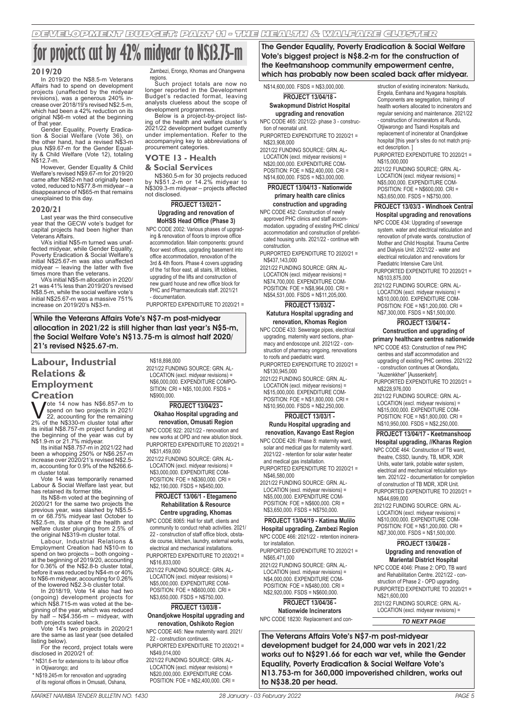# **for projects cut by 42% midyear to N\$13.75-m**

### **2019/20**

In 2019/20 the N\$8.5-m Veterans Affairs had to spend on development projects (unaffected by the midyear revisions), was a generous 240% in-crease over 2018/19's revised N\$2.5-m, which had been a 42% reduction on its original N\$6-m voted at the beginning of that year.

Gender Equality, Poverty Eradication & Social Welfare (Vote 36), on the other hand, had a revised N\$3-m plus N\$9.67-m for the Gender Equality & Child Welfare (Vote 12), totaling N\$12.7-m.

However, Gender Equality & Child Welfare's revised N\$9.67-m for 2019/20 came after N\$82-m had originally been voted, reduced to N\$77.8-m midyear – a disappearance of N\$65-m that remains unexplained to this day.

#### **2020/21**

Last year was the third consecutive year that the GECW vote's budget for capital projects had been higher than Veterans Affairs.

VA's initial N\$5-m turned was unaffected midvear, while Gender Equality, Poverty Eradication & Social Welfare's initial N\$25.67-m was also unaffected midyear – leaving the latter with five times more than the veterans.

VA's initial N\$5-m allocation in 2020/ 21 was 41% less than 2019/20's revised N\$8.5-m, while the social welfare vote's initial N\$25.67-m was a massive 751% increase on 2019/20's N\$3-m.

Zambezi, Erongo, Khomas and Ohangwena

regions. Such project totals are now no longer reported in the Development Budget's redacted format, leaving analysts clueless about the scope of development programmes.

Below is a project-by-project list-ing of the health and welfare cluster's 2021/22 development budget currently under implementation. Refer to the accompanying key to abbreviations of procurement categories.

## **VOTE 13 - Health**

#### **& Social Services**

N\$360.5-m for 30 projects reduced by N\$51.2-m or 14.2% midyear to N\$309.3-m midyear – projects affected not disclosed.

#### **PROJECT 13/02/1 - Upgrading and renovation of MoHSS Head Office (Phase 3)**

NPC CODE 2002: Various phases of upgrading & renovation of floors to improve office accommodation. Main components: ground floor west offices, upgrading basement into office accommodation, renovation of the 3rd & 4th floors. Phase 4 covers upgrading of the 1st floor east, all stairs, lift lobbies, upgrading of the lifts and construction of new guard house and new office block for PHC and Pharmaceuticals staff. 2021/21 - documentation.

PURPORTED EXPENDITURE TO 2020/21 =

While the Veterans Affairs Vote's N\$7-m post-midyear allocation in 2021/22 is still higher than last year's N\$5-m, the Social Welfare Vote's N\$13.75-m is almost half 2020/ 21's revised N\$25.67-m.

# **Labour, Industrial Relations & Employment**

**Creation**<br>**M** *Jote 14 now has N\$6.857-m to*  $\bigvee_{n=1}^{\infty}$  ote 14 now has N\$6.857-m to<br>spend on two projects in 2021/<br>2% of the N\$330-m cluster total after spend on two projects in 2021/ 22, accounting for the remaining 2% of the N\$330-m cluster total after its initial N\$8.757-m project funding at

the beginning of the year was cut by<br>N\$1.9-m or 21.7% midyear.<br>Its initial N\$8.757-m in 2021/22 had<br>been a whopping 250% or N\$6.257-m<br>increase over 2020/21's revised N\$2.5m, accounting for 0.9% of the N\$266.6 m cluster total.

Vote 14 was temporarily renamed Labour & Social Welfare last year, but has retained its former title.

Its N\$8-m voted at the beginning of 2020/21 for the same two projects the previous year, was slashed by N\$5.5- m or 68.75% midyear last October to N\$2.5-m, its share of the health and welfare cluster plunging from 2.5% of the original N\$319-m cluster total.

Labour, Industrial Relations & Employment Creation had N\$10-m to spend on two projects – both ongoing at the beginning of 2019/20, accounting for 0.36% of the N\$2.8-b cluster total, before it was reduced by N\$4-m or 40% to N\$6-m midyear, accounting for 0.26% of the lowered N\$2.3-b cluster total.

In 2018/19, Vote 14 also had two (ongoing) development projects for which N\$8.715-m was voted at the beginning of the year, which was reduced by half – N\$4.356-m – midyear, with both projects scaled back.

Vote 14's two projects in 2020/21 are the same as last year (see detailed listing below).

For the record, project totals were disclosed in 2020/21 of: \* N\$31.6-m for extensions to its labour office

in Otiiwarongo; and \* N\$19.245-m for renovation and upgrading

of its regional offices in Omusati, Oshana,

#### N\$18,898,000

2021/22 FUNDING SOURCE: GRN. AL-LOCATION (excl. midyear revisions) = N\$6,000,000. EXPENDITURE COMPO-SITION: CRI = N\$5,100,000. FSDS = N\$900,000.

#### **PROJECT 13/04/23 - Okahao Hospital upgrading and renovation, Omusati Region**

NPC CODE 922: 2021/22 - renovation and new works at OPD and new ablution block. PURPORTED EXPENDITURE TO 2020/21 =

N\$31,459,000 2021/22 FUNDING SOURCE: GRN. AL-LOCATION (excl. midyear revisions) = N\$3,000,000. EXPENDITURE COM-POSITION: FOE = N\$360,000. CRI =

N\$2,190,000. FSDS = N\$450,000. **PROJECT 13/06/1 - Etegameno** 

#### **Rehabilitation & Resource Centre upgrading, Khomas**

NPC CODE 8065: Hall for staff, clients and community to conduct rehab activities. 2021/ 22 - construction of staff office block, obstacle course, kitchen, laundry, external works,

electrical and mechanical installations. PURPORTED EXPENDITURE TO 2020/21 = N\$16,833,000

2021/22 FUNDING SOURCE: GRN. AL-LOCATION (excl. midyear revisions) = N\$5,000,000. EXPENDITURE COM-POSITION: FOE = N\$600,000. CRI = N\$3,650,000. FSDS = N\$750,000.

# **PROJECT 13/03/8 -**

**Onandjokwe Hospital upgrading and renovation, Oshikoto Region**

NPC CODE 445: New maternity ward. 2021/ 22 - construction continues.

PURPORTED EXPENDITURE TO 2020/21 = N\$49,014,000

2021/22 FUNDING SOURCE: GRN. AL-LOCATION (excl. midyear revisions) = N\$20,000,000. EXPENDITURE COM-POSITION: FOE = N\$2,400,000. CRI = The Gender Equality, Poverty Eradication & Social Welfare Vote's biggest project is N\$8.2-m for the construction of the Keetmanshoop community empowerment centre, which has probably now been scaled back after midyear.

#### N\$14,600,000. FSDS = N\$3,000,000. **PROJECT 13/04/18 - Swakopmund District Hospital**

#### **upgrading and renovation** NPC CODE 465: 2021/22- phase 3 - construc-

tion of neonatal unit. PURPORTED EXPENDITURE TO 2020/21 =

N\$23,908,000 2021/22 FUNDING SOURCE: GRN. AL-

LOCATION (excl. midyear revisions) = N\$20,000,000. EXPENDITURE COM- $POSITION: FOR = N$2,400,000, CRI =$ N\$14,600,000. FSDS = N\$3,000,000.

#### **PROJECT 13/04/13 - Nationwide primary health care clinics construction and upgrading**

NPC CODE 452: Construction of newly

approved PHC clinics and staff accommodation. upgrading of existing PHC clinics/ accommodation and construction of prefabricated housing units. 2021/22 - continue with construction.

PURPORTED EXPENDITURE TO 2020/21 = N\$437,143,000

2021/22 FUNDING SOURCE: GRN. AL-LOCATION (excl. midyear revisions) = N\$74,700,000. EXPENDITURE COM-POSITION: FOE = N\$8,964,000. CRI = N\$54,531,000. FSDS = N\$11,205,000.

## **PROJECT 13/03/2 -**

#### **Katutura Hospital upgrading and renovation, Khomas Region**

NPC CODE 433: Sewerage pipes, electrical upgrading, maternity ward sections, pharmacy and endoscope unit. 2021/22 - construction of pharmacy ongoing, renovations to roofs and paediatric ward.

PURPORTED EXPENDITURE TO 2020/21 = N\$130,945,000

2021/22 FUNDING SOURCE: GRN. AL-LOCATION (excl. midyear revisions) = N\$15,000,000. EXPENDITURE COM- $POSITION: FOR = N$1,800,000. CRI =$ N\$10,950,000. FSDS = N\$2,250,000.

#### **PROJECT 13/03/1 -**

#### **Rundu Hospital upgrading and renovation, Kavango East Region**

NPC CODE 426: Phase 8: maternity ward, solar and medical gas for maternity ward. 2021/22 - retention for solar water heater and medical gas installation.

PURPORTED EXPENDITURE TO 2020/21 = N\$46,580,000

2021/22 FUNDING SOURCE: GRN. AL-LOCATION (excl. midyear revisions) = N\$5,000,000. EXPENDITURE COM-POSITION: FOE = N\$600,000. CRI = N\$3,650,000. FSDS = N\$750,000.

#### **PROJECT 13/04/19 - Katima Mulilo**

**Hospital upgrading, Zambezi Region** NPC CODE 466: 2021/22 - retention incinerator installation.

PURPORTED EXPENDITURE TO 2020/21 = N\$65,471,000

2021/22 FUNDING SOURCE: GRN. AL-LOCATION (excl. midyear revisions) = N\$4,000,000. EXPENDITURE COM- $POSITION: FOR = N$480,000, CRI =$ N\$2,920,000. FSDS = N\$600,000.

## **PROJECT 13/04/36 -**

**Nationwide Incinerators** NPC CODE 18230: Replacement and con-

struction of existing incinerators: Nankudu, Engela, Eenhana and Nyagana hospitals. Components are segregation, training of health workers allocated to incinerators and regular servicing and maintenance. 2021/22 - construction of incinerators at Rundu, Otiiwarongo and Tsandi Hospitals and replacement of incinerator at Onandjokwe hospital [this year's sites do not match proj-

PURPORTED EXPENDITURE TO 2020/21 = N\$15,000,000

2021/22 FUNDING SOURCE: GRN. AL-LOCATION (excl. midyear revisions) = N\$5,000,000. EXPENDITURE COM- $POSITION: FOR = N$600,000, CRI =$ N\$3,650,000. FSDS = N\$750,000.

#### **PROJECT 13/03/3 - Windhoek Central Hospital upgrading and renovations**

- NPC CODE 434: Upgrading of sewerage system. water and electrical reticulation and renovation of private wards. construction of Mother and Child Hospital. Trauma Centre and Dialysis Unit. 2021/22 - water and electrical reticulation and renovations for Paediatric Intensive Care Unit.
- PURPORTED EXPENDITURE TO 2020/21 = N\$103,875,000

2021/22 FUNDING SOURCE: GRN. AL-LOCATION (excl. midyear revisions) = N\$10,000,000. EXPENDITURE COM- $POSITION: FOF = N$1,200,000. \nCRI =$ N\$7,300,000. FSDS = N\$1,500,000.

# **PROJECT 13/04/14 -**

#### **Construction and upgrading of primary healthcare centres nationwide**

NPC CODE 453: Construction of new PHC centres and staff accommodation and upgrading of existing PHC centres. 2021/22

- construction continues at Okondjatu, "Auzenkkher" [Aussenkehr]. PURPORTED EXPENDITURE TO 2020/21 =

N\$228,976,000

2021/22 FUNDING SOURCE: GRN. AL-LOCATION (excl. midyear revisions) = N\$15,000,000. EXPENDITURE COM-POSITION: FOE = N\$1,800,000. CRI = N\$10,950,000. FSDS = N\$2,250,000.

# **PROJECT 13/04/17 - Keetmanshoop**

**Hospital upgrading, //Kharas Region** NPC CODE 464: Construction of TB ward, theatre, CSSD, laundry, TB, MDR, XDR Units, water tank, potable water system, electrical and mechanical reticulation system. 2021/22 - documentation for completion of construction of TB MDR, XDR Unit. PURPORTED EXPENDITURE TO 2020/21 = N\$44,699,000

2021/22 FUNDING SOURCE: GRN. AL-LOCATION (excl. midyear revisions) = N\$10,000,000. EXPENDITURE COM-POSITION: FOE = N\$1,200,000. CRI = N\$7,300,000. FSDS = N\$1,500,000.

#### **PROJECT 13/04/28 - Upgrading and renovation of Mariental District Hospital**

- NPC CODE 4046: Phase 2: OPD, TB ward and Rehabilitation Centre. 2021/22 - construction of Phase 2 - OPD upgrading. PURPORTED EXPENDITURE TO 2020/21 = N\$21,600,000
- 2021/22 FUNDING SOURCE: GRN. AL-LOCATION (excl. midyear revisions) =

*TO NEXT PAGE*

The Veterans Affairs Vote's N\$7-m post-midyear development budget for 24,000 war vets in 2021/22 works out to N\$291.66 for each war vet, while the Gender Equality, Poverty Eradication & Social Welfare Vote's N13.753-m for 360,000 impoverished children, works out to N\$38.20 per head.

ect description. ]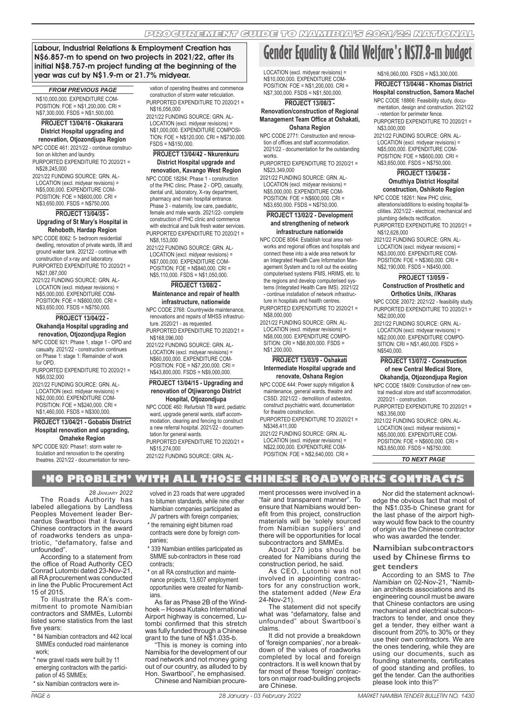Labour, Industrial Relations & Employment Creation has N\$6.857-m to spend on two projects in 2021/22, after its initial N\$8.757-m project funding at the beginning of the year was cut by N\$1.9-m or 21.7% midyear.

#### *FROM PREVIOUS PAGE*

N\$10,000,000. EXPENDITURE COM-POSITION: FOE = N\$1,200,000. CRI = N\$7,300,000. FSDS = N\$1,500,000.

# **PROJECT 13/04/16 - Okakarara District Hospital upgrading and**

**renovation, Otjozondjupa Region** NPC CODE 461: 2021/22 - continue construction on kitchen and laundry.

PURPORTED EXPENDITURE TO 2020/21 = N\$28,245,000

2021/22 FUNDING SOURCE: GRN. AL-LOCATION (excl. midyear revisions) = N\$5,000,000. EXPENDITURE COM- $POSITION: FOF = N$600,000, CRI =$ N\$3,650,000. FSDS = N\$750,000.

#### **PROJECT 13/04/35 - Upgrading of St Mary's Hospital in Rehoboth, Hardap Region**

NPC CODE 8062: 5- bedroom residential dwelling, renovation of private wards, lift and ground water tank. 202122 - continue with

construction of x-ray and laboratory. PURPORTED EXPENDITURE TO 2020/21 = N\$21,087,000

2021/22 FUNDING SOURCE: GRN. AL-LOCATION (excl. midyear revisions) = N\$5,000,000. EXPENDITURE COM-POSITION: FOE = N\$600,000. CRI = N\$3,650,000. FSDS = N\$750,000.

#### **PROJECT 13/04/22 -**

**Okahandja Hospital upgrading and renovation, Otjozondjupa Region**

NPC CODE 921: Phase 1, stage 1 - OPD and casualty. 2021/22 - construction continues on Phase 1: stage 1: Remainder of work for OPD.

PURPORTED EXPENDITURE TO 2020/21 = N\$6,032,000

2021/22 FUNDING SOURCE: GRN. AL-LOCATION (excl. midyear revisions) = N\$2,000,000. EXPENDITURE COM-POSITION: FOE = N\$240,000. CRI = N\$1,460,000. FSDS = N\$300,000.

#### **PROJECT 13/04/21 - Gobabis District Hospital renovation and upgrading, Omaheke Region**

NPC CODE 920: Phase1: storm water reticulation and renovation to the operating theatres. 2021/22 - documentation for reno-

vation of operating theatres and commence construction of storm water reticulation. PURPORTED EXPENDITURE TO 2020/21 = N\$16,056,000

2021/22 FUNDING SOURCE: GRN. AL-LOCATION (excl. midyear revisions) = N\$1,000,000. EXPENDITURE COMPOSI-TION: FOE = N\$120,000. CRI = N\$730,000.  $FSDS = N$150,000$ 

#### **PROJECT 13/04/42 - Nkurenkuru District Hospital upgrade and renovation, Kavango West Region**

NPC CODE 18284: Phase 1 - construction of the PHC clinic. Phase 2 - OPD, casualty, dental unit, laboratory, X-ray department, pharmacy and main hospital entrance. Phase 3 - maternity, low care, paediatric, female and male wards. 2021/22- complete construction of PHC clinic and commence with electrical and bulk fresh water services. PURPORTED EXPENDITURE TO 2020/21 = N\$8,153,000

2021/22 FUNDING SOURCE: GRN. AL-LOCATION (excl. midyear revisions) = N\$7,000,000. EXPENDITURE COM- $POSITION: FOF = N$840,000. CRI =$ N\$5,110,000. FSDS = N\$1,050,000.

## **PROJECT 13/08/2 - Maintenance and repair of health**

# **infrastructure, nationwide**

NPC CODE 2768: Countrywide maintenance, renovations and repairs of MHSS infrastructure. 2020/21 - as requested. PURPORTED EXPENDITURE TO 2020/21 =

N\$168,096,000 2021/22 FUNDING SOURCE: GRN. AL-

LOCATION (excl. midyear revisions) = N\$60,000,000. EXPENDITURE COM- $POSITION: FOR = N$7,200,000. CRI =$ N\$43,800,000. FSDS = N\$9,000,000.

#### **PROJECT 13/04/15 - Upgrading and renovation of Otjiwarongo District Hospital, Otjozondjupa**

NPC CODE 460: Refurbish TB ward, pediatric ward, upgrade general wards, staff accommodation, clearing and fencing to construct a new referral hospital. 2021/22 - documen-

tation for general wards. PURPORTED EXPENDITURE TO 2020/21 = N\$15,274,000

volved in 23 roads that were upgraded to bitumen standards, while nine other Namibian companies participated as JV partners with foreign companies; \* the remaining eight bitumen road contracts were done by foreign com-

339 Namibian entities participated as SMME sub-contractors in these road

As far as Phase 2B of the Windhoek – Hosea Kutako International Airport highway is concerned, Lutombi confirmed that this stretch was fully funded through a Chinese grant to the tune of N\$1.035-b. "This is money is coming into Namibia for the development of our road network and not money going out of our country, as alluded to by Hon. Swartbooi", he emphasised. Chinese and Namibian procure-

\* on all RA construction and maintenance projects, 13,607 employment opportunities were created for Namib-

panies;

contracts;

ians.

2021/22 FUNDING SOURCE: GRN. AL-

# **Gender Equality & Child Welfare's N\$77.8-m budget**

LOCATION (excl. midyear revisions) = N\$10,000,000. EXPENDITURE COM-POSITION: FOE = N\$1,200,000. CRI = N\$7,300,000. FSDS = N\$1,500,000.

#### **PROJECT 13/08/3 -**

**Renovation/construction of Regional Management Team Office at Oshakati, Oshana Region**

NPC CODE 2771: Construction and renovation of offices and staff accommodation. 2021/22 - documentation for the outstanding

works. PURPORTED EXPENDITURE TO 2020/21 =

N\$23,349,000

2021/22 FUNDING SOURCE: GRN. AL-LOCATION (excl. midyear revisions) = N\$5,000,000. EXPENDITURE COM-POSITION: FOE = N\$600,000. CRI = N\$3,650,000. FSDS = N\$750,000.

#### **PROJECT 13/02/2 - Development and strengthening of network infrastructure nationwide**

NPC CODE 8064: Establish local area networks and regional offices and hospitals and connect these into a wide area network for an Integrated Health Care Information Management System and to roll out the existing computerised systems IFMS, HRIMS, etc. to the regions and develop computerised systems (Integrated Health Care IMS). 2021/22 - continue installation of network infrastructure in hospitals and health centres.

PURPORTED EXPENDITURE TO 2020/21 = N\$8,000,000

2021/22 FUNDING SOURCE: GRN. AL-LOCATION (excl. midyear revisions) = N\$8,000,000. EXPENDITURE COMPO-SITION: CRI = N\$6,800,000. FSDS = N\$1,200,000.

#### **PROJECT 13/03/9 - Oshakati Intermediate Hospital upgrade and renovate, Oshana Region**

NPC CODE 444: Power supply mitigation & maintenance, general wards, theatre and CSSD. 2021/22 - demolition of asbestos, construct psychiatric ward, documentation for theatre construction.

PURPORTED EXPENDITURE TO 2020/21 = N\$348,411,000

2021/22 FUNDING SOURCE: GRN. AL-LOCATION (excl. midyear revisions) = N\$22,000,000. EXPENDITURE COM-

POSITION: FOE = N\$2,640,000. CRI =

#### N\$16,060,000. FSDS = N\$3,300,000.

**PROJECT 13/04/46 - Khomas District Hospital construction, Samora Machel**

NPC CODE 18866: Feasibility study, documentation, design and construction. 2021/22 - retention for perimeter fence.

PURPORTED EXPENDITURE TO 2020/21 = N\$3,000,000

2021/22 FUNDING SOURCE: GRN. AL-LOCATION (excl. midyear revisions) = N\$5,000,000. EXPENDITURE COM-POSITION:  $FOF = NS600,000, \text{ CRI} =$ N\$3,650,000. FSDS = N\$750,000.

#### **PROJECT 13/04/38 - Omuthiya District Hospital construction, Oshikoto Region**

NPC CODE 18261: New PHC clinic, alterations/additions to existing hospital facilities. 2021/22 - electrical, mechanical and plumbing defects rectification.

PURPORTED EXPENDITURE TO 2020/21 = N\$12,628,000

2021/22 FUNDING SOURCE: GRN. AL-LOCATION (excl. midyear revisions) = N\$3,000,000. EXPENDITURE COM-POSITION: FOE = N\$360,000. CRI = N\$2,190,000. FSDS = N\$450,000.

#### **PROJECT 13/05/9 - Construction of Prosthetic and Orthotics Units, //Kharas**

NPC CODE 20072: 2021/22 - feasibility study. PURPORTED EXPENDITURE TO 2020/21 = N\$2,000,000

2021/22 FUNDING SOURCE: GRN. AL-LOCATION (excl. midyear revisions) = N\$2,000,000. EXPENDITURE COMPO-SITION: CRI = N\$1,460,000. FSDS = N\$540,000

# **PROJECT 13/07/2 - Construction of new Central Medical Store,**

**Okahandja, Otjozondjupa Region** NPC CODE 18409: Construction of new central medical store and staff accommodation. 2020/21 - construction.

PURPORTED EXPENDITURE TO 2020/21 = N\$3,356,000

2021/22 FUNDING SOURCE: GRN. AL-LOCATION (excl. midyear revisions) = N\$5,000,000. EXPENDITURE COM-POSITION: FOE = N\$600,000. CRI = N\$3,650,000. FSDS = N\$750,000.

*TO NEXT PAGE*

# **'NO PROBLEM' WITH ALL THOSE CHINESE ROADWORKS CONTRACTS**

#### *28 JANUARY 2022*

The Roads Authority has labeled allegations by Landless Peoples Movement leader Bernardus Swartbooi that it favours Chinese contractors in the award of roadworks tenders as unpatriotic, "defamatory, false and unfounded".

According to a statement from the office of Road Authority CEO Conrad Lutombi dated 23-Nov-21, all RA procurement was conducted in line the Public Procurement Act 15 of 2015.

To illustrate the RA's commitment to promote Namibian contractors and SMMEs, Lutombi listed some statistics from the last five years:

- \* 84 Namibian contractors and 442 local SMMEs conducted road maintenance work;
- \* new gravel roads were built by 11 emerging contractors with the participation of 45 SMMEs;

ment processes were involved in a "fair and transparent manner". To ensure that Namibians would benefit from this project, construction materials will be 'solely sourced from Namibian suppliers' and there will be opportunities for local subcontractors and SMMEs.

About 270 jobs should be created for Namibians during the construction period, he said.

As CEO, Lutombi was not involved in appointing contractors for any construction work, the statement added (*New Era* 24-Nov-21).

The statement did not specify what was "defamatory, false and unfounded" about Swartbooi's claims.

It did not provide a breakdown of 'foreign companies', nor a breakdown of the values of roadworks completed by local and foreign contractors. It is well known that by far most of these 'foreign' contractors on major road-building projects are Chinese.

Nor did the statement acknowledge the obvious fact that most of the N\$1.035-b Chinese grant for the last phase of the airport highway would flow back to the country of origin via the Chinese contractor who was awarded the tender

# **Namibian subcontractors used by Chinese firms to**

**get tenders**

According to an SMS to *The Namibian* on 02-Nov-21, "Namibian architects associations and its engineering council must be aware that Chinese contactors are using mechanical and electrical subcontractors to tender, and once they get a tender, they either want a discount from 20% to 30% or they use their own contractors. We are the ones tendering, while they are using our documents, such as founding statements, certificates of good standing and profiles, to get the tender. Can the authorities please look into this?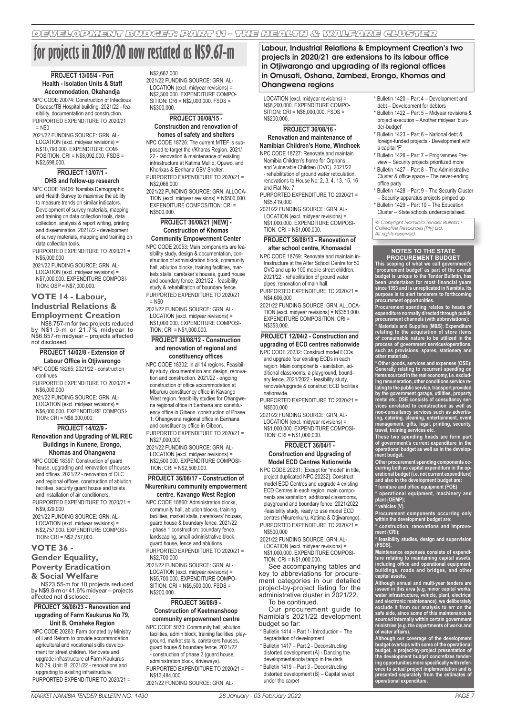# **for projects in 2019/20 now restated as N\$9.67-m**

#### **PROJECT 13/05/4 - Port Health - Isolation Units & Staff Accommodation, Okahandja**

NPC CODE 20074: Construction of Infectious Disease/TB Hospital building. 2021/22 - feasibility, documentation and construction. PURPORTED EXPENDITURE TO 2020/21  $=$  N\$0

2021/22 FUNDING SOURCE: GRN. AL-LOCATION (excl. midyear revisions) = N\$10,790,000. EXPENDITURE COM-POSITION: CRI =  $N$8,092,000$  FSDS = N\$2,698,000.

#### **PROJECT 13/07/1 - DHS and follow-up research**

NPC CODE 18406: Namibia Demographic and Health Survey to maximise the ability to measure trends on similar indicators. Development of survey materials, mapping and training on data collection tools, data collection, analysis & report writing, printing and dissemination. 2021/22 - development of survey materials, mapping and training on data collection tools.

PURPORTED EXPENDITURE TO 2020/21 = N\$5,000,000

2021/22 FUNDING SOURCE: GRN. AL-LOCATION (excl. midyear revisions) = N\$7,000,000. EXPENDITURE COMPOSI-TION: OSP = N\$7,000,000.

# **VOTE 14 - Labour,**

#### **Industrial Relations & Employment Creation**

N\$8.757-m for two projects reduced by N\$1.9-m or 21.7% midyear to N\$6.857-m midyear – projects affected not disclosed.

#### **PROJECT 14/02/8 - Extension of Labour Office in Otjiwarongo**

NPC CODE 18265: 2021/22 - construction continues PURPORTED EXPENDITURE TO 2020/21 =

N\$6,000,000 2021/22 FUNDING SOURCE: GRN. AL-

LOCATION (excl. midyear revisions) = N\$6,000,000. EXPENDITURE COMPOSI- $TION: CRI = N$6,000,000$ 

#### **PROJECT 14/02/9 -**

**Renovation and Upgrading of MLIREC Buildings in Kunene, Erongo, Khomas and Ohangwena**

NPC CODE 18397: Construction of guard house, upgrading and renovation of houses and offices. 2021/22 - renovation of OLC and regional offices, construction of ablution facilities, security guard house and toilets and installation of air conditioners.

PURPORTED EXPENDITURE TO 2020/21 = N\$9,329,000

2021/22 FUNDING SOURCE: GRN. AL-LOCATION (excl. midyear revisions) = N\$2,757,000. EXPENDITURE COMPOSI- $TION: CRI = N$2,757,000.$ 

#### **VOTE 36 -**

#### **Gender Equality,**

**Poverty Eradication** 

# **& Social Welfare**

N\$23.55-m for 10 projects reduced by N\$9.8-m or 41.6% midyear – projects affected not disclosed.

#### **PROJECT 36/08/23 - Renovation and upgrading of Farm Kaukurus No 79, Unit B, Omaheke Region**

NPC CODE 20263: Farm donated by Ministry of Land Reform to provide accommodation, agricultural and vocational skills development for street children. Renovate and upgrade infrastructure at Farm Kaukurus NO 79, Unit: B. 2021/22 - renovations and upgrading to existing infrastructure. PURPORTED EXPENDITURE TO 2020/21 =

#### N\$2,662,000

2021/22 FUNDING SOURCE: GRN. AL-LOCATION (excl. midyear revisions) = N\$2,300,000. EXPENDITURE COMPO- $SITION: CRI = N$2,000,000. FSDS =$ N\$300,000.

#### **PROJECT 36/08/15 - Construction and renovation of homes of safety and shelters**

NPC CODE 18726: The current MTEF is supposed to target the //Kharas Region. 2021/ 22 - renovation & maintenance of existing infrastructure at Katima Mulilo, Opuwo, and Khorixas & Eenhana GBV Shelter. PURPORTED EXPENDITURE TO 2020/21 =

N\$2,066,000 2021/22 FUNDING SOURCE: GRN. ALLOCA-

TION (excl. midyear revisions) = N\$500,000. EXPENDITURE COMPOSITION: CRI = N\$500,000.

#### **PROJECT 36/08/21 [NEW] - Construction of Khomas Community Empowerment Center**

NPC CODE 20053: Main components are feasibility study, design & documentation, construction of administration block, community hall, ablution blocks, training facilities, markets stalls, caretaker's houses, guard house and boundary fence. 2021/22 - feasibility study & rehabilitation of boundary fence. PURPORTED EXPENDITURE TO 2020/21 = N\$0

2021/22 FUNDING SOURCE: GRN. AL-LOCATION (excl. midyear revisions) = N\$1,000,000. EXPENDITURE COMPOSI- $TION: CRI = N$1,000,000.$ 

#### **PROJECT 36/08/12 - Construction and renovation of regional and constituency offices**

NPC CODE 18302: in all 14 regions. Feasibility study, documentation and design, renovation and construction. 2021/22 - ongoing construction of office accommodation at Mbururu constituency office in Kavango West region. feasibility studies for Ohangwena regional office in Eenhana and constituency office in Gibeon. construction of Phase 1: Ohangwena regional office in Eenhana and constituency office in Gibeon.

PURPORTED EXPENDITURE TO 2020/21 = N\$27,000,000

2021/22 FUNDING SOURCE: GRN. AL-LOCATION (excl. midyear revisions) = N\$2,500,000. EXPENDITURE COMPOSI-TION: CRI = N\$2,500,000.

# **PROJECT 36/08/17 - Construction of Nkurenkuru community empowerment**

**centre. Kavango West Region** NPC CODE 18860: Administration blocks, community hall, ablution blocks, training facilities, market stalls, caretakers' houses guard house & boundary fence. 2021/22 - phase 1 construction: boundary fence, landscaping, small administrative block, guard house, fence and ablutions. PURPORTED EXPENDITURE TO 2020/21 = N\$2,700,000

2021/22 FUNDING SOURCE: GRN. AL-LOCATION (excl. midyear revisions) = N\$5,700,000. EXPENDITURE COMPO-SITION: CRI = N\$5,500,000. FSDS = N\$200,000.

#### **PROJECT 36/08/9 - Construction of Keetmanshoop**

**community empowerment centre** NPC CODE 5030: Community hall, ablution

facilities, admin block, training facilities, playground, market stalls, caretakers houses, guard house & boundary fence. 2021/22 - construction of phase 2 (guard house, administration block, driveways). PURPORTED EXPENDITURE TO 2020/21 = N\$13,484,000

2021/22 FUNDING SOURCE: GRN. AL-

Labour, Industrial Relations & Employment Creation's two projects in 2020/21 are extensions to its labour office in Otjiwarongo and upgrading of its regional offices in Omusati, Oshana, Zambezi, Erongo, Khomas and Ohangwena regions

LOCATION (excl. midyear revisions) = N\$8,200,000. EXPENDITURE COMPO-SITION: CRI = N\$8,000,000. FSDS = N\$200,000.

#### **PROJECT 36/08/16 - Renovation and maintenance of Namibian Children's Home, Windhoek**

NPC CODE 18727: Renovate and maintain Namibia Children's home for Orphans

and Vulnerable Children (OVC). 2021/22 - rehabilitation of ground water reticulation. renovations to House No: 2, 3, 4, 13, 15, 16

and Flat No. 7. PURPORTED EXPENDITURE TO 2020/21 = N\$5,419,000

2021/22 FUNDING SOURCE: GRN. AL-LOCATION (excl. midyear revisions) = N\$1,000,000. EXPENDITURE COMPOSI- $TiON: CRI = N$1,000,000$ 

#### **PROJECT 36/08/13 - Renovation of after school centre, Khomasdal**

NPC CODE 18769: Renovate and maintain infrastructure at the After School Centre for 50 OVC and up to 100 mobile street children. 2021/22 - rehabilitation of ground water pipes, renovation of main hall.

PURPORTED EXPENDITURE TO 2020/21 = N\$4,606,000

2021/22 FUNDING SOURCE: GRN. ALLOCA-TION (excl. midyear revisions) = N\$353,000. EXPENDITURE COMPOSITION: CRI = **N\$353,000** 

### **PROJECT 12/04/2 - Construction and upgrading of ECD centres nationwide**

NPC CODE 20232: Construct model ECDs and upgrade four existing ECDs in each region. Main components - sanitation, additional classrooms, a playground, boundary fence. 2021/2022 - feasibility study, renovate/upgrade & construct ECD facilities nationwide.

PURPORTED EXPENDITURE TO 2020/21 = N\$500,000

2021/22 FUNDING SOURCE: GRN. AL-LOCATION (excl. midyear revisions) =

N\$1,000,000. EXPENDITURE COMPOSI-TION: CRI = N\$1,000,000.

## **PROJECT 36/04/1 -**

#### **Construction and Upgrading of Model ECD Centres Nationwide**

NPC CODE 20231: [Except for "model" in title, project duplicated NPC 20232]. Construct model ECD Centres and upgrade 4 existing ECD Centres in each region. main components are sanitation, additional classrooms, playground and boundary fence. 2021/2022 -feasibility study, ready to use model ECD centres (Nkurenkuru, Katima & Otjiwarongo). PURPORTED EXPENDITURE TO 2020/21 = N\$500,000

2021/22 FUNDING SOURCE: GRN. AL-

LOCATION (excl. midyear revisions) = N\$1,000,000. EXPENDITURE COMPOSI-TION: CRI = N\$1,000,000.

See accompanying tables and key to abbreviations for procurement categories in our detailed project-by-project listing for the administrative cluster in 2021/22. To be continued.

Our procurement guide to Namibia's 2021/22 development budget so far:

- \* Bulletin 1414 Part 1- Introduction The degradation of development
- \* Bulletin 1417 Part 2 Deconstructing distorted development (A) - Dancing the developmentaloota tango in the dark
- \* Bulletin 1419 Part 3 Deconstructing distorted development (B) – Capital swept under the carpet
- \* Bulletin 1420 Part 4 Development and debt – Development for debtors
- \* Bulletin 1422 Part 5 Midyear revisions & project execution – Another midyear 'blunder-budget'
- \* Bulletin 1423 Part 6 National debt & foreign-funded projects - Development with a capital 'F'
- \* Bulletin 1426 Part 7 Programmes Preview – Security projects prioritized more
- \* Bulletin 1427 Part 8 The Administrative Cluster & office space – The never-ending office party
- \* Bulletin 1428 Part 9 The Security Cluster – Security apparatus projects pimped up
- Bulletin 1429 Part 10 The Education

© Copyright Namibia Tender Bulletin / Collective Resources (Pty) Ltd. Cluster – State schools undercapitalised.

All rights reserved.

**NOTES TO THE STATE PROCUREMENT BUDGET** ng of what we call go **'procurement budget' as part of the overall budget is unique to the Tender Bulletin, has been undertaken for most financial years since 1993 and is unreplicated in Namibia. Its purpose is to alert tenderers to forthcoming procurement opportunities.**

**Procurement spending relates to heads of expenditure normally directed through public procurement channels (with abbreviations): \* Materials and Supplies (M&S): Expenditure relating to the acquisition of store items of consumable nature to be utilized in the process of government services/operations, such as provisions, spares, stationery and other materials.** 

**\* Other goods, services and expenses (OSE): Generally relating to recurrent spending on items sourced in the real economy, i.e. excluding remuneration, other conditions service relating to the public service, transport provided by the government garage, utilities, property rental etc. OSE consists of consultancy services unrelated to construction as well as non-consultancy services such as advertising, catering, cleaning, entertainment, event management, gifts, legal, printing, security, travel, training services etc.** 

**These two spending heads are form part of government's current expenditure in the operational budget as well as in the development budget.**

**Other procurement spending components occurring both as capital expenditure in the op-erational budget (i.e. not current expenditure) and also in the development budget are:**

**\* furniture and office equipment (FOE) \* operational equipment, machinery and plant (OEMP);**

icles (V).

**Procurement components occurring only within the development budget are: \* construction, renovations and improve-**

**ment (CRI); idies, design and supervisi (FSDS).**

**Maintenance expenses consists of expenditure relating to maintaining capital assets, including office and operational equipment, buildings, roads and bridges, and other capital assets.** 

**Although annual and multi-year tenders are issued in this area (e.g. minor capital works, water infrastructure, vehicle, plant, electrical and electronic maintenance), we deliberately exclude it from our analysis to err on the safe side, since some of this maintenance is sourced internally within certain government ministries (e.g. the departments of works and of water affairs).**

**Although our coverage of the development budget overlaps with some of the operational budget, a project-by-project presentation of the development budget concretizes tendering opportunities more specifically with reference to actual project implementation and is presented separately from the estimates of operational expenditure.**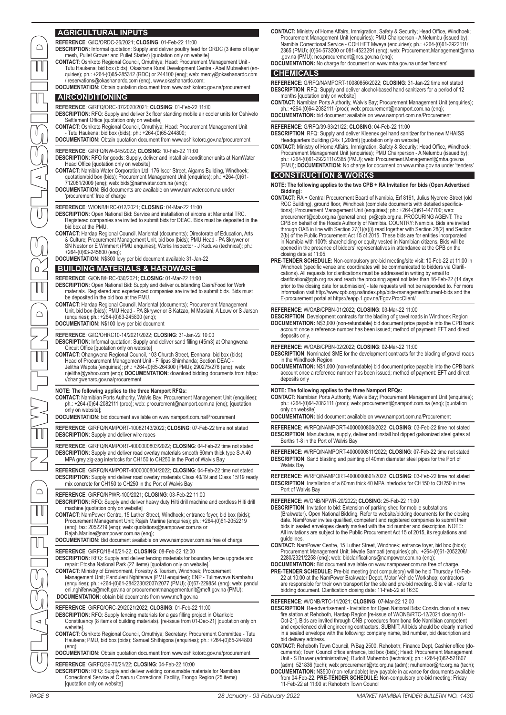| $\Box$                    | I AGRICULTURAL INPUTS<br>REFERENCE: G/IQ/ORDC-26/2021; CLOSING: 01-Feb-22 11:00<br><b>DESCRIPTION:</b> Informal quotation: Supply and deliver poultry feed for ORDC (3 items of layer<br>mesh, Pullet Grower and Pullet Starter) [quotation only on website]<br>CONTACT: Oshikoto Regional Council, Omuthiya; Head: Procurement Management Unit -<br>Tutu Haukena; bid box (bids); Okashana Rural Development Centre - Abel Mubvekeri (en-<br>quiries); ph.: +264-(0)65-285312 (RDC) or 244100 (eng); web: mercy@okashanardc.com<br>/ reservations@okashanardc.com (enq), www.okashanardc.com;<br>DOCUMENTATION: Obtain quotation document from www.oshikotorc.gov.na/procurement<br><b>AIRCONDITIONING</b><br>REFERENCE: G/RFQ/ORC-37/2020/2021; CLOSING: 01-Feb-22 11:00<br><b>DESCRIPTION:</b> RFQ: Supply and deliver 3x floor standing mobile air cooler units for Oshivelo<br>Settlement Office [quotation only on website]<br><b>CONTACT:</b> Oshikoto Regional Council, Omuthiya; Head: Procurement Management Unit<br>- Tutu Haukena; bid box (bids); ph.: +264-(0)65-244800;                                                                                                                                                                                                     | <b>CONTACT:</b> Ministry of Home Affairs, Immigration, Safety & Security; Head Office, Windhoek;<br>Procurement Management Unit (enquiries); PMU Chairperson - A Nelumbu (issued by);<br>Namibia Correctional Service - COH HFT Mweya (enquiries); ph.: +264-(0)61-2922111/<br>2365 (PMU); (0)64-573200 or 081-4523291 (eng); web: Procurement.Management@mha<br>.gov.na (PMU); ncs.procurement@ncs.gov.na (enq);<br>DOCUMENTATION: No charge for document on www.mha.gov.na under 'tenders'<br><b>CHEMICALS</b><br>REFERENCE: G/RFQ/NAMPORT-10080856/2022: CLOSING: 31-Jan-22 time not stated<br>DESCRIPTION: RFQ: Supply and deliver alcohol-based hand sanitizers for a period of 12<br>months [quotation only on website]<br><b>CONTACT:</b> Namibian Ports Authority, Walvis Bay; Procurement Management Unit (enquiries);<br>ph.: $+264-(0)64-2082111$ (proc); web: procurement@namport.com.na (enq);<br>DOCUMENTATION: bid document available on www.namport.com.na/Procurement<br>REFERENCE: G/RFQ/39-93/21/22; CLOSING: 04-Feb-22 11:00<br>DESCRIPTION: RFQ: Supply and deliver Kleenex gel hand sanitizer for the new MHAISS                                                                                                                                                                                                                          |  |
|---------------------------|--------------------------------------------------------------------------------------------------------------------------------------------------------------------------------------------------------------------------------------------------------------------------------------------------------------------------------------------------------------------------------------------------------------------------------------------------------------------------------------------------------------------------------------------------------------------------------------------------------------------------------------------------------------------------------------------------------------------------------------------------------------------------------------------------------------------------------------------------------------------------------------------------------------------------------------------------------------------------------------------------------------------------------------------------------------------------------------------------------------------------------------------------------------------------------------------------------------------------------------------------------------------------------------------|-----------------------------------------------------------------------------------------------------------------------------------------------------------------------------------------------------------------------------------------------------------------------------------------------------------------------------------------------------------------------------------------------------------------------------------------------------------------------------------------------------------------------------------------------------------------------------------------------------------------------------------------------------------------------------------------------------------------------------------------------------------------------------------------------------------------------------------------------------------------------------------------------------------------------------------------------------------------------------------------------------------------------------------------------------------------------------------------------------------------------------------------------------------------------------------------------------------------------------------------------------------------------------------------------------------------------------------------------------------------|--|
| $\triangleleft$           | <b>DOCUMENTATION:</b> Obtain quotation document from www.oshikotorc.gov.na/procurement<br>REFERENCE: G/RFQ/NW-045/2022; CLOSING: 10-Feb-22 11:00<br><b>DESCRIPTION:</b> RFQ for goods: Supply, deliver and install air-conditioner units at NamWater<br>Head Office [quotation only on website]<br><b>CONTACT:</b> Namibia Water Corporation Ltd, 176 Iscor Street, Aigams Building, Windhoek;<br>quotation/bid box (bids); Procurement Management Unit (enquiries); ph.: +264-(0)61-<br>712081/2009 (enq); web: bids@namwater.com.na (enq);<br><b>DOCUMENTATION:</b> Bid documents are available on www.namwater.com.na under<br>'procurement' free of charge<br>REFERENCE: W/ONB/HRC-012/2021; CLOSING: 04-Mar-22 11:00<br><b>DESCRIPTION:</b> Open National Bid: Service and installation of aircons at Mariental TRC.<br>Registered companies are invited to submit bids for DEAC. Bids must be deposited in the<br>bid box at the PMU.                                                                                                                                                                                                                                                                                                                                                | Headquarters Building (24x 1,200ml) [quotation only on website]<br>CONTACT: Ministry of Home Affairs, Immigration, Safety & Security; Head Office, Windhoek;<br>Procurement Management Unit (enquiries); PMU Chairperson - A Nelumbu (issued by);<br>ph.: +264-(0)61-2922111/2365 (PMU); web: Procurement.Management@mha.gov.na<br>(PMU); DOCUMENTATION: No charge for document on www.mha.gov.na under 'tenders'<br><b>CONSTRUCTION &amp; WORKS</b><br>NOTE: The following applies to the two CPB + RA Invitation for bids (Open Advertised<br>Bidding):<br><b>CONTACT:</b> RA + Central Procurement Board of Namibia, Erf 8161, Julius Nyerere Street (old<br>RCC Building), ground floor, Windhoek (complete documents with detailed specifica-<br>tions); Procurement Management Unit (enquiries); ph.: +264-(0)61-447700; web:<br>procurement@cpb.org.na (general eng); pr@cpb.org.na. PROCURING AGENT: The<br>CPB on behalf of the Roads Authority of Namibia. COUNTRY: Namibia. Bids are invited                                                                                                                                                                                                                                                                                                                                                         |  |
| $\Box$                    | <b>CONTACT:</b> Hardap Regional Council, Mariental (documents); Directorate of Education, Arts<br>& Culture; Procurement Management Unit, bid box (bids); PMU Head - PA Skrywer or<br>SN Nestor or E Wimmert (PMU enquiries); Works Inspector - J Kuduva (technical); ph.:<br>$+264-(0)63-245800$ (eng);<br>DOCUMENTATION: N\$300 levy per bid document available 31-Jan-22<br><b>BUILDING MATERIALS &amp; HARDWARE</b><br>REFERENCE: G/ONB/HRC-030/2021; CLOSING: 01-Mar-22 11:00<br><b>DESCRIPTION:</b> Open National Bid: Supply and deliver outstanding Cash/Food for Work<br>materials. Registered and experienced companies are invited to submit bids. Bids must<br>be deposited in the bid box at the PMU.<br><b>CONTACT:</b> Hardap Regional Council, Mariental (documents); Procurement Management<br>Unit, bid box (bids); PMU Head - PA Skrywer or S Katzao, M Masiani, A Louw or S Jarson                                                                                                                                                                                                                                                                                                                                                                                     | through OAB in line with Section 27(1)(a)(i) read together with Section 28(2) and Section<br>2(b) of the Public Procurement Act 15 of 2015. These bids are for entities incorporated<br>in Namibia with 100% shareholding or equity vested in Namibian citizens. Bids will be<br>opened in the presence of bidders' representatives in attendance at the CPB on the<br>closing date at 11:05.<br>PRE-TENDER SCHEDULE: Non-compulsory pre-bid meeting/site visit: 10-Feb-22 at 11:00 in<br>Windhoek (specific venue and coordinates will be communicated to bidders via Clarifi-<br>cations). All requests for clarifications must be addressed in writing by email to<br>clarification@cpb.org.na and reach the procuring agent not later than 16-Feb-22 (14 days<br>prior to the closing date for submission) - late requests will not be responded to. For more<br>information visit http://www.cpb.org.na/index.php/bids-management/current-bids and the<br>E-procurement portal at https://eapp.1.gov.na/Egov.ProcClient/<br>REFERENCE: W/OAB/CPBN-01/2022; CLOSING: 03-Mar-22 11:00                                                                                                                                                                                                                                                                        |  |
| $\bigcap$                 | (enquiries); ph.: +264-(0)63-245800 (enq);<br><b>DOCUMENTATION:</b> N\$100 levy per bid document<br>REFERENCE: G/IQ/OHRC10-14/2021/2022; CLOSING: 31-Jan-22 10:00<br><b>DESCRIPTION:</b> Informal quotation: Supply and deliver sand filling (45m3) at Ohangwena<br>Circuit Office [quotation only on website]<br><b>CONTACT:</b> Ohangwena Regional Council, 103 Church Street, Eenhana; bid box (bids);<br>Head of Procurement Management Unit - Fillipus Shimhanda; Section DEAC -<br>Jelitha Wapota (enquiries); ph.: +264-(0)65-264300 (PMU); 290275/276 (enq); web:<br>njelitha@yahoo.com (enq); DOCUMENTATION: download bidding documents from https:<br>//ohangwenarc.gov.na/procurement                                                                                                                                                                                                                                                                                                                                                                                                                                                                                                                                                                                           | <b>DESCRIPTION:</b> Development contracts for the blading of gravel roads in Windhoek Region<br>DOCUMENTATION: N\$3,000 (non-refundable) bid document price payable into the CPB bank<br>account once a reference number has been issued; method of payment: EFT and direct<br>deposits only.<br>REFERENCE: W/OAB/CPBN-02/2022; CLOSING: 02-Mar-22 11:00<br><b>DESCRIPTION:</b> Nominated SME for the development contracts for the blading of gravel roads<br>in the Windhoek Region<br><b>DOCUMENTATION:</b> N\$1,000 (non-refundable) bid document price payable into the CPB bank<br>account once a reference number has been issued; method of payment: EFT and direct<br>deposits only                                                                                                                                                                                                                                                                                                                                                                                                                                                                                                                                                                                                                                                                    |  |
| $\geq$                    | NOTE: The following applies to the three Namport RFQs:<br><b>CONTACT:</b> Namibian Ports Authority, Walvis Bay; Procurement Management Unit (enquiries);<br>ph.: +264-(0)64-2082111 (proc); web: procurement@namport.com.na (enq); [quotation<br>only on website<br>DOCUMENTATION: bid document available on www.namport.com.na/Procurement<br>REFERENCE: G/RFQ/NAMPORT-10082143/2022; CLOSING: 07-Feb-22 time not stated<br><b>DESCRIPTION:</b> Supply and deliver wire ropes                                                                                                                                                                                                                                                                                                                                                                                                                                                                                                                                                                                                                                                                                                                                                                                                             | NOTE: The following applies to the three Namport RFQs:<br><b>CONTACT:</b> Namibian Ports Authority, Walvis Bay; Procurement Management Unit (enquiries);<br>ph.: +264-(0)64-2082111 (proc); web: procurement@namport.com.na (enq); [quotation<br>only on website]<br>DOCUMENTATION: bid document available on www.namport.com.na/Procurement<br>REFERENCE: W/RFQ/NAMPORT-4000000808/2022; CLOSING: 03-Feb-22 time not stated<br><b>DESCRIPTION:</b> Manufacture, supply, deliver and install hot dipped galvanized steel gates at<br>Berths 1-8 in the Port of Walvis Bay                                                                                                                                                                                                                                                                                                                                                                                                                                                                                                                                                                                                                                                                                                                                                                                       |  |
|                           | REFERENCE: G/RFQ/NAMPORT-4000000803/2022: CLOSING: 04-Feb-22 time not stated<br><b>DESCRIPTION:</b> Supply and deliver road overlay materials smooth 60mm thick type S-A 40<br>MPA grey zig-zag interlocks for CH150 to CH250 in the Port of Walvis Bay<br>REFERENCE: G/RFQ/NAMPORT-4000000804/2022: CLOSING: 04-Feb-22 time not stated<br><b>DESCRIPTION:</b> Supply and deliver road overlay materials Class 40/19 and Class 15/19 ready                                                                                                                                                                                                                                                                                                                                                                                                                                                                                                                                                                                                                                                                                                                                                                                                                                                 | REFERENCE: W/RFQ/NAMPORT-4000000811/2022; CLOSING: 07-Feb-22 time not stated<br><b>DESCRIPTION:</b> Sand blasting and painting of 40mm diameter steel pipes for the Port of<br>Walvis Bay<br>REFERENCE: W/RFQ/NAMPORT-4000000801/2022; CLOSING: 03-Feb-22 time not stated                                                                                                                                                                                                                                                                                                                                                                                                                                                                                                                                                                                                                                                                                                                                                                                                                                                                                                                                                                                                                                                                                       |  |
| $\bigcap$                 | mix concrete for CH150 to CH250 in the Port of Walvis Bay<br>REFERENCE: G/RFQ/NPWR-100/2021; CLOSING: 03-Feb-22 11:00<br><b>DESCRIPTION:</b> RFQ: Supply and deliver heavy duty Hilti drill machine and cordless Hilti drill<br>machine [quotation only on website]<br><b>CONTACT:</b> NamPower Centre, 15 Luther Street, Windhoek; entrance foyer, bid box (bids);<br>Procurement Management Unit; Rajah Mariine (enquiries); ph.: +264-(0)61-2052219<br>(enq); fax: 2052219 (enq); web: quotations@nampower.com.na or<br>Rajah.Mariine@nampower.com.na (enq);<br><b>DOCUMENTATION:</b> Bid document available on www.nampower.com.na free of charge<br>REFERENCE: G/RFQ/18-40/21-22; CLOSING: 08-Feb-22 12:00<br>DESCRIPTION: RFQ: Supply and deliver fencing materials for boundary fence upgrade and<br>repair: Etosha National Park (27 items) [quotation only on website].<br><b>CONTACT:</b> Ministry of Environment, Forestry & Tourism, Windhoek; Procurement<br>Management Unit; Panduleni Nghifenwa (PMU enquiries); ENP - Tulimevava Nambahu<br>(enquiries); ph.: +264-(0)61-2842230/2037/2077 (PMU); (0)67-229854 (enq); web: pandul<br>eni.nghifenwa@meft.gov.na or procurementmanagementunit@meft.gov.na (PMU);<br>DOCUMENTATION: obtain bid documents from www.meft.gov.na | <b>DESCRIPTION:</b> Installation of a 60mm thick 40 MPA interlocks for CH150 to CH250 in the<br>Port of Walvis Bay<br>REFERENCE: W/ONB/NPWR-20/2022; CLOSING: 25-Feb-22 11:00<br><b>DESCRIPTION:</b> Invitation to bid: Extension of parking shed for mobile substations<br>(Brakwater). Open National Bidding. Refer to website/bidding documents for the closing<br>date. NamPower invites qualified, competent and registered companies to submit their<br>bids in sealed envelopes clearly marked with the bid number and description. NOTE:<br>All invitations are subject to the Public Procurement Act 15 of 2015, its regulations and<br>guidelines.<br><b>CONTACT:</b> NamPower Centre, 15 Luther Street, Windhoek; entrance foyer, bid box (bids);<br>Procurement Management Unit; Mwale Sampati (enquiries); ph.: +264-(0)61-2052206/<br>2280/2321/2258 (enq); web: bidclarifications@nampower.com.na (enq);<br><b>DOCUMENTATION:</b> Bid document available on www.nampower.com.na free of charge<br>PRE-TENDER SCHEDULE: Pre-bid meeting (not compulsory) will be held Thursday 10-Feb-<br>22 at 10:00 at the NamPower Brakwater Depot, Motor Vehicle Workshop; contractors<br>are responsible for their own transport for the site and pre-bid meeting. Site visit - refer to<br>bidding document. Clarification closing date: 11-Feb-22 at 16:30 |  |
| $\triangleleft$<br>PAGE 8 | REFERENCE: G/RFQ/ORC-29/2021/2022; CLOSING: 01-Feb-22 11:00<br><b>DESCRIPTION:</b> RFQ: Supply fencing materials for a gas filling project in Okankolo<br>Constituency (8 items of building materials). [re-issue from 01-Dec-21] [quotation only on<br>website]<br>CONTACT: Oshikoto Regional Council, Omuthiya; Secretary: Procurement Committee - Tutu<br>Haukena; PMU, bid box (bids); Samuel Shithigona (enquiries); ph.: +264-(0)65-244800<br>(eng):<br>DOCUMENTATION: Obtain quotation document from www.oshikotorc.gov.na/procurement<br>REFERENCE: G/RFQ/39-70/21/22; CLOSING: 04-Feb-22 10:00<br>DESCRIPTION: RFQ: Supply and deliver welding consumable materials for Namibian<br>Correctional Service at Omaruru Correctional Facility, Erongo Region (25 items)<br>[quotation only on website]<br>28 January - 03 February 2022                                                                                                                                                                                                                                                                                                                                                                                                                                               | REFERENCE: W/ONB/RTC-11/2021; CLOSING: 07-Mar-22 12:00<br><b>DESCRIPTION:</b> Re-advertisement - Invitation for Open National Bids: Construction of a new<br>fire station at Rehoboth, Hardap Region [re-issue of W/ONB/RTC-12/2021 closing 01-<br>Oct-21]. Bids are invited through ONB procedures from bona fide Namibian competent<br>and experienced civil engineering contractors. SUBMIT: All bids should be clearly marked<br>in a sealed envelope with the following: company name, bid number, bid description and<br>bid delivery address.<br><b>CONTACT:</b> Rehoboth Town Council, P/Bag 2500, Rehoboth; Finance Dept, Cashier office (do-<br>cuments); Town Council office entrance, bid box (bids); Head: Procurement Management<br>Unit - S Bruwer (administrative); Rudolf Muhembo (technical); ph.: +264-(0)62-521807<br>(adm); 521836 (tech); web: procurement@rtc.org.na (adm); muhembor@rtc.org.na (tech);<br><b>DOCUMENTATION:</b> N\$500 (non-refundable) levy payable in advance for documents available<br>from 04-Feb-22. PRE-TENDER SCHEDULE: Non-compulsory pre-bid meeting: Friday<br>11-Feb-22 at 11:00 at Rehoboth Town Council<br>MARKET NAMIBIA TENDER BULLETIN NO. 1430                                                                                                                                                        |  |

# **DOCUMENTATION:** No charge for document on www.mha.gov.na under 'tenders'

# **CHEMICALS**

#### **REFERENCE**: G/RFQ/39-93/21/22; **CLOSING**: 04-Feb-22 11:00

#### **CONSTRUCTION & WORKS**

- **NOTE: The following applies to the two CPB + RA Invitation for bids (Open Advertised Bidding):**
- **CONTACT:** RA + Central Procurement Board of Namibia, Erf 8161, Julius Nyerere Street (old RCC Building), ground floor, Windhoek (complete documents with detailed specifica-tions); Procurement Management Unit (enquiries); ph.: +264-(0)61-447700; web: procurement@cpb.org.na (general enq); pr@cpb.org.na. PROCURING AGENT: The<br>CPB on behalf of the Roads Authority of Namibia. COUNTRY: Namibia. Bids are invited<br>through OAB in line with Section 27(1)(a)(i) read together with 2(b) of the Public Procurement Act 15 of 2015. These bids are for entities incorporated in Namibia with 100% shareholding or equity vested in Namibian citizens. Bids will be opened in the presence of bidders' representatives in attendance at the CPB on the closing date at 11:05.
- **PRE-TENDER SCHEDULE:** Non-compulsory pre-bid meeting/site visit: 10-Feb-22 at 11:00 in Windhoek (specific venue and coordinates will be communicated to bidders via Clarifications). All requests for clarifications must be addressed in writing by email to<br>clarification@cpb.org.na and reach the procuring agent not later than 16-Feb-22 (14 days<br>prior to the closing date for submission) - late r information visit http://www.cpb.org.na/index.php/bids-management/current-bids and the E-procurement portal at https://eapp.1.gov.na/Egov.ProcClient/

#### **REFERENCE**: W/OAB/CPBN-01/2022; **CLOSING**: 03-Mar-22 11:00

#### **NOTE: The following applies to the three Namport RFQs:**

- **DESCRIPTION**: Invitation to bid: Extension of parking shed for mobile substations (Brakwater). Open National Bidding. Refer to website/bidding documents for the closing date. NamPower invites qualified, competent and registered companies to submit their bids in sealed envelopes clearly marked with the bid number and description. NOTE: All invitations are subject to the Public Procurement Act 15 of 2015, its regulations and
- guidelines. **CONTACT:** NamPower Centre, 15 Luther Street, Windhoek; entrance foyer, bid box (bids); Procurement Management Unit; Mwale Sampati (enquiries); ph.: +264-(0)61-2052206/ 2280/2321/2258 (enq); web: bidclarifications@nampower.com.na (enq);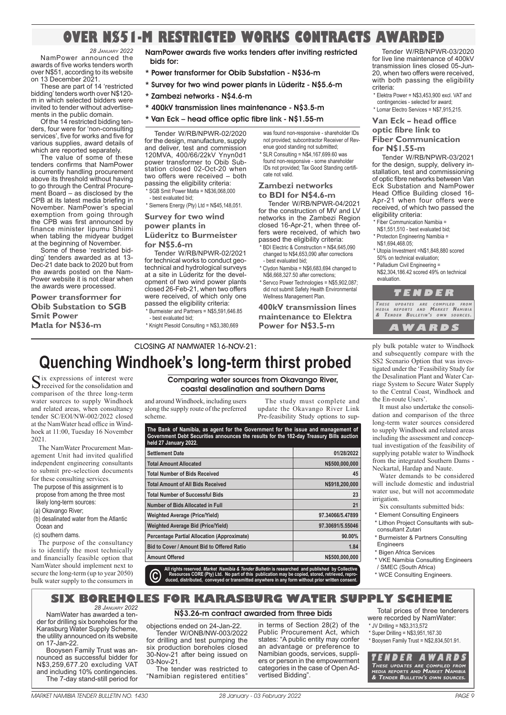# **OVER N\$51-M RESTRICTED WORKS CONTRACTS AWARDED**

*28 JANUARY 2022* NamPower announced the awards of five works tenders worth over N\$51, according to its website on 13 December 2021.

These are part of 14 'restricted bidding' tenders worth over N\$120 m in which selected bidders were invited to tender without advertisements in the public domain.

Of the 14 restricted bidding tenders, four were for 'non-consulting services', five for works and five for various supplies, award details of which are reported separately.

The value of some of these tenders confirms that NamPower is currently handling procurement above its threshold without having to go through the Central Procurement Board – as disclosed by the CPB at its latest media briefing in November. NamPower's special exemption from going through the CPB was first announced by finance minister Iipumu Shiimi when tabling the midyear budget at the beginning of November.

Some of these 'restricted bidding' tenders awarded as at 13- Dec-21 date back to 2020 but from the awards posted on the Nam-Power website it is not clear when the awards were processed.

**Power transformer for Obib Substation to SGB Smit Power Matla for N\$36-m**

NamPower awards five works tenders after inviting restricted bids for:

- \* Power transformer for Obib Substation N\$36-m
- \* Survey for two wind power plants in Lüderitz N\$5.6-m
- \* Zambezi networks N\$4.6-m
- \* 400kV transmission lines maintenance N\$3.5-m
- \* Van Eck head office optic fibre link N\$1.55-m

Tender W/RB/NPWR-02/2020 for the design, manufacture, supply and deliver, test and commission 120MVA, 400/66/22kV Ynyn0d1 power transformer to Obib Substation closed 02-Oct-20 when two offers were received – both passing the eligibility criteria: SGB Smit Power Matla = N\$36,068,000

- best evaluated bid;
- $*$  Siemens Energy (Pty) Ltd =  $N$45,148,051$ .

#### **Survey for two wind power plants in Lüderitz to Burmeister**

**for N\$5.6-m**

Tender W/RB/NPWR-02/2021 for technical works to conduct geotechnical and hydrological surveys at a site in Lüderitz for the development of two wind power plants closed 26-Feb-21, when two offers were received, of which only one passed the eligibility criteria: \* Burmeister and Partners = N\$5,591,646.85

- best evaluated bid; \* Knight Piesold Consulting = N\$3,380,669

not provided; subcontractor Receiver of Revenue good standing not submitted; \* SLR Consulting = N\$4,167,699.60 was

was found non-responsive - shareholder IDs

found non-responsive - some shareholder IDs not provided; Tax Good Standing certificate not valid.

#### **Zambezi networks to BDI for N\$4.6-m**

Tender W/RB/NPWR-04/2021 for the construction of MV and LV networks in the Zambezi Region closed 16-Apr-21, when three offers were received, of which two passed the eligibility criteria:

- \* BDI Electric & Construction = N\$4,645,090 changed to N\$4,653,090 after corrections - best evaluated bid;
- \* Clydon Namibia = N\$6,683,694 changed to N\$6,668,327.50 after corrections;
- \* Servco Power Technologies = N\$5,902,087; did not submit Safety Health Environmental Wellness Management Plan.

**400kV transmission lines maintenance to Elektra Power for N\$3.5-m**

Tender W/RB/NPWR-03/2020 for live line maintenance of 400kV transmission lines closed 05-Jun-20, when two offers were received, with both passing the eligibility criteria:

- \* Elektra Power = N\$3,453,900 excl. VAT and contingencies - selected for award;
- \* Lomar Electro Services = N\$7,915,215.

**Van Eck – head office** 

**optic fibre link to** 

**Fiber Communication for N\$1.55-m**

Tender W/RB/NPWR-03/2021 for the design, supply, delivery installation, test and commissioning of optic fibre networks between Van Eck Substation and NamPower Head Office Building closed 16- Apr-21 when four offers were received, of which two passed the eligibility criteria:

- \* Fiber Communication Namibia = N\$1,551,510 - best evaluated bid;
- \* Protecton Engineering Namibia =
- N\$1,694,468.05; \* Utopia Investment =N\$1,848,880 scored
- 50% on technical evaluation; \* Palladium Civil Engineering =
- N\$2,304,186.42 scored 49% on technical evaluation.



ply bulk potable water to Windhoek and subsequently compare with the SS2 Scenario Option that was investigated under the 'Feasibility Study for the Desalination Plant and Water Carriage System to Secure Water Supply to the Central Coast, Windhoek and the En-route Users'.

It must also undertake the consolidation and comparison of the three long-term water sources considered to supply Windhoek and related areas including the assessment and conceptual investigation of the feasibility of supplying potable water to Windhoek from the integrated Southern Dams - Neckartal, Hardap and Naute.

Water demands to be considered will include domestic and industrial water use, but will not accommodate irrigation.

- Six consultants submitted bids:
- \* Element Consulting Engineers
- \* Lithon Project Consultants with subconsultant Zutari
- \* Burmeister & Partners Consulting **Engineers**
- \* Bigen Africa Services
- \* VKE Namibia Consulting Engineers
- / SMEC (South Africa)
- \* WCE Consulting Engineers.

**Quenching Windhoek's long-term thirst probed**

CLOSING AT NAMWATER 16-NOV-21:

received for the consolidation and comparison of the three long-term water sources to supply Windhoek and related areas, when consultancy tender SC/EOI/NW-002/2022 closed at the NamWater head office in Windhoek at 11:00, Tuesday 16 November 2021.

The NamWater Procurement Management Unit had invited qualified independent engineering consultants to submit pre-selection documents for these consulting services.

- The purpose of this assignment is to propose from among the three most likely long-term sources:
- (a) Okavango River;
- (b) desalinated water from the Atlantic Ocean and
- (c) southern dams.

The purpose of the consultancy is to identify the most technically and financially feasible option that NamWater should implement next to secure the long-term (up to year 2050) bulk water supply to the consumers in

along the supply route of the preferred scheme.

The study must complete and update the Okavango River Link Pre-feasibility Study options to sup-

**The Bank of Namibia, as agent for the Government for the issue and management of Government Debt Securities announces the results for the 182-day Treasury Bills auction held 27 January 2022.** 

| <b>Settlement Date</b>                             | 01/28/2022       |
|----------------------------------------------------|------------------|
| <b>Total Amount Allocated</b>                      | N\$500,000,000   |
| <b>Total Number of Bids Received</b>               | 45               |
| <b>Total Amount of All Bids Received</b>           | N\$918,200,000   |
| <b>Total Number of Successful Bids</b>             | 23               |
| Number of Bids Allocated in Full                   | 21               |
| <b>Weighted Average (Price/Yield)</b>              | 97.34066/5.47899 |
| <b>Weighted Average Bid (Price/Yield)</b>          | 97.30691/5.55046 |
| <b>Percentage Partial Allocation (Approximate)</b> | 90.00%           |
| Bid to Cover / Amount Bid to Offered Ratio         | 1.84             |
| <b>Amount Offered</b>                              | N\$500,000,000   |
|                                                    |                  |

**All rights reserved.** *Market Namibia & Tender Bulletin* **is researched and published by Collective**  duced, distributed, conveyed or transmitted anywhere in any form without prior written conse

#### *28 JANUARY 2022* **SIX BOREHOLES FOR KARASBURG WATER SUPPLY SCHEME** N\$3.26-m contract awarded from three bids

NamWater has awarded a tender for drilling six boreholes for the Karasburg Water Supply Scheme, the utility announced on its website on 17-Jan-22.

Booysen Family Trust was announced as successful bidder for N\$3,259,677.20 excluding VAT and including 10% contingencies. The 7-day stand-still period for

objections ended on 24-Jan-22.

Tender W/ONB/NW-003/2022 for drilling and test pumping the six production boreholes closed 30-Nov-21 after being issued on 03-Nov-21.

The tender was restricted to "Namibian registered entities"

in terms of Section 28(2) of the Public Procurement Act, which states: "A public entity may confer an advantage or preference to Namibian goods, services, suppliers or person in the empowerment categories in the case of Open Advertised Bidding".

Total prices of three tenderers were recorded by NamWater: \* JV Drilling = N\$3,313,572

\* Super Drilling = N\$3,951,167.30

\* Booysen Family Trust = N\$2,834,501.91.

**TENDER AWARDS**<br>These updates are compiled from<br>Media reports and Market Namibia<br>& Tender Bulletin's own sources.

# Six expressions of interest were **Comparing water sources from Okavango River,**<br> **Comparing water sources from Okavango River,**<br> **Constal desalination and southern Dams**

and around Windhoek, including users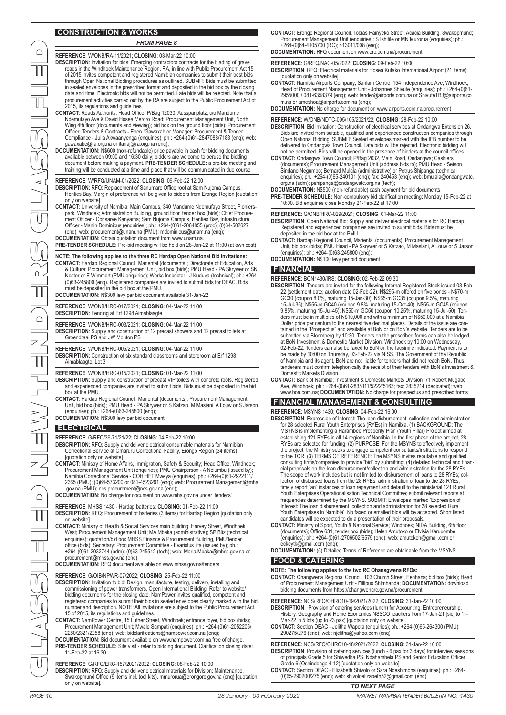# **CONSTRUCTION & WORKS**

PAGE 10 28 January - 03 February 2022 MARKET NAMIBIA TENDER BULLETIN NO. 1430 MARKET NAMIBIA TENDER BULLETIN NO. 1430 28 January - 03 February 2022 PAGE 11 CLASSIFIED NEW TENDERS CLASSIFIED**REFERENCE**: W/ONB/RA-11/2021; **CLOSING**: 03-Mar-22 10:00 **DESCRIPTION**: Invitation for bids: Emerging contractors contracts for the blading of gravel roads in the Windhoek Maintenance Region. RA, in line with Public Procurement Act 15 of 2015 invites competent and registered Namibian companies to submit their best bids through Open National Bidding procedures as outlined. SUBMIT: Bids must be submitted in sealed envelopes in the prescribed format and deposited in the bid box by the closing date and time. Electronic bids will not be permitted. Late bids will be rejected. Note that all procurement activities carried out by the RA are subject to the Public Procurement Act of 2015, its regulations and guidelines. **CONTACT:** Roads Authority; Head Office, P/Bag 12030, Ausspanplatz, c/o Mandume Ndemufayo Ave & David Hosea Meroro Road; Procurement Management Unit, North Wing 4th floor (documents and viewing); bid box on the ground floor (bids); Procurement Officer: Tenders & Contracts - Eben !Gawaxab or Manager: Procurement & Tender Compliance - Julia Akwaanyenga (enquiries); ph.: +264-(0)61-2847088/7183 (enq); web: gawaxabe@ra.org.na or itanaj@ra.org.na (enq); **DOCUMENTATION:** N\$600 (non-refundable) price payable in cash for bidding documents available between 09:00 and 16:30 daily; bidders are welcome to peruse the bidding document before making a payment. **PRE-TENDER SCHEDULE:** a pre-bid meeting and training will be conducted at a time and place that will be communicated in due course **REFERENCE**: W/RFQ/UNAM-01/2022; **CLOSING**: 09-Feb-22 12:00 **DESCRIPTION**: RFQ: Replacement of Sanumarc Office roof at Sam Nujoma Campus, Henties Bay. Margin of preference will be given to bidders from Erongo Region [quotation only on website] **CONTACT:** University of Namibia; Main Campus, 340 Mandume Ndemufayo Street, Pionierspark, Windhoek; Administration Building, ground floor, tender box (bids); Chief Procure-ment Officer - Consarve Kanyama; Sam Nujoma Campus, Henties Bay, Infrastructure Officer - Martin Dominicus (enquiries); ph.: +264-(0)61-2064855 (proc); (0)64-502627 (enq); web: procurement@unam.na (PMU); mdominicus@unam.na (enq); **DOCUMENTATION:** Obtain quotation document from www.unam.na. **PRE-TENDER SCHEDULE:** Pre-bid meeting will be held on 28-Jan-22 at 11:00 (at own cost) **NOTE: The following applies to the three RC Hardap Open National Bid invitations:** CONTACT: Hardap Regional Council, Mariental (documents); Directorate of Education, Arts<br>& Culture; Procurement Management Unit, bid box (bids); PMU Head - PA Skrywer or SN<br>Nestor or E Wimmert (PMU enquiries); Works Inspect (0)63-245800 (enq). Registered companies are invited to submit bids for DEAC. Bids must be deposited in the bid box at the PMU. **DOCUMENTATION:** N\$300 levy per bid document available 31-Jan-22 **REFERENCE**: W/ONB/HRC-017/2021; **CLOSING**: 04-Mar-22 11:00 **DESCRIPTION:** Fencing at Erf 1298 Aimablaagte **REFERENCE**: W/ONB/HRC-003/2021; **CLOSING**: 04-Mar-22 11:00 **DESCRIPTION:** Supply and construction of 12 precast showers and 12 precast toilets at Groendraai PS and JW Mouton PS **REFERENCE**: W/ONB/HRC-005/2021; **CLOSING**: 04-Mar-22 11:00 **DESCRIPTION**: Construction of six standard classrooms and storeroom at Erf 1298 Aimablaagte, Lot 3 **REFERENCE**: W/ONB/HRC-015/2021; **CLOSING**: 01-Mar-22 11:00 **DESCRIPTION**: Supply and construction of precast VIP toilets with concrete roofs. Registered and experienced companies are invited to submit bids. Bids must be deposited in the bid box at the PMU. **CONTACT:** Hardap Regional Council, Mariental (documents); Procurement Management Unit, bid box (bids); PMU Head - PA Skrywer or S Katzao, M Masiani, A Louw or S Jarson (enquiries); ph.: +264-(0)63-245800 (enq); **DOCUMENTATION:** N\$300 levy per bid document **ELECTRICAL REFERENCE**: G/RFQ/39-71/21/22; **CLOSING**: 04-Feb-22 10:00 **DESCRIPTION**: RFQ: Supply and deliver electrical consumable materials for Namibian Correctional Service at Omaruru Correctional Facility, Erongo Region (34 items) [quotation only on website] CONTACT: Ministry of Home Affairs, Immigration, Safety & Security; Head Office, Windhoek;<br>Procurement Management Unit (enquiries); PMU Chairperson - A Nelumbu (issued by);<br>Namibia Correctional Service - COH HFT Mweya (enqu .gov.na (PMU); ncs.procurement@ncs.gov.na (enq); **DOCUMENTATION:** No charge for document on www.mha.gov.na under 'tenders' **REFERENCE**: MHSS 1430 - Hardap batteries; **CLOSING**: 01-Feb-22 11:00 **DESCRIPTION**: RFQ: Procurement of batteries (3 items) for Hardap Region [quotation only on website] **CONTACT:** Ministry of Health & Social Services main building; Harvey Street, Windhoek West; Procurement Management Unit; MA Mbaka (administrative); SP Bitz (technical enquiries); quotation/bid box MHSS Finance & Procurement Building, PMU/tender *FROM PAGE 8*

office (bids); Secretary: Procurement Committee - Evaristus Iita (issued by); ph.: +264-(0)61-2032744 (adm); (0)63-245512 (tech); web: Maria.Mbaka@mhss.gov.na or procurement@mhss.gov.na (enq);

**DOCUMENTATION:** RFQ document available on www.mhss.gov.na/tenders

**REFERENCE**: G/OIB/NPWR-07/2022; **CLOSING**: 25-Feb-22 11:00

- **DESCRIPTION**: Invitation to bid: Design, manufacture, testing, delivery, installing and commissioning of power transformers. Open International Bidding. Refer to website/ bidding documents for the closing date. NamPower invites qualified, competent and registered companies to submit their bids in sealed envelopes clearly marked with the bid number and description. NOTE: All invitations are subject to the Public Procurement Act
- 15 of 2015, its regulations and guidelines. **CONTACT:** NamPower Centre, 15 Luther Street, Windhoek; entrance foyer, bid box (bids); Procurement Management Unit; Mwale Sampati (enquiries); ph.: +264-(0)61-2052206/ 2280/2321/2258 (enq); web: bidclarifications@nampower.com.na (enq);
- **DOCUMENTATION:** Bid document available on www.nampower.com.na free of charge. **PRE-TENDER SCHEDULE:** Site visit - refer to bidding document. Clarification closing date: 11-Feb-22 at 16:30
- **REFERENCE**: G/RFQ/ERC-157/2021/2022; **CLOSING**: 08-Feb-22 10:00 **DESCRIPTION**: RFQ: Supply and deliver electrical materials for Division: Maintenance, Swakopmund Office (9 items incl. tool kits). mmurorua@erongorc.gov.na (enq) [quotation only on website].

**CONTACT:** Erongo Regional Council, Tobias Hainyeko Street, Acacia Building, Swakopmund; Procurement Management Unit (enquiries); S Ishitile or MN Murorua (enquiries); ph.: +264-(0)64-4105700 (RC); 413011/008 (enq);

**DOCUMENTATION:** RFQ document on www.erc.com.na/procurement

**REFERENCE**: G/RFQ/NAC-05/2022; **CLOSING**: 09-Feb-22 10:00

- **DESCRIPTION**: RFQ: Electrical materials for Hosea Kutako International Airport (21 items) [quotation only on website]
- **CONTACT:** Namibia Airports Company; Sanlam Centre, 154 Independence Ave, Windhoek; Head of Procurement Management Unit - Johannes Shivute (enquiries); ph.: +264-(0)61- 2955000 / 081-6358379 (enq); web: tender@airports.com.na or ShivuteTBJ@airports.co m.na or ameshoa@airports.com.na (enq);

**DOCUMENTATION:** No charge for document on www.airports.com.na/procurement

**REFERENCE**: W/ONB/NDTC-005/105/2021/22; **CLOSING**: 28-Feb-22 10:00

**DESCRIPTION**: Bid invitation: Construction of electrical services at Ondangwa Extension 26. Bids are invited from suitable, qualified and experienced construction companies through<br>Open National Bidding. SUBMIT: Sealed envelopes marked with the IFB number to be<br>delivered to Ondangwa Town Council. Late bids will b

Sindano Negumbo; Bernard Mulala (administrative) or Petrus Shipanga (technical enquiries); ph.: +264-(0)65-240101 (enq); fax: 240453 (enq); web: bmulala@ondangwatc. org.na (adm); pshipanga@ondangwatc.org.na (tech);

**DOCUMENTATION:** N\$500 (non-refundable) cash payment for bid documents.

**PRE-TENDER SCHEDULE:** Non-compulsory bid clarification meeting: Monday 15-Feb-22 at 10:00. Bid enquiries close Monday 21-Feb-22 at 17:00

**REFERENCE**: G/ONB/HRC-029/2021; **CLOSING**: 01-Mar-22 11:00

- **DESCRIPTION**: Open National Bid: Supply and deliver electrical materials for RC Hardap. Registered and experienced companies are invited to submit bids. Bids must be deposited in the bid box at the PMU.
- **CONTACT:** Hardap Regional Council, Mariental (documents); Procurement Management Unit, bid box (bids); PMU Head PA Skrywer or S Katzao, M Masiani, A Louw or S Jarson (enquiries); ph.: +264-(0)63-245800 (enq);

**DOCUMENTATION:** N\$100 levy per bid document

#### **FINANCIAL**

- **REFERENCE**: BON1430/IRS; **CLOSING**: 02-Feb-22 09:30
- **DESCRIPTION**: Tenders are invited for the following Internal Registered Stock issued 03-Feb-22 (settlement date; auction date 02-Feb-22): N\$295-m offered on five bonds - N\$70-m<br>GC30 (coupon 8.0%, maturing 15-Jan-30); N\$65-m GC35 (coupon 9.5%, maturing<br>15-Jul-35); N\$55-m GC40 (coupon 9.8%, maturing 15-Oct-40); N\$5 Dollar price per centum to the nearest five decimal places. Details of the issue are con-tained in the "Prospectus" and available at BoN or on BoN's website. Tenders are to be submitted via Bloomberg by 10:30. Tenders on the prescribed forms can also be lodged at BoN Investment & Domestic Market Division, Windhoek by 10:00 on Wednesday, 02-Feb-22. Tenders can also be faxed to BoN on the facsimile indicated. Payment is to be made by 10:00 on Thursday, 03-Feb-22 via NISS. The Government of the Republic of Namibia and its agent, BoN are not liable for tenders that did not reach BoN. Thus, tenderers must confirm telephonically the receipt of their tenders with BoN's Investment & Domestic Markets Division.
- **CONTACT:** Bank of Namibia; Investment & Domestic Markets Division, 71 Robert Mugabe Ave, Windhoek; ph.: +264-(0)61-2835111/5222/5163; fax: 2835214 (dedicated); web: www.bon.com.na; **DOCUMENTATION:** No charge for prospectus and prescribed forms
- **FINANCIAL MANAGEMENT & CONSULTING**

**REFERENCE**: MSYNS 1430; **CLOSING**: 04-Feb-22 16:00

- **DESCRIPTION**: Expression of Interest: The loan disbursement, collection and administration for 28 selected Rural Youth Enterprises (RYEs) in Namibia. (1) BACKGROUND: The MSYNS is implementing a Harambee Prosperity Plan (Youth Pillar) Project aimed at<br>establishing 121 RYEs in all 14 regions of Namibia. In the first phase of the project, 28<br>RYEs are selected for funding. (2) PURPOSE: For the the project, the Ministry seeks to engage competent consultants/institutions to respond<br>to the TOR. (3) TERMS OF REFERENCE: The MSYNS invites reputable and qualified<br>consulting firms/companies to provide "bid" by submittin lection of disbursed loans from the 28 RYEs; administration of loan to the 28 RYEs; timely report "an" instances of loan repayment and default to the ministerial 121 Rural<br>Youth Enterprises Operationalisation Technical Committee; submit relevant reports at<br>frequencies determined by the MSYNS. SUBMIT: Enve Youth Enterprises in Namibia'. No faxed or emailed bids will be accepted. Short listed
- candidates will be expected to do a presentation of their proposals.<br>CONTACT: Ministry of Sport, Youth & National Service; Windhoek; NIDA Building, 6th floor<br>(documents); Office 631, tender box (bids); Helen Amutoko or Elv (enquiries); ph.: +264-(0)61-2706502/6575 (enq); web: amutokoh@gmail.com or eckeytk@gmail.com (eng);

**DOCUMENTATION:** (5) Detailed Terms of Reference are obtainable from the MSYNS. **FOOD & CATERING**

#### **NOTE: The following applies to the two RC Ohansgwena RFQs:**

**CONTACT:** Ohangwena Regional Council, 103 Church Street, Eenhana; bid box (bids); Head of Procurement Management Unit - Fillipus Shimhanda; **DOCUMENTATION:** download bidding documents from https://ohangwenarc.gov.na/procurement

**REFERENCE**: NCS/RFQ/OHRC10-19/2021/2022; **CLOSING**: 31-Jan-22 10:00

- **DESCRIPTION**: Provision of catering services (lunch) for Accounting, Entrepreneurship, History, Geography and Home Economics NSSCO teachers from 17-Jan-21 [sic] to 11- Mar-22 in 5 lots (up to 23 pax) [quotation only on website]
- **CONTACT:** Section DEAC Jelitha Wapota (enquiries); ph.: +264-(0)65-264300 (PMU); 290275/276 (enq); web: njelitha@yahoo.com (enq)

**REFERENCE**: NCS/RFQ/OHRC10-18/2021/2022; **CLOSING**: 31-Jan-22 10:00 **DESCRIPTION**: Provision of catering services (lunch - 6 pax for 3 days) for interview sessions of principals Grade 5 for Shiwedha PS, Ndahambela PS and Senior Education Officer

- Grade 6 (Oshindonga 4-12) [quotation only on website] **CONTACT:** Section DEAC Elizabeth Shivolo or Sara Ndeshimona (enquiries); ph.: +264-
- (0)65-290200/275 (enq); web: shivoloelizabeth52@gmail.com (enq)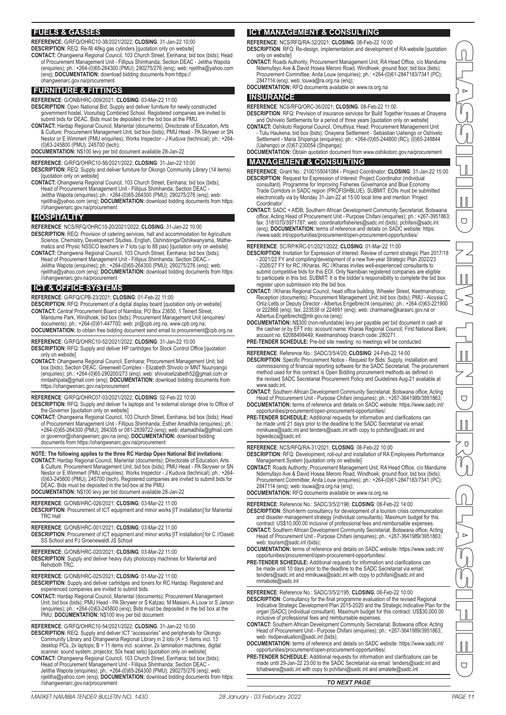## **FUELS & GASSES**

**REFERENCE** : G/RFQ/OHRC10-38/2021/2022; **CLOSING**: 31-Jan-22 10:00 **DESCRIPTION** : REQ: Re-fill 48kg gas cylinders [quotation only on website]

CONTACT: Ohangwena Regional Council, 103 Church Street, Eenhana; bid box (bids); Head<br>of Procurement Management Unit - Fillipus Shimhanda; Section DEAC - Jelitha Wapota<br>enquiries); ph.: +264-(0)65-264300 (PMU); 290275/276 (enq); **DOCUMENTATION:** download bidding documents from https:// ohangwenarc.gov.na/procurement

## **FURNITURE & FITTINGS**

**REFERENCE**: G/ONB/HRC-009/2021; **CLOSING**: 03-Mar-22 11:00

- **DESCRIPTION**: Open National Bid: Supply and deliver furniture for newly constructed government hostel, Vooruitsig Combined School. Registered companies are invited to submit bids for DEAC. Bids must be deposited in the bid box at the PMU.
- **CONTACT:** Hardap Regional Council, Mariental (documents); Directorate of Education, Arts & Culture; Procurement Management Unit, bid box (bids); PMU Head - PA Skrywer or SN Nestor or E Wimmert (PMU enquiries); Works Inspector - J Kuduva (technical); ph.: +264- (0)63-245800 (PMU); 245700 (tech);

**DOCUMENTATION:** N\$100 levy per bid document available 28-Jan-22

- **REFERENCE**: G/RFQ/OHRC10-56/2021/2022; **CLOSING**: 31-Jan-22 10:00 **DESCRIPTION**: REQ: Supply and deliver furniture for Okongo Community Library (14 items) [quotation only on website]
- CONTACT: Ohangwena Regional Council, 103 Church Street, Eenhana; bid box (bids);<br>Head of Procurement Management Unit Fillipus Shimhanda; Section DEAC -<br>Jelitha Wapota (enquiries); ph.: +264-(0)65-264300 (PMU); 290275/276 //ohangwenarc.gov.na/procurement

### **HOSPITALITY**

**REFERENCE**: NCS/RFQ/OHRC10-20/2021/2022; **CLOSING**: 31-Jan-22 10:00

- DESCRIPTION: REQ: Provision of catering services, hall and accommodation for Agriculture<br>Science, Chemistry, Development Studies, English, Oshindonga/Oshikwanyama, Mathe-<br>matics and Physic NSSCO teachers in 7 lots (up to 8 **CONTACT:** Ohangwena Regional Council, 103 Church Street, Eenhana; bid box (bids);
- Head of Procurement Management Unit Fillipus Shimhanda; Section DEAC Jelitha Wapota (enquiries); ph.: +264-(0)65-264300 (PMU); 290275/276 (enq); web: njelitha@yahoo.com (enq); **DOCUMENTATION:** download bidding documents from https: //ohangwenarc.gov.na/procurement

## **ICT & OFFICE SYSTEMS**

**REFERENCE**: G/RFQ/CPB-23/2021; **CLOSING**: 01-Feb-22 11:00

- **DESCRIPTION**: RFQ: Procurement of a digital display board [quotation only on website]
- **CONTACT:** Central Procurement Board of Namibia; PO Box 23650, 1 Teinert Street, Mandume Park, Windhoek; bid box (bids); Procurement Management Unit (enquiries/ uments); ph.: +264-(0)61-447700; web: pr@cpb.org.na; www.cpb.org.na **DOCUMENTATION:** to obtain free bidding document send email to procurement@cpb.org.na

#### **REFERENCE**: G/RFQ/OHRC10-52/2021/2022; **CLOSING**: 31-Jan-22 10:00 **DESCRIPTION**: RFQ: Supply and deliver HP cartridges for Stock Control Office [quotation

- only on website] CONTACT: Ohangwena Regional Council, Eenhana; Procurement Management Unit; bid<br>box (bids); Section DEAC, Greenwell Complex - Elizabeth Shivolo or MNT Nuunyango<br>(enquiries); ph:. +264-(0)65-290200/273 (enq); web: shivoloeli
- https://ohangwenarc.gov.na/procurement
- **REFERENCE**: G/RFQ/OHRC07-03/2021/2022; **CLOSING**: 02-Feb-22 10:00
- **DESCRIPTION**: RFQ: Supply and deliver 1x laptops and 1x external storage drive to Office of the Governor [quotation only on website]
- **CONTACT:** Ohangwena Regional Council, 103 Church Street, Eenhana; bid box (bids); Head of Procurement Management Unit - Fillipus Shimhanda; Esther Amadhila (enquiries); ph.: +264-(0)65-264300 (PMU); 264305 or 081-2839722 (enq); web: etamadhila@gfmail.com or governor@ohangwenarc.gov.na (enq); **DOCUMENTATION:** download bidding documents from https://ohangwenarc.gov.na/procurement

**NOTE: The following applies to the three RC Hardap Open National Bid invitations:**

**CONTACT:** Hardap Regional Council, Mariental (documents); Directorate of Education, Arts & Culture; Procurement Management Unit, bid box (bids); PMU Head - PA Skrywer or SN Nestor or E Wimmert (PMU enquiries); Works Inspector - J Kuduva (technical); ph.: +264- (0)63-245800 (PMU); 245700 (tech). Registered companies are invited to submit bids for DEAC. Bids must be deposited in the bid box at the PMU. **DOCUMENTATION:** N\$100 levy per bid document available 28-Jan-22

# **REFERENCE**: G/ONB/HRC-026/2021; **CLOSING**: 03-Mar-22 11:00

- **DESCRIPTION**: Procurement of ICT equipment and minor works [IT installation] for Mariental TRC Hall
- **REFERENCE**: G/ONB/HRC-001/2021; **CLOSING**: 03-Mar-22 11:00 **DESCRIPTION:** Procurement of ICT equipment and minor works [IT installation] for C //Oaseb SS School and PJ Groenewaldt JS School
- **REFERENCE**: G/ONB/HRC-020/2021; **CLOSING**: 03-Mar-22 11:00
- **DESCRIPTION**: Supply and deliver heavy duty photocopy machines for Mariental and Rehoboth TRC.
- **REFERENCE**: G/ONB/HRC-025/2021; **CLOSING**: 01-Mar-22 11:00
- **DESCRIPTION**: Supply and deliver cartridges and toners for RC Hardap. Registered and experienced companies are invited to submit bids.
- CONTACT: Hardap Regional Council, Mariental (documents); Procurement Management<br>Unit, bid box (bids); PMU Head PA Skrywer or S Katzao, M Masiani, A Louw or S Jarson<br>enquiries); ph.: +264-(0)63-245800 (enq); Bids must be PMU; **DOCUMENTATION:** N\$100 levy per bid document

**REFERENCE**: G/RFQ/OHRC10-54/2021/2022; **CLOSING**: 31-Jan-22 10:00

- **DESCRIPTION**: REQ: Supply and deliver ICT "accessories" and peripherals for Okongo Community Library and Ohangwena Regional Library in 2 lots (A = 5 items incl. 13 desktop PCs, 2x laptops; B = 11 items incl. scanner, 2x lamination machines, digital scanner, sound system, projector, 50x head sets) [quotation only on website] **CONTACT:** Ohangwena Regional Council, 103 Church Street, Eenhana; bid box (bids);
- Head of Procurement Management Unit Fillipus Shimhanda; Section DEAC -<br>Jelitha Wapota (enquiries); ph.: +264-(0)65-264300 (PMU); 290275/276 (enq); web:<br>njelitha@yahoo.com (enq); **DOCUMENTATION:** download bidding documen //ohangwenarc.gov.na/procurement

# **ICT MANAGEMENT & CONSULTING**

**REFERENCE**: NCS/RFQ/RA-32/2021; **CLOSING**: 08-Feb-22 10:00 **DESCRIPTION**: RFQ: Re-design, implementation and development of RA website [quotation only on website]

- **CONTACT:** Roads Authority; Procurement Management Unit; RA Head Office, c/o Mandume Ndemufayo Ave & David Hosea Meroro Road, Windhoek; ground floor, bid box (bids); Procurement Committee; Anita Louw (enquiries); ph.: +264-(0)61-2847183/7341 (PC); 2847114 (enq); web: louwa@ra.org.na (enq);
- **DOCUMENTATION:** RFQ documents available on www.ra.org.na

#### **INSURANCE**

**REFERENCE**: NCS/RFQ/ORC-36/2021; **CLOSING**: 08-Feb-22 11:00

- **DESCRIPTION**: RFQ: Prevision of insurance services for Build Together houses at Onayena
- and Oshivelo Settlements for a period of three years [quotation only on website] **CONTACT:** Oshikoto Regional Council, Omuthiya; Head: Procurement Management Unit - Tutu Haukena; bid box (bids); Onayena Settlement - Sebastian Uahengo or Oshivelo Settlement - Maria Shipanga (enquiries); ph.: +264-(0)65-244800 (RC); (0)65-248844 (Uahengo) or (0)67-230054 (Shipanga);
- **DOCUMENTATION:** Obtain quotation document from www.oshikotorc.gov.na/procurement

#### **MANAGEMENT & CONSULTING**

- **REFERENCE**: Grant No.: 2100155041084 Project Coordinator; **CLOSING**: 31-Jan-22 15:00 DESCRIPTION: Request for Expression of Interest: Project Coordinator (individual<br>consultant). Programme for Improving Fisheries Governance and Blue Economy<br>Trade Corridors in SADC region (PROFISHBLUE). SUBMIT: EOIs must be electronically via by Monday 31-Jan-22 at 15:00 local time and mention 'Project Coordinator'.
- **CONTACT:** SADC + AfDB; Southern African Development Community Secretariat, Botswana office; Acting Head of Procurement Unit - Purpose Chifani (enquiries); ph.: +267-3951863;<br>fax: 3181070/3971787; web: coordinatorfisheries@sadc.int (bids); pchifani@sadc.int<br>(enq); **DOCUMENTATION:** terms of reference and d //www.sadc.int/opportunities/procurement/open-procurement-opportunities/

**REFERENCE**: SC/RP/KRC-01/2021/2022; **CLOSING**: 01-Mar-22 11:00

- **DESCRIPTION**: Invitation for Expression of Interest: Review of current strategic Plan 2017/18 - 2021/22 FY and compiling/development of a new five-year Strategic Plan 2022/23<br>- 2026/27 FY for RC //Kharas. RC //Kharas invites well-experienced consultants to<br>submit competitive bids for this EOI. Only Namibian registe to participate in this bid. SUBMIT: It is the bidder's responsibility to complete the bid box register upon submission into the bid box.
- CONTACT: //Kharas Regional Council, head office building, Wheeler Street, Keetmanshoop;<br>Reception (documents); Procurement Management Unit; bid box (bids); PMU Aloysia C<br>Ortiz-Letts or Deputy Director Albertus Engelbre or 222868 (enq); fax: 223538 or 224891 (enq); web: charmaine@karasrc.gov.na or
- Albertus.Engelbrecht@mlr.gov.na (enq); **DOCUMENTATION:** N\$300 (non-refundable) levy per payable per bid document in cash at the cashier or by EFT into: account name: Kharas Regional Council; First National Bank; account no. 62088499449; Keetmanshoop branch code: 280271. **PRE-TENDER SCHEDULE:** Pre-bid site meeting: no meetings will be conducted

- **REFERENCE**: Reference No.: SADC/3/5/4/20; **CLOSING**: 24-Feb-22 14:00 **DESCRIPTION**: Specific Procurement Notice - Request for Bids: Supply, installation and commissioning of financial reporting software for the SADC Secretariat. The procurement<br>method used for this contract is Open Bidding procurement methods as defined in<br>the revised SADC Secretariat Procurement Policy and Gu www.sadc.int.
- **CONTACT:** Southern African Development Community Secretariat, Botswana office; Acting Head of Procurement Unit Purpose Chifani (enquiries); ph.: +267-3641989/3951863; **DOCUMENTATION:** terms of reference and details on SADC website: https://www.sadc.int/
- opportunities/procurement/open-procurement-opportunities/. **PRE-TENDER SCHEDULE:** Additional requests for information and clarifications can be made until 21 days prior to the deadline to the SADC Secretariat via email:
- mmikuwa@sadc.int and tenders@sadc.int with copy to pchifani@sadc.int and bgwedeza@sadc.int

**REFERENCE**: NCS/RFQ/RA-31/2021; **CLOSING**: 08-Feb-22 10:00

- **DESCRIPTION**: RFQ: Development, roll-out and installation of RA Employees Performance Management System [quotation only on website]
- **CONTACT:** Roads Authority; Procurement Management Unit; RA Head Office, c/o Mandume Ndemufayo Ave & David Hosea Meroro Road, Windhoek; ground floor, bid box (bids); Procurement Committee; Anita Louw (enquiries); ph.: +264-(0)61-2847183/7341 (PC); 2847114 (enq); web: louwa@ra.org.na (enq);

**DOCUMENTATION:** RFQ documents available on www.ra.org.na

**REFERENCE**: Reference No.: SADC/3/5/2/196; **CLOSING**: 08-Feb-22 14:00

- DESCRIPTION: Short-term consultancy for development of a tourism crisis communication<br>and disaster management strategy (individual consultants). Maximum budget for this<br>contract: US\$10,000.00 inclusive of professional fees
- **CONTACT:** Southern African Development Community Secretariat, Botswana office; Acting Head of Procurement Unit - Purpose Chifani (enquiries); ph.: +267-3641989/3951863; web: tourism@sadc.int (bids);
- **DOCUMENTATION:** terms of reference and details on SADC website: https://www.sadc.int/ opportunities/procurement/open-procurement-opportunities/.
- **PRE-TENDER SCHEDULE:** Additional requests for information and clarifications can be made until 10 days prior to the deadline to the SADC Secretariat via email: tenders@sadc.int and mmikuwa@sadc.int with copy to pchifani@sadc.int and mmabote@sadc.int

- REFERENCE: Reference No.: SADC/3/5/2/195; CLOSING: 08-Feb-22 10:00<br>DESCRIPTION: Consultancy for the final programme evaluation of the revised Regional<br>Indicative Strategic Development Plan 2015-2020 and the Strategic Indic organ [SADC] (individual consultant). Maximum budget for this contract: US\$30,000.00 inclusive of professional fees and reimbursable expenses.
- **CONTACT:** Southern African Development Community Secretariat, Botswana office; Acting Head of Procurement Unit - Purpose Chifani (enquiries); ph.: +267-3641989/3951863; web: risdpevaluation@sadc.int (bids);
- **DOCUMENTATION:** terms of reference and details on SADC website: https://www.sadc.int/ opportunities/procurement/open-procurement-opportunities/.
- **PRE-TENDER SCHEDULE:** Additional requests for information and clarifications can be made until 29-Jan-22 23:00 to the SADC Secretariat via email: tenders@sadc.int and tchabwera@sadc.int with copy to pchifani@sadc.int and amatete@sadc.int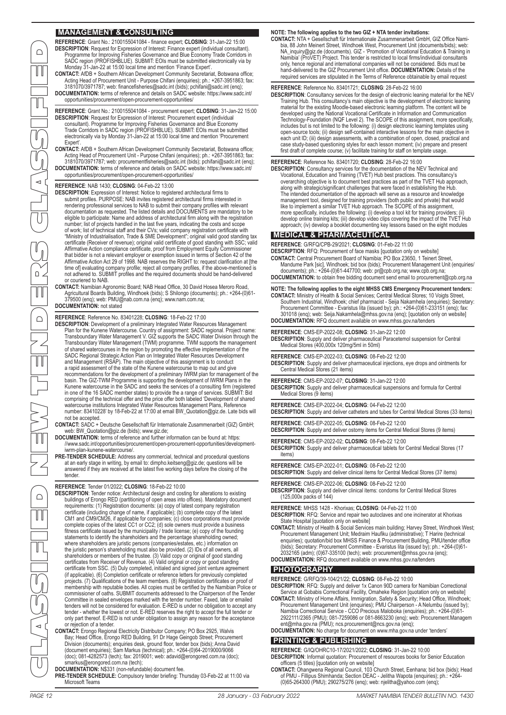#### **MANAGEMENT & CONSULTING**

**REFERENCE**: Grant No.: 2100155041084 - finance expert; **CLOSING**: 31-Jan-22 15:00 **DESCRIPTION:** Request for Expression of Interest: Finance expert (individual consultant).<br>Programme for Improving Fisheries Governance and Blue Economy Trade Corridors in<br>SADC region (PROFISHBLUE). SUBMIT: EOIs must be su

**CONTACT:** AfDB + Southern African Development Community Secretariat, Botswana office; Acting Head of Procurement Unit - Purpose Chifani (enquiries); ph.: +267-3951863; fax: 3181070/3971787; web: financefisheries@sadc.int (bids); pchifani@sadc.int (enq); **DOCUMENTATION:** terms of reference and details on SADC website: https://www.sadc.int/

opportunities/procurement/open-procurement-opportunities/

**REFERENCE**: Grant No.: 2100155041084 - procurement expert; **CLOSING**: 31-Jan-22 15:00 **DESCRIPTION**: Request for Expression of Interest: Procurement expert (individual consultant). Programme for Improving Fisheries Governance and Blue Economy<br>Trade Corridors in SADC region (PROFISHBLUE). SUBMIT: EOIs must be submitted<br>electronically via by Monday 31-Jan-22 at 15:00 local time and mention Expert'.

CONTACT: AfDB + Southern African Development Community Secretariat, Botswana office;<br>Acting Head of Procurement Unit - Purpose Chifani (enquiries); ph.: +267-3951863; fax:<br>3181070/3971787; web: procurementfisheries@sadc.in **DOCUMENTATION:** terms of reference and details on SADC website: https://www.sadc.int/ opportunities/procurement/open-procurement-opportunities/

#### **REFERENCE**: NAB 1430; **CLOSING**: 04-Feb-22 13:00

DESCRIPTION: Expression of Interest: Notice to registered architectural firms to<br>submit profiles. PURPOSE: NAB invites registered architectural firms interested in<br>rendering professional services to NAB to submit their com documentation as requested. The listed details and DOCUMENTS are mandatory to be eligible to participate: Name and address of architectural firm along with the registration number; list of projects handled in the last five years, indicating the costs and scope of work; list of technical staff and their CVs; valid company registration certificate with<br>"Ministry of Industrialisation, Trade & SME Development"; original valid good standing tax<br>certificate (Receiver of revenue); orig Affirmative Action Act 29 of 1998. NAB reserves the RIGHT to: request clarification at [the time of] evaluating company profile; reject all company profiles, if the above-mentioned is not adhered to. SUBMIT profiles and the required documents should be hand-delivered or couriered to NAB.

**CONTACT:** Namibian Agronomic Board; NAB Head Office, 30 David Hosea Meroro Road, Agricultural Boards Building, Windhoek (bids); S Shilongo (documents); ph.: +264-(0)61- 379500 (enq); web: PMU@nab.com.na (enq); www.nam.com.na; **DOCUMENTATION:** not stated

#### **REFERENCE**: Reference No. 83401228; **CLOSING**: 18-Feb-22 17:00

**DESCRIPTION**: Development of a preliminary Integrated Water Resources Management Plan for the Kunene Watercourse. Country of assignment: SADC regional. Project name: Transboundary Water Management V. GIZ supports the SADC Water Division through the Transboundary Water Management (TWM) programme. TWM supports the management of shared watercourses in the region by promoting the effective implementation of the<br>SADC Regional Strategic Action Plan on Integrated Water Resources Development<br>and Management (RSAP). The main objective of this assignme recommendations for the development of a preliminary IWRM plan for management of the basin. The GIZ-TWM Programme is supporting the development of IWRM Plans in the<br>Kunene watercourse in the SADC and seeks the services of a consulting firm (registered<br>in one of the 16 SADC member states) to provide the a r comprising of the technical offer and the price offer both labeled 'Development of shared watercourse institutions Integrated Water Resources Management Plans, Reference number: 83410228' by 18-Feb-22 at 17:00 at email BW\_Quotation@giz.de. Late bids will not be accepted.

**CONTACT:** SADC + Deutsche Gesellschaft für Internationale Zusammenarbeit (GIZ) GmbH; web: BW\_Quotation@giz.de (bids); www.giz.de;

- **DOCUMENTATION: terms** of reference and further information can be found at: https: //www.sadc.int/opportunities/procurement/open-procurement-opportunities/developmentiwrm-plan-kunene-watercourse/.
- **PRE-TENDER SCHEDULE:** Address any commercial, technical and procedural questions at an early stage in writing, by email to: dimpho.keitseng@giz.de; questions will be answered if they are received at the latest five working days before the closing of the tender.

#### **REFERENCE**: Tender 01/2022; **CLOSING**: 18-Feb-22 10:00

 $\begin{array}{c}\n\text{P} \\
\text{P} \\
\text{P} \\
\text{P} \\
\text{P} \\
\text{P} \\
\text{P} \\
\text{P} \\
\text{P} \\
\text{P} \\
\text{P} \\
\text{P} \\
\text{P} \\
\text{P} \\
\text{P} \\
\text{P} \\
\text{P} \\
\text{P} \\
\text{P} \\
\text{P} \\
\text{P} \\
\text{P} \\
\text{P} \\
\text{P} \\
\text{P} \\
\text{P} \\
\text{P} \\
\text{P} \\
\text{P} \\
\text{P} \\
\text{P} \\
\text{P} \\
\text{P} \\
\text{P} \\
\text{P} \\
\text$ **DESCRIPTION**: Tender notice: Architectural design and costing for alterations to existing buildings of Erongo RED (partitioning of open areas into offices). Mandatory document<br>requirements: (1) Registration documents: (a) copy of latest company registration<br>certificate (including change of name, if applicable); CM1 and CM9/CM26, if applicable for companies; (c) close corporations must provide complete copies of the latest CC1 or CC2; (d) sole owners must provide a business fitness certificate issued by the municipality / trade license; (e) copy of the founding statements to identify the shareholders and the percentage shareholding owned; where shareholders are juristic persons (companies/estates, etc.) information on the juristic person's shareholding must also be provided. (2) IDs of all owners, all<br>shareholders or members of the trustee. (3) Valid copy or original of good standing<br>certificates from Receiver of Revenue. (4) Valid orig projects. (7) Qualifications of the team members. (8) Registration certificates or proof of membership with reputable bodies. All copies must be certified by the Namibian Police or commissioner of oaths. SUBMIT documents addressed to the Chairperson of the Tender Committee in sealed envelopes marked with the tender number. Faxed, late or emailed tenders will not be considered for evaluation. E-RED is under no obligation to accept any tender - whether the lowest or not. E-RED reserves the right to accept the full tender or only part thereof. E-RED is not under obligation to assign any reason for the acceptance or rejection of a tender.

CONTACT: Erongo Regional Electricity Distributor Company; PO Box 2925, Walvis<br>Bay; Head Office, Erongo RED Building, 91 Dr Hage Geingob Street; Procurement<br>Division (document enquiries); Squaries desk, ground floor, tender smarkus@erongored.com.na (tech);

**DOCUMENTATION:** N\$331 (non-refundable) document fee.

**PRE-TENDER SCHEDULE:** Compulsory tender briefing: Thursday 03-Feb-22 at 11:00 via Microsoft Teams

#### **NOTE: The following applies to the two GIZ + NTA tender invitations:**

**CONTACT:** NTA + Gesellschaft für Internationale Zusammenarbeit GmbH, GIZ Office Namibia, 88 John Meinert Street, Windhoek West, Procurement Unit (documents/bids); web:<br>NA\_inquiry@giz.de (documents). GIZ - 'Promotion of Vocational Education & Training in<br>Namibia' (ProVET) Project. This tender is restricted only, hence regional and international companies will not be considered. Bids must be hand-delivered to the GIZ Procurement Unit office. **DOCUMENTATION:** Details of the required services are stipulated in the Terms of Reference obtainable by email request

#### **REFERENCE**: Reference No. 83401721; **CLOSING**: 28-Feb-22 16:00

**DESCRIPTION**: Consultancy services for the design of electronic leaning material for the NEV Training Hub. This consultancy's main objective is the development of electronic leaning<br>material for the existing Moodle-based electronic learning platform. The content will be<br>developed using the National Vocational Cert includes but is not limited to the following: (i) design electronic learning templates using open-source tools; (ii) design self-contained interactive lessons for the main objective in each unit ID; (iii) design assessments, with a combination of open, closed, practical and case study-based questioning styles for each lesson moment; (iv) prepare and present first draft of complete course; (v) facilitate training for staff on template usage.

#### **REFERENCE**: Reference No. 83401720; **CLOSING**: 28-Feb-22 16:00

DESCRIPTION: Consultancy services for the documentation of the NEV Technical and<br>Vocational, Education and Training (TVET) Hub best practices. This consultancy's<br>overarching objective is to document best practices as part along with strategic/significant challenges that were faced in establishing the Hub. The intended documentation of the approach will serve as a resource and knowledge management tool, designed for training providers (both public and private) that would<br>like to implement a similar TVET Hub approach. The SCOPE of this assignment,<br>more specifically, includes the following: (i) develop a to develop online training kits; (iii) develop video clips covering the impact of the TVET Hub approach; (iv) develop a booklet documenting key lessons based on the eight modules

#### **MEDICAL & PHARMACEUTICAL**

**REFERENCE**: G/RFQ/CPB-29/2021; **CLOSING**: 01-Feb-22 11:00

- **DESCRIPTION**: RFQ: Procurement of face masks [quotation only on website] **CONTACT:** Central Procurement Board of Namibia; PO Box 23650, 1 Teinert Street, Mandume Park [sic], Windhoek; bid box (bids); Procurement Management Unit (enquiries/ documents); ph.: +264-(0)61-447700; web: pr@cpb.org.na; www.cpb.org.na;
- **DOCUMENTATION:** to obtain free bidding document send email to procurement@cpb.org.na
- **NOTE: The following applies to the eight MHSS CMS Emergency Procurement tenders: CONTACT:** Ministry of Health & Social Services; Central Medical Stores; 10 Voigts Street, Southern Industrial, Windhoek; chief pharmacist - Seija Nakamhela (enquiries); Secretary:<br>Procurement Committee - Evaristus lita (issued by); ph.: +264-(0)61-233151 (enq); fax:<br>301018 (enq); web: Seija.Nakamhela@mhss.gov. **DOCUMENTATION:** RFQ document available on www.mhss.gov.na/tenders

#### **REFERENCE**: CMS-EP-2022-08; **CLOSING**: 31-Jan-22 12:00

**DESCRIPTION:** Supply and deliver pharmaceutical Paracetemol suspension for Central Medical Stores (400,000x 120mg/5ml in 50ml)

- **REFERENCE**: CMS-EP-2022-03; **CLOSING**: 08-Feb-22 12:00
- **DESCRIPTION**: Supply and deliver pharmaceutical injections, eye drops and ointments for Central Medical Stores (21 items)

**REFERENCE**: CMS-EP-2022-07; **CLOSING**: 31-Jan-22 12:00

**DESCRIPTION**: Supply and deliver pharmaceutical suspensions and formula for Central Medical Stores (9 items)

**REFERENCE**: CMS-EP-2022-04; **CLOSING**: 04-Feb-22 12:00

**DESCRIPTION**: Supply and deliver catheters and tubes for Central Medical Stores (33 items)

**REFERENCE**: CMS-EP-2022-05; **CLOSING**: 08-Feb-22 12:00 **DESCRIPTION**: Supply and deliver ostomy items for Central Medical Stores (9 items)

**REFERENCE**: CMS-EP-2022-02; **CLOSING**: 08-Feb-22 12:00 **DESCRIPTION**: Supply and deliver pharmaceutical tablets for Central Medical Stores (17

items)

**REFERENCE**: CMS-EP-2022-01; **CLOSING**: 08-Feb-22 12:00

**DESCRIPTION**: Supply and deliver clinical items for Central Medical Stores (37 items) **REFERENCE**: CMS-EP-2022-06; **CLOSING**: 08-Feb-22 12:00

**DESCRIPTION**: Supply and deliver clinical items: condoms for Central Medical Stores (125,000x packs of 144)

**REFERENCE**: MHSS 1428 - Khorixas; **CLOSING**: 04-Feb-22 11:00

**DESCRIPTION**: RFQ: Service and repair two autoclaves and one incinerator at Khorixas

- State Hospital [quotation only on website] **CONTACT:** Ministry of Health & Social Services main building; Harvey Street, Windhoek West; Procurement Management Unit; Medraim Haufiku (administrative); T Harire (technical enquiries); quotation/bid box MHSS Finance & Procurement Building, PMU/tender office (bids); Secretary: Procurement Committee - Evaristus Iita (issued by); ph.: +264-(0)61- 2032165 (adm); (0)67-335100 (tech); web: procurement@mhss.gov.na (enq);
- **DOCUMENTATION:** RFQ document available on www.mhss.gov.na/tenders

#### **PHOTOGRAPHY**

**REFERENCE**: G/RFQ/39-104/21/22; **CLOSING**: 08-Feb-22 10:00

**DESCRIPTION:** RFQ: Supply and deliver 1x Canon 90D camera for Namibian Correctional<br>Service at Gobabis Correctional Facility, Omaheke Region [quotation only on website]<br>CONTACT: Ministry of Home Affairs, Immigration, Safe

Namibia Correctional Service - CCO Precious Maloboka (enquiries); ph.: +264-(0)61- 2922111/2365 (PMU); 081-7259086 or 081-8663230 (enq); web: Procurement.Managem ent@mha.gov.na (PMU); ncs.procurement@ncs.gov.na (enq); **DOCUMENTATION:** No charge for document on www.mha.gov.na under 'tenders'

# **PRINTING & PUBLISHING**

**REFERENCE**: G/IQ/OHRC10-17/2021/2022; **CLOSING**: 31-Jan-22 10:00 **DESCRIPTION**: Informal quotation: Procurement of resources books for Senior Education officers (5 titles) [quotation only on website]

**CONTACT:** Ohangwena Regional Council, 103 Church Street, Eenhana; bid box (bids); Head of PMU - Fillipus Shimhanda; Section DEAC - Jelitha Wapota (enquiries); ph.: +264- (0)65-264300 (PMU); 290275/276 (enq); web: njelitha@yahoo.com (enq);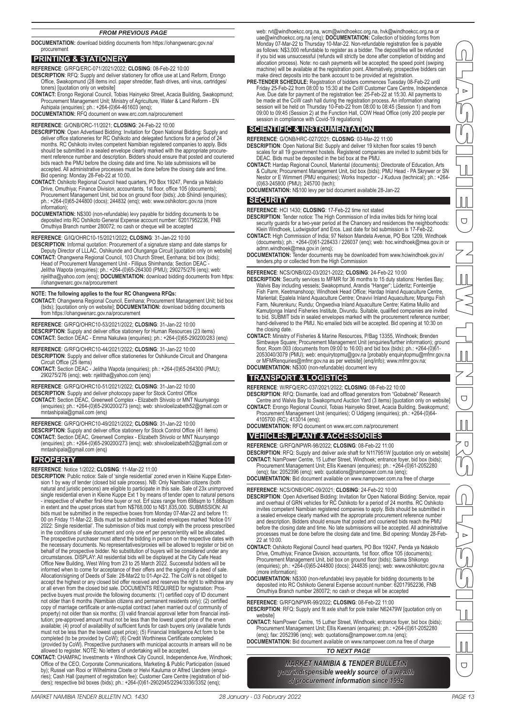#### *FROM PREVIOUS PAGE*

**DOCUMENTATION:**  download bidding documents from https://ohangwenarc.gov.na/ procurement

#### **PRINTING & STATIONERY**

**REFERENCE**: G/RFQ/ERC-071/2021/2022; **CLOSING**: 08-Feb-22 10:00

- **DESCRIPTION**: RFQ: Supply and deliver stationery for office use at Land Reform, Erongo Office, Swakopmund (28 items incl. paper shredder, flash drives, anti virus, cartridges/ toners) [quotation only on website]
- **CONTACT:** Erongo Regional Council, Tobias Hainyeko Street, Acacia Building, Swakopmund; Procurement Management Unit; Ministry of Agriculture, Water & Land Reform - EN Ashipala (enquiries); ph.: +264-(0)64-461603 (enq); **DOCUMENTATION:** RFQ document on www.erc.com.na/procurement
- 

# **REFERENCE**: G/ONB/ORC-11/2021; **CLOSING**: 24-Feb-22 10:00

- **DESCRIPTION**: Open Advertised Bidding: Invitation for Open National Bidding: Supply and deliver office stationeries for RC Oshikoto and delegated functions for a period of 24 months. RC Oshikoto invites competent Namibian registered companies to apply. Bids<br>should be submitted in a sealed envelope clearly marked with the appropriate procure-<br>ment reference number and description. Bidders should bids reach the PMU before the closing date and time. No late submissions will be accepted. All administrative processes must be done before the closing date and time. Bid opening: Monday 28-Feb-22 at 10:00.
- **CONTACT:** Oshikoto Regional Council head quarters, PO Box 19247, Penda ya Ndakolo Drive, Omuthiya; Finance Division, accountants, 1st floor, office 105 (documents); Procurement Management Unit, bid box on ground floor (bids); Job Shiindi (enquiries); ph.: +264-(0)65-244800 (docs); 244832 (enq); web: www.oshikotorc.gov.na (more information);
- **DOCUMENTATION:** N\$300 (non-refundable) levy payable for bidding documents to be deposited into RC Oshikoto General Expense account number: 62017952236, FNB Omuthiya Branch number 280072; no cash or cheque will be accepted

#### **REFERENCE**: G/IQ/OHRC10-15/2021/2022; **CLOSING**: 31-Jan-22 10:00

**DESCRIPTION**: Informal quotation: Procurement of a signature stamp and date stamps for Deputy Director of LLLAC, Oshikunde and Otunganga Circuit [quotation only on website]

**CONTACT:** Ohangwena Regional Council, 103 Church Street, Eenhana; bid box (bids); Head of Procurement Management Unit - Fillipus Shimhanda; Section DEAC - Jelitha Wapota (enquiries); ph.: +264-(0)65-264300 (PMU); 290275/276 (enq); web: njelitha@yahoo.com (enq); **DOCUMENTATION:** download bidding documents from https: //ohangwenarc.gov.na/procurement

**NOTE: The following applies to the four RC Ohangwena RFQs: CONTACT:** Ohangwena Regional Council, Eenhana; Procurement Management Unit; bid box (bids); [quotation only on website]; **DOCUMENTATION:** download bidding documents from https://ohangwenarc.gov.na/procurement

**REFERENCE**: G/RFQ/OHRC10-53/2021/2022; **CLOSING**: 31-Jan-22 10:00 **DESCRIPTION:** Supply and deliver office stationery for Human Resources (23 items) **CONTACT:** Section DEAC - Emma Nakulwa (enquiries); ph.: +264-(0)65-290200/283 (enq)

#### **REFERENCE**: G/RFQ/OHRC10-44/2021/2022; **CLOSING**: 31-Jan-22 10:00 **DESCRIPTION:** Supply and deliver office stationeries for Oshikunde Circuit and Ohangena

- Circuit Office (25 items)
- **CONTACT:** Section DEAC Jelitha Wapota (enquiries); ph.: +264-(0)65-264300 (PMU); 290275/276 (enq); web: njelitha@yahoo.com (enq)

**REFERENCE**: G/RFQ/OHRC10-51/2021/2022; **CLOSING**: 31-Jan-22 10:00

**DESCRIPTION**: Supply and deliver photocopy paper for Stock Control Office

**CONTACT:** Section DEAC, Greenwell Complex - Elizabeth Shivolo or MNT Nuunyango (enquiries); ph.: +264-(0)65-290200/273 (enq); web: shivoloelizabeth52@gmail.com or mntashipala@gmail.com (enq)

**REFERENCE**: G/RFQ/OHRC10-49/2021/2022; **CLOSING**: 31-Jan-22 10:00

**DESCRIPTION**: Supply and deliver office stationery for Stock Control Office (41 items) **CONTACT:** Section DEAC, Greenwell Complex - Elizabeth Shivolo or MNT Nuunyango (enquiries); ph.: +264-(0)65-290200/273 (enq); web: shivoloelizabeth52@gmail.com or mntashipala@gmail.com (enq)

#### **PROPERTY**

**REFERENCE**: Notice 1/2022; **CLOSING**: 11-Mar-22 11:00

- DESCRIPTION: Public notice: Sale of 'single residential' zoned erven in Kleine Kuppe Extension 1 by way of tender (closed bid sale process). NB: Only Namibian citizens (both<br>natural and juristic persons) are eligible to pa single residential erven in Kleine Kuppe Ext 1 by means of tender open to natural persons - irrespective of whether first-time buyer or not. Erf sizes range from 698sqm to 1,668sqm in extent and the upset prices start from N\$768,000 to N\$1,835,000. SUBMISSION: All bids must be submitted in the respective boxes from Monday 07-Mar-22 and before 11: 00 on Friday 11-Mar-22. Bids must be submitted in sealed envelopes marked 'Notice 01/ 2022: Single residential'. The submission of bids must comply with the process prescribed<br>in the conditions of sale document and only one erf per person/entity will be allocated.<br>The prospective purchaser must attend the b the necessary documents. No representatives/proxies will be allowed to register or bid on behalf of the prospective bidder. No substitution of buyers will be considered under any circumstances. DISPLAY: All residential bids will be displayed at the City Cafe Head<br>Office New Building, West Wing from 23 to 25 March 2022. Successful bidders will be<br>informed when to come for acceptance of their offers Allocation/signing of Deeds of Sale: 28-Mar22 to 01-Apr-22. The CoW is not obliged to<br>accept the highest or any closed bid offer received and reserves the right to withdraw any<br>or all erven from the closed bid sale. DOCUME pective buyers must provide the following documents: (1) certified copy of ID document not older than 6 months (Namibian citizens and permanent residents only); (2) certified copy of marriage certificate or ante-nuptial contract (when married out of community of property) not older than six months; (3) valid financial approval letter from financial insti-tution; pre-approved amount must not be less than the lowest upset price of the erven available; (4) proof of availability of sufficient funds for cash buyers only (available funds must not be less than the lowest upset price); (5) Financial Intelligence Act form to be completed (to be provided by CoW); (6) Credit Worthiness Certificate completed (provided by CoW). Prospective purchasers with municipal accounts in arrears will no be allowed to register. NOTE: No letters of undertaking will be accepted.
- **CONTACT:** CHAMPAC Investments + Windhoek City Council, Independence Ave, Windhoek; Office of the CEO, Corporate Communications, Marketing & Public Participation (issued by); Russel van Rooi or Wilhelmina Cloete or Helvi Kauluma or Alfred Uandere (enquiries); Cash Hall (payment of registration fee); Customer Care Centre (registration of bid-ders); respective bid boxes (bids); ph.: +264-(0)61-2902045/2294/3336/3352 (enq);

web: rvt@windhoekcc.org.na, wcm@windhoekcc.org.na, hvk@windhoekcc.org.na or uae@windhoekcc.org.na (enq); **DOCUMENTATION:** Collection of bidding forms from<br>Monday 07-Mar-22 to Thursday 10-Mar-22. Non-refundable registration fee is payable<br>as follows: N\$3,000 refundable to register as a bidder. The if you bid was unsuccessful (refunds will strictly be done after completion of bidding and allocation process). Note: no cash payments will be accepted; the speed point (swiping machine) will be available at the registration point. Alternatively, prospective bidders can make direct deposits into the bank account to be provided at registration.

**PRE-TENDER SCHEDULE:** Registration of bidders commences Tuesday 08-Feb-22 until Friday 25-Feb-22 from 08:00 to 15:30 at the CoW Customer Care Centre, Independence Ave. Due date for payment of the registration fee: 25-Feb-22 at 15:30. All payments to<br>be made at the CoW cash hall during the registration process. An information sharing<br>session will be held on Thursday 10-Feb-22 from 08 session in compliance with Covid-19 regulations)

#### **SCIENTIFIC & INSTRUMENTATION**

**REFERENCE**: G/ONB/HRC-027/2021; **CLOSING**: 03-Mar-22 11:00

- **DESCRIPTION**: Open National Bid: Supply and deliver 19 kitchen floor scales 19 bench scales for all 19 government hostels. Registered companies are invited to submit bids for DEAC. Bids must be deposited in the bid box at the PMU.
- **CONTACT:** Hardap Regional Council, Mariental (documents); Directorate of Education, Arts & Culture; Procurement Management Unit, bid box (bids); PMU Head - PA Skrywer or SN Nestor or E Wimmert (PMU enquiries); Works Inspector - J Kuduva (technical); ph.: +264- (0)63-245800 (PMU); 245700 (tech);
- **DOCUMENTATION:** N\$100 levy per bid document available 28-Jan-22

#### **SECURITY**

**REFERENCE**: HCI 1430; **CLOSING**: 17-Feb-22 time not stated

- **DESCRIPTION**: Tender notice: The High Commission of India invites bids for hiring local security guards for a two-year period at the Chancery and residences the neighborhoods: Klein Windhoek, Ludwigsdorf and Eros. Last date for bid submission is 17-Feb-22.
- **CONTACT:** High Commission of India; 97 Nelson Mandela Avenue, PO Box 1209, Windhoek (documents); ph.: +264-(0)61-228433 / 226037 (enq); web: hoc.windhoek@mea.gov.in or admn.windhoek@mea.gov.in (enq);
- **DOCUMENTATION:** Tender documents may be downloaded from www.hciwindhoek.gov.in/ tenders.php or collected from the High Commission

- **REFERENCE**: NCS/ONB/022-03/2021-2022; **CLOSING**: 24-Feb-22 10:00 **DESCRIPTION**: Security services to MFMR for 36 months to 15 duty stations: Henties Bay; Walvis Bay including vessels; Swakopmund, Arandis "Hanger"; Lüderitz; Fonteintjie Fish Farm, Keetmanshoop; Windhoek Head Office; Hardap Inland Aquaculture Centre,<br>Mariental; Epalela Inland Aquaculture Centre; Onavivi Inland Aquaculture; Mpungu Fish<br>Farm, Nkurenkuru; Rundu; Ongwediva Inland Aquaculture C to bid. SUBMIT bids in sealed envelopes marked with the procurement reference number; hand-delivered to the PMU. No emailed bids will be accepted. Bid opening at 10:30 on the closing date
- **CONTACT:** Ministry of Fisheries & Marine Resources, P/Bag 13355, Windhoek; Brenden Simbwaye Square; Procurement Management Unit (enquiries/further information); ground floor, Room 003 (documents from 09:00 to 16:00) and bid box (bids); ph.: +264-(0)61- 2053040/3079 (PMU); web: enquirytopmu@gov.na [probably enquirytopmu@mfmr.gov.na or MFMRenquiries@mfmr.gov.na as per website] (enq/info); www.mfmr.gov.na;
- **DOCUMENTATION:** N\$300 (non-refundable) document levy

#### **TRANSPORT & LOGISTICS**

**REFERENCE**: W/RFQ/ERC-037/2021/2022; **CLOSING**: 08-Feb-22 10:00

- **DESCRIPTION**: RFQ: Dismantle, load and offload generators from "Gobabneb" Research Centre and Walvis Bay to Swakopmund Auction Yard (3 items) [quotation only on website] **CONTACT:** Erongo Regional Council, Tobias Hainyeko Street, Acacia Building, Swakopmund;
- Procurement Management Unit (enquiries); O Udigeng (enquiries); ph.: +264-(0)64- 4105700 (RC); 413014 (enq);
- **DOCUMENTATION:** RFQ document on www.erc.com.na/procurement

#### **VEHICLES, PLANT & ACCESSORIES**

**REFERENCE**: G/RFQ/NPWR-98/2022; **CLOSING**: 08-Feb-22 11:00

**DESCRIPTION**: RFQ: Supply and deliver axle shaft for N117951W [quotation only on website] CONTACT: NamPower Centre, 15 Luther Street, Windhoek; entrance foyer, bid box (bids);<br>Procurement Management Unit; Ellis Kwenani (enquiries); ph.: +264-(0)61-2052280<br>(enq); fax: 2052396 (enq); web: quotations@nampower.com.

**DOCUMENTATION:** Bid document available on www.nampower.com.na free of charge

- REFERENCE: NCS/ONB/ORC-09/2021; CLOSING: 24-Feb-22 10:00<br>DESCRIPTION: Open Advertised Bidding: Invitation for Open National Bidding: Service, repair<br>and overhaul of GRN vehicles for RC Oshikoto for a period of 24 months. R invites competent Namibian registered companies to apply. Bids should be submitted in a sealed envelope clearly marked with the appropriate procurement reference number and description. Bidders should ensure that posted and couriered bids reach the PMU before the closing date and time. No late submissions will be accepted. All administrative processes must be done before the closing date and time. Bid opening: Monday 28-Feb-22 at 10:00.
- **CONTACT:** Oshikoto Regional Council head quarters, PO Box 19247, Penda ya Ndakolo Drive, Omuthiya; Finance Division, accountants, 1st floor, office 105 (documents); Procurement Management Unit, bid box on ground floor (bids); Saima Shikongo (enquiries); ph.: +264-(0)65-244800 (docs); 244835 (enq); web: www.oshikotorc.gov.na (more information);
- **DOCUMENTATION:** N\$300 (non-refundable) levy payable for bidding documents to be deposited into RC Oshikoto General Expense account number: 62017952236, FNB Omuthiya Branch number 280072; no cash or cheque will be accepted

**REFERENCE**: G/RFQ/NPWR-99/2022; **CLOSING**: 08-Feb-22 11:00 **DESCRIPTION**: RFQ: Supply and fit axle shaft for pole trailer N62479W [quotation only on website]

- **CONTACT:** NamPower Centre, 15 Luther Street, Windhoek; entrance foyer, bid box (bids); Procurement Management Unit; Ellis Kwenani (enquiries); ph.: +264-(0)61-2052280
- (enq); fax: 2052396 (enq); web: quotations@nampower.com.na (enq); **DOCUMENTATION:** Bid document available on www.nampower.com.na free of charge

*TO NEXT PAGE*

*MARKET NAMIBIA & TENDER BULLETIN your indispensible weekly source of a wealth of procurement information since 1992*

 $\overline{\cup}$ 

CLASSIFIED NEW TENDERS CLASSIFIED

 $\bigcirc$ 

 $\overline{O}$ 

 $\bigcup$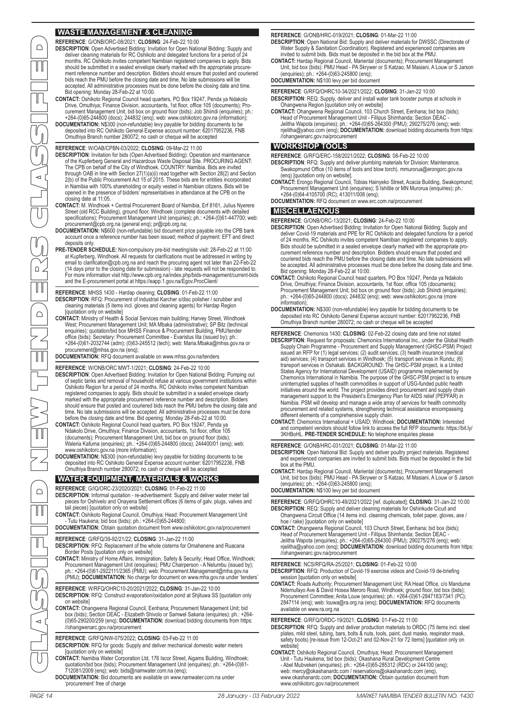# **WASTE MANAGEMENT & CLEANING**

**REFERENCE**: G/ONB/ORC-08/2021; **CLOSING**: 24-Feb-22 10:00

- **DESCRIPTION**: Open Advertised Bidding: Invitation for Open National Bidding: Supply and deliver cleaning materials for RC Oshikoto and delegated functions for a period of 24 months. RC Oshikoto invites competent Namibian registered companies to apply. Bids should be submitted in a sealed envelope clearly marked with the appropriate procurement reference number and description. Bidders should ensure that posted and couriered bids reach the PMU before the closing date and time. No late submissions will be accepted. All administrative processes must be done before the closing date and time. Bid opening: Monday 28-Feb-22 at 10:00.
- **CONTACT:** Oshikoto Regional Council head quarters, PO Box 19247, Penda ya Ndakolo<br>Drive, Omuthiya; Firance Division, accountants, 1st floor, office 105 (documents); Pro-<br>curement Management Unit, bid box on ground floor (
- 

## **REFERENCE**: W/OAB/CPBN-03/2022; **CLOSING**: 09-Mar-22 11:00

- **DESCRIPTION**: Invitation for bids (Open Advertised Bidding): Operation and maintenance of the Kupferberg General and Hazardous Waste Disposal Site. PROCURING AGENT: The CPB on behalf of the City of Windhoek. COUNTRY: Namibia. Bids are invited through OAB in line with Section 27(1)(a)(i) read together with Section 28(2) and Section 2(b) of the Public Procurement Act 15 of 2015. These bids are for entities incorporated in Namibia with 100% shareholding or equity vested in Namibian citizens. Bids will be opened in the presence of bidders' representatives in attendance at the CPB on the closing date at 11:05.
- **CONTACT:** M. Windhoek + Central Procurement Board of Namibia, Erf 8161, Julius Nyerere Street (old RCC Building), ground floor, Windhoek (complete documents with detailed<br>specifications); Procurement Management Unit (enquiries); ph.: +264-(0)61-447700; web:<br>procurement@cpb.org.na (general enq); pr@cpb.org.na
- **DOCUMENTATION:** N\$600 (non-refundable) bid document price payable into the CPB bank account once a reference number has been issued; method of payment: EFT and direct deposits only.
- **PRE-TENDER SCHEDULE:** Non-compulsory pre-bid meeting/site visit: 28-Feb-22 at 11:00<br>at Kupferberg, Windhoek. All requests for clarifications must be addressed in writing by<br>email to clarification@cpb.org.na and reach the and the E-procurement portal at https://eapp.1.gov.na/Egov.ProcClient/
- **REFERENCE**: MHSS 1430 Hardap cleaning; **CLOSING**: 01-Feb-22 11:00 **DESCRIPTION**: RFQ: Procurement of industrial Karcher s/disc polisher / scrubber and cleaning materials (5 items incl. gloves and cleaning agents) for Hardap Region [quotation only on website]
- **CONTACT:** Ministry of Health & Social Services main building; Harvey Street, Windhoek West; Procurement Management Unit; MA Mbaka (administrative); SP Bitz (technical enquiries); quotation/bid box MHSS Finance & Procurement Building, PMU/tender office (bids); Secretary: Procurement Committee - Evaristus Iita (issued by); ph.: +264-(0)61-2032744 (adm); (0)63-245512 (tech); web: Maria.Mbaka@mhss.gov.na or ment@mhss.gov.na (enq);

# **DOCUMENTATION:** RFQ document available on www.mhss.gov.na/tenders

**REFERENCE**: W/ONB/ORC MWT-1/2021; **CLOSING**: 24-Feb-22 10:00

- DESCRIPTION: Open Advertised Bidding: Invitation for Open National Bidding: Pumping out<br>of septic tanks and removal of household refuse at various government institutions within<br>Oshikoto Region for a period of 24 months. R registered companies to apply. Bids should be submitted in a sealed envelope clearly marked with the appropriate procurement reference number and description. Bidders<br>should ensure that posted and couriered bids reach the PMU before the closing date and<br>time. No late submissions will be accepted. All admin
- Ndakolo Drive, Omuthiya; Finance Division, accountants, 1st floor, office 105<br>(documents); Procurement Management Unit, bid box on ground floor (bids);<br>Waleria Kafuma (enquiries); ph.: +264-(0)65-244800 (docs); 244400/01
- www.oshikotorc.gov.na (more information);<br>**DOCUMENTATION:** N\$300 (non-refundable) levy payable for bidding documents to be<br>deposited into RC Oshikoto General Expense account number: 62017952236, FNB Omuthiya Branch number 280072; no cash or cheque will be accepted

### **WATER EQUIPMENT, MATERIALS & WORKS**

- **REFERENCE**: G/IQ/ORC-23/2020/2021; **CLOSING**: 01-Feb-22 11:00 **DESCRIPTION**: Informal quotation - re-advertisement: Supply and deliver water meter tail pieces for Oshivelo and Onayena Settlement offices (6 items of galv. plugs, valves and tail pieces) [quotation only on website]
- CONTACT: Oshikoto Regional Council, Omuthiya; Head: Procurement Management Unit<br>Tutu Haukena; bid box (bids); ph.: +264-(0)65-244800;<br>DOCUMENTATION: Obtain quotation document from www.oshikotorc.gov.na/procurement
- 
- **REFERENCE**: G/RFQ/39-92/21/22; **CLOSING**: 31-Jan-22 11:00
- **DESCRIPTION**: RFQ: Replacement of the whole cisterns for Omahenene and Ruacana Border Posts [quotation only on website]
- CONTACT: Ministry of Home Affairs, Immigration, Safety & Security; Head Office, Windhoek;<br>Procurement Management Unit (enquiries); PMU Chairperson A Nelumbu (issued by);<br>ph.: +264-(0)61-2922111/2365 (PMU); web: Procureme (PMU); **DOCUMENTATION:** No charge for document on www.mha.gov.na under 'tenders'
- **REFERENCE**: W/RFQ/OHRC10-20/2021/2022; **CLOSING**: 31-Jan-22 10:00 **DESCRIPTION:** RFQ: Construct evaporation/oxidation pond at Shjituwa SS [quotation only<br>on website]
- on website]<br>CONTACT: Ohangwena Regional Council, Eenhana; Procurement Management Unit; bid<br>box (bids); Section DEAC Elizabeth Shivolo or Samwel Sakaria (enquiries); ph.: +264-<br>(0)65-290200/259 (enq); DOCUMENTATION: downl

#### **REFERENCE**: G/RFQ/NW-075/2022; **CLOSING**: 03-Feb-22 11:00

- **DESCRIPTION**: RFQ for goods: Supply and deliver mechanical domestic water meters [quotation only on website]
- **CONTACT:** Namibia Water Corporation Ltd, 176 Iscor Street, Aigams Building, Windhoek; quotation/bid box (bids); Procurement Management Unit (enquiries); ph.: +264-(0)61- 712081/2009 (enq); web: bids@namwater.com.na (enq); **DOCUMENTATION:** Bid documents are available on www.namwater.com.na under
- 'procurement' free of charge

**REFERENCE**: G/ONB/HRC-019/2021; **CLOSING**: 01-Mar-22 11:00

- **DESCRIPTION**: Open National Bid: Supply and deliver materials for DWSSC (Directorate of Water Supply & Sanitation Coordination). Registered and experienced companies are invited to submit bids. Bids must be deposited in the bid box at the PMU.
- **CONTACT:** Hardap Regional Council, Mariental (documents); Procurement Management Unit, bid box (bids); PMU Head PA Skrywer or S Katzao, M Masiani, A Louw or S Jarson (enquiries); ph.: +264-(0)63-245800 (enq);

**DOCUMENTATION:** N\$100 levy per bid document

- **REFERENCE**: G/RFQ/OHRC10-34/2021/2022; **CLOSING**: 31-Jan-22 10:00 **DESCRIPTION**: REQ: Supply, deliver and install water tank booster pumps at schools in Ohangwena Region [quotation only on website]
- CONTACT: Ohangwena Regional Council, 103 Church Street, Eenhana; bid box (bids);<br>Head of Procurement Management Unit Fillipus Shimhanda; Section DEAC -<br>Jelitha Wapota (enquiries); ph.: +264-(0)65-264300 (PMU); 290275/276 //ohangwenarc.gov.na/procurement

## **WORKSHOP TOOLS**

**REFERENCE**: G/RFQ/ERC-158/2021/2022; **CLOSING**: 08-Feb-22 10:00

- **DESCRIPTION**: RFQ: Supply and deliver plumbing materials for Division: Maintenance, Swakopmund Office (10 items of tools and blow torch). mmurorua@erongorc.gov.na
- (enq) [quotation only on website]. **CONTACT:** Erongo Regional Council, Tobias Hainyeko Street, Acacia Building, Swakopmund; Procurement Management Unit (enquiries); S Ishitile or MN Murorua (enquiries); ph.:
- +264-(0)64-4105700 (RC); 413011/008 (enq); **DOCUMENTATION:** RFQ document on www.erc.com.na/procurement

#### **MISCELLAENOUS**

- **REFERENCE**: G/ONB/ORC-13/2021; **CLOSING**: 24-Feb-22 10:00
- **DESCRIPTION**: Open Advertised Bidding: Invitation for Open National Bidding: Supply and deliver Covid-19 materials and PPE for RC Oshikoto and delegated functions for a period of 24 months. RC Oshikoto invites competent Namibian registered companies to apply.<br>Bids should be submitted in a sealed envelope clearly marked with the appropriate pro-<br>curement reference number and description. Bidders couriered bids reach the PMU before the closing date and time. No late submissions will be accepted. All administrative processes must be done before the closing date and time. Bid opening: Monday 28-Feb-22 at 10:00.
- CONTACT: Oshikoto Regional Council head quarters, PO Box 19247, Penda ya Ndakolo<br>Drive, Omuthiya; Finance Division, accountants, 1st floor, office 105 (documents)<br>Procurement Management Unit, bid box on ground floor (bids) information);
- DOCUMENTATION: N\$300 (non-refundable) levy payable for bidding documents to be<br>deposited into RC Oshikoto General Expense account number: 62017952236, FNB<br>Omuthiya Branch number 280072; no cash or cheque will be accepted
- PAGE 14 28 January 03 February 2022 MARKET NAMIBIA TENDER BULLETIN NO. 1430 MARKET NAMIBIA TENDER BULLETIN NO. 1430 28 January 03 February 2022 PAGE 15 CLASSIFIED NEW TENDERS CLASSIFIED **REFERENCE**: Chemonics 1430; **CLOSING**: 02-Feb-22 closing date and time not stated **DESCRIPTION:** Request for proposals: Chemonics International Inc., under the Global Health<br>Supply Chain Programme - Procurement and Supply Management (GHSC-PSM) Project<br>issued an RFP for (1) legal services: (2) audit serv initiatives around the world. The project provides direct procurement and supply chain<br>management support to the President's Emergency Plan for AIDS relief (PEPFAR) in<br>Namibia. PSM will develop and manage a wide array of s
	- **CONTACT:** Chemonics International + USAID; Windhoek; **DOCUMENTATION:** Interested and competent vendors should follow link to access the full RFP documents: https://bit.ly/ 3KHBoHL. **PRE-TENDER SCHEDULE:** No telephone enquiries please

#### **REFERENCE**: G/ONB/HRC-031/2021; **CLOSING**: 01-Mar-22 11:00

**DESCRIPTION**: Open National Bid: Supply and deliver poultry project materials. Registered and experienced companies are invited to submit bids. Bids must be deposited in the bid box at the PMU.

**CONTACT:** Hardap Regional Council, Mariental (documents); Procurement Management Unit, bid box (bids); PMU Head - PA Skrywer or S Katzao, M Masiani, A Louw or S Jarson (enquiries); ph.: +264-(0)63-245800 (enq);

#### **DOCUMENTATION:** N\$100 levy per bid document

**REFERENCE**: G/RFQ/OHRC10-49/2021/2022 [ref. duplicated]; **CLOSING**: 31-Jan-22 10:00 **DESCRIPTION**: REQ: Supply and deliver cleaning materials for Oshinkude Cicuit and Ohangwena Circuit Office (14 items incl. cleaning chemicals, toilet paper, gloves, axe / hoe / rake) [quotation only on website]

- CONTACT: Ohangwena Regional Council, 103 Church Street, Eenhana; bid box (bids);<br>Head of Procurement Management Unit Fillipus Shimhanda; Section DEAC -<br>Jelitha Wapota (enquiries); ph.: +264-(0)65-264300 (PMU); 290275/276 //ohangwenarc.gov.na/procurement
- **REFERENCE**: NCS/RFQ/RA-25/2021; **CLOSING**: 01-Feb-22 10:00 **DESCRIPTION**: RFQ: Production of Covid-19 exercise videos and Covid-19 de-briefing session [quotation only on website]
- CONTACT: Roads Authority; Procurement Management Unit; RA Head Office, c/o Mandume<br>Ndemufayo Ave & David Hosea Meroro Road, Windhoek; ground floor, bid box (bids);<br>Procurement Committee; Anita Louw (enquiries); ph.: +264-( 2847114 (enq); web: louwa@ra.org.na (enq); **DOCUMENTATION:** RFQ documents available on www.ra.org.na

#### **REFERENCE**: G/RFQ/ORDC-19/2021; **CLOSING**: 01-Feb-22 11:00

- **DESCRIPTION**: RFQ: Supply and deliver production materials to ORDC (75 items incl. steel plates, mild steel, tubing, bars, bolts & nuts, tools, paint, dust masks, respirator mask, safety boots) [re-issue from 12-Oct-21 and 02-Nov-21 for 72 items] [quotation only on website]
- CONTACT: Oshikoto Regional Council, Omuthiya; Head: Procurement Management<br>Unit Tutu Haukena; bid box (bids); Okashana Rural Development Centre<br>- Abel Mubvekeri (enquiries); ph.: +264-(0)65-265312 (RDC) or 244100 (enq);<br> www.oshikotorc.gov.na/procurement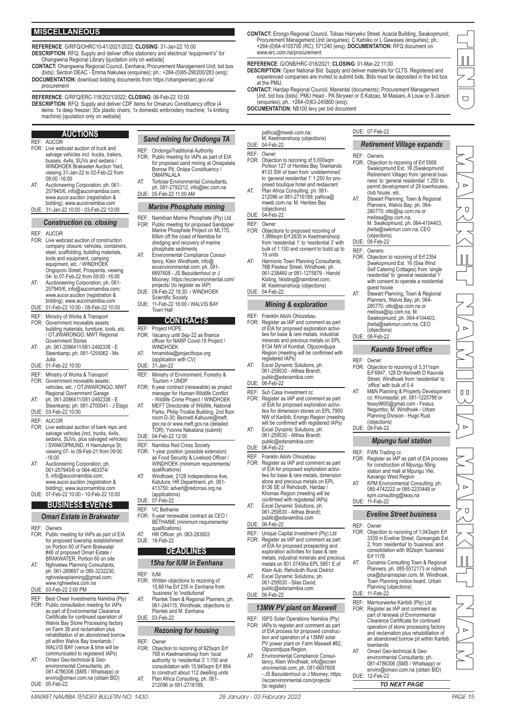### **MISCELLANEOUS**

**REFERENCE**: G/RFQ/OHRC10-41/2021/2022; **CLOSING**: 31-Jan-22 10:00 **DESCRIPTION**: RFQ: Supply and deliver office stationery and electrical "equipment's" for Ohangwena Regional Library [quotation only on website]

**CONTACT:** Ohangwena Regional Council, Eenhana; Procurement Management Unit; bid box (bids); Section DEAC - Emma Nakulwa (enquiries); ph.: +264-(0)65-290200/283 (enq); **DOCUMENTATION:** download bidding documents from https://ohangwenarc.gov.na/

#### procurement

**REFERENCE**: G/RFQ/ERC-118/2021/2022; **CLOSING**: 08-Feb-22 10:00

**DESCRIPTION**: RFQ: Supply and deliver CDF items for Omaruru Constituency office (4 items: 1x deep freezer; 30x plastic chairs; 1x domestic embroidery machine; 1x knitting

machine) [quotation only on website]

#### **AUCTIONS** REF: AUCOR

- FOR: Live webcast auction of truck and salvage vehicles incl. trucks, trailers, busses, 4x4s, SUVs and sedans / WINDHOEK Brakwater Auction Yard, viewing 31-Jan-22 to 02-Feb-22 from 09:00 -16:00
- AT: Auctioneering Corporation; ph. 061- 257945/6, info@aucornamibia.com; www.aucor.auction (registration & bidding); www.aucornamibia.com DUE: 31-Jan-22 10:00 - 03-Feb-22 10:00

#### *Construction co. closing*

#### REF: AUCOR

- FOR: Live webcast auction of construction company closure: vehicles, containers, steel, scaffolding, building materials, tools and equipment, camping equipment, etc. / WINDHOEK Ongoporo Street, Prosperita, viewing 04- to 07-Feb-22 from 09:00 -16:00
- AT: Auctioneering Corporation; ph. 061- 257945/6, info@aucornamibia.com; www.aucor.auction (registration & bidding); www.aucornamibia.com
- DUE: 01-Feb-22 10:00 08-Feb-22 10:00
- REF: Ministry of Works & Transport FOR: Government moveable assets:
- building materials, furniture, tools, etc. / OTJIWARONGO, MWT Regional Government Stores
- AT: ph. 061-2086411/081-2492338 E Steenkamp; ph. 081-1255062 Ms Julia
- DUE: 01-Feb-22 10:00
- REF: Ministry of Works & Transport<br>FOR: Government moveable assets
- FOR: Government moveable assets: vehicles, etc. / OTJIWARONGO, MWT Regional Government Garage
- AT: ph. 061-2086411/081-2492338 E Steenkamp; ph. 081-2700041 J Elago DUE: 03-Feb-22 10:00
- REF: AUCOR
- FOR: Live webcast auction of bank repo and salvage vehicles (incl. trucks, 4x4s, sedans, SUVs, plus salvaged vehicles) / SWAKOPMUND, H Hamutenya St; viewing 07- to 09-Feb-21 from 09:00 -16:00
- AT: Auctioneering Corporation; ph. 061-257945/6 or 064-463374/ 5, info@aucornamibia.com; www.aucor.auction (registration & bidding); www.aucornamibia.com DUE: 07-Feb-22 10:00 - 10-Feb-22 10:00

# **BUSINESS EVENTS**

- *Omari Estate in Brakwater*
- REF: Owners<br>FOR: Public r
- Public meeting for IAPs as part of EIA for proposed township establishment on Portion 60 of Farm Brakwater #48 of proposed Omari Estate / BRAKWATER, Portion 60 on site
- AT: Nghivelwa Planning Consultants; ph. 061-269697 or 085-3232230; nghivelwaplanning@gmail.com; www.nghiwelwa.com.na DUE: 03-Feb-22 2:00 PM
- REF: Best Cheer Investments Namibia (Pty) FOR: Public consultation meeting for IAPs as part of Environmental Clearance Certificate for continued operation of Walvis Bay Stone Processing factory on Farm 38 and reclamation plus rehabilitation of an abondoned borrow pit within Walvis Bay townlands / WALVIS BAY (venue & time will be communicated to registered IAPs)
- AT: Omavi Geo-technical & Geo-environmental Consultants; ph. 081-4786306 (SMS / Whatsapp) or enviro@omavi.com.na (obtain BID) DUE: 05-Feb-22
- *Sand mining for Ondonga TA*
- REF: OndongaTraditional Authority<br>FOR: Public meeting for IAPs as pa
- FOR: Public meeting for IAPs as part of EIA for proposed sand mining at Omapalala Borrow Pit, Oniipa Constituency / OMAPALALA
- AT: Tortoise Environmental Consultants, ph. 081-2792212, info@tec.com.na DUE: 05-Feb-22 11:00 AM

#### *Marine Phosphate mining*

- REF: Namibian Marine Phosphate (Pty) Ltd FOR: Public meeting for proposed Sandpipe FOR: Public meeting for proposed Sandpiper Marine Phosphate Project on ML170, 60km off the coast of Namibia for dredging and recovery of marine phosphate sediments AT: Environmental Compliance Consultancy, Klein Windhoek; info@ eccenvironmental.com; ph. 081-
- 6697608 JS Bezuidenhout or J Mooney; https://eccenvironmental.com/ projects/ (to register as IAP) DUE: 09-Feb-22 18:30 / WINDHOEK
- Scientific Society DUE: 11-Feb-22 16:00 / WALVIS BAY Town Hall

#### **CONTRACTS**

- REF: Project HOPE FOR: Vacancy until Sep-22 as finance officer for NARP Covid-19 Project / WINDHOFK
- AT: hrnamibia@projecthope.org (application with CV) DUE: 31-Jan-22
- REF: Ministry of Environment, Forestry & Tourism + UNDP
- FOR: 6-year contract (renewable) as project manager for Human-Wildlife Conflict - Wildlife Crime Project / WINDHOEK AT: MEFT Directorate of Wildlife, National Parks, Philip Troskie Building, 2nd floor room D-30; Bennett.Kahuure@meft.
- gov.na or www.meft.gov.na (detailed TOR); Yvonne Nakatana (submit) DUE: 04-Feb-22 12:00

# REF: Namibia Red Cross Society<br>FOR: 1-year position (possible ex-FOR: 1-year position (possible extension) as Food Security & Livelood Officer /

- WINDHOEK (minimum requirements/ qualifications) AT: Windhoek; 2128 Independence Ave,
- Katutura; HR Department, ph. 061- 413750; advert@redcross.org.na (applications) DUE: 07-Feb-22

- REF: VC Bethanie<br>FOR: 5-year reney FOR: 5-year renewable contract as CEO / BETHANIE (minimum requirements/
- qualifications) AT: HR Officer, ph. 063-283003<br>DUE: 18-Feb-22 18-Feb-22

# **DEADLINES**

## *15ha for IUM in Eenhana*

- REF: IUM<br>FOR: Writ
	- FOR: Written objections to rezoning of 15,661ha Erf 235 in Eenhana from<br>"husiness" to "institutional"
- 'business' to 'institutional' AT: Plantek Town & Regional Planners, ph. 061-244115, Windhoek; objections to Plantek and M. Eenhana DUE: 03-Feb-22

# *Rezoning for housing*

- REF: Owner<br>FOR: Object Objection to rezoning of 925sqm Erf 768 in Keetmanshoop from 'local authority' to 'residential 3' 1:150 and consolidation with 15,940sqm Erf 864 to construct about 112 dwelling units
- AT: Plan Africa Consulting, ph. 061- 212096 or 081-2716189;

(to register)

**CONTACT:** Erongo Regional Council, Tobias Hainyeko Street, Acacia Building, Swakopmund; Procurement Management Unit (enquiries); C Kahiiko or L Gawases (enquiries); ph.: +264-(0)64-4105700 (RC); 571240 (enq); **DOCUMENTATION:** RFQ document on www.erc.com.na/procurement

#### **REFERENCE**: G/ONB/HRC-018/2021; **CLOSING**: 01-Mar-22 11:00

- **DESCRIPTION**: Open National Bid: Supply and deliver materials for CLTS. Registered and experienced companies are invited to submit bids. Bids must be deposited in the bid box at the PMU.
- **CONTACT:** Hardap Regional Council, Mariental (documents); Procurement Management Unit, bid box (bids); PMU Head PA Skrywer or S Katzao, M Masiani, A Louw or S Jarson (enquiries); ph.: +264-(0)63-245800 (enq);

**DOCUMENTATION:** N\$100 levy per bid document

- PAGE 14 28 January 03 February 2022 MARKET NAMIBIA TENDER BULLETIN NO. 1430 MARKET NAMIBIA TENDER BULLETIN NO. 1430 MARKET NAMIBIA TENDER BULLETIN NO. 1430 MARKET NAMIBIA TENDER BULLETIN NO. 1430 MARKET NAMIBIA TENDER BU pafrica@mweb.com.na; M. Keetmanshoop (objections) DUE: 04-Feb-22 REF: Owner<br>FOR: Objecti Objection to rezoning of 5,000sqm Portion 127 of Henties Bay Townlands #133 SW of town from 'undetermined' to 'general residential 1' 1:250 for proposed boutique hotel and restaurant AT: Plan Africa Consulting, ph. 061- 212096 or 081-2716189; pafrica@ mweb.com.na; M. Henties Bay (objections) DUE: 04-Feb-22 REF: Owner<br>FOR: Object FOR: Objections to proposed rezoning of 1,999sqm Erf 2635 in Keetmanshoop from 'residential 1' to 'residential 3' with bulk of 1:100 and consent to build up to 19 units AT: Harmonic Town Planning Consultants; 76B Pasteur Street, Windhoek; ph. 061-238460 or 081-1275879 - Harold Kisting, hkisting@namibnet.com; M. Keetmanshoop (objections) DUE: 04-Feb-22 *Mining & exploration* REF: Franklin Ailohi Ohiozebau<br>FOR: Register as IAP and comp FOR: Register as IAP and comment as part of EIA for proposed exploration activi-ties for base & rare metals, industrial minerals and precious metals on EPL 8134 NW of Kombat, Otjozondjupa Region (meeting will be confirmed with registered IAPs) AT: Excel Dynamic Solutions, ph. 061-259530 - Althea Brandt; public@edsnamibia.com DUE: 06-Feb-22 REF: Suh Casa Investment cc FOR: Register as IAP and comment as part of EIA for proposed exploration activities for dimension stones on EPL 7950 NW of Karibib, Erongo Region (meeting will be confirmed with registered IAPs) AT: Excel Dynamic Solutions, ph. 061-259530 - Althea Brandt; public@edsnamibia.com DUE: 06-Feb-22 REF: Franklin Ailohi Ohiozebau FOR: Register as IAP and comment as part of EIA for proposed exploration activities for base & rare metals, dimension stone and precious metals on EPL 8136 SE of Rehoboth, Hardap / Khomas Region (meeting will be confirmed with registered IAPs) AT: Excel Dynamic Solutions, ph. 061-259530 - Althea Brandt; public@edsnamibia.com DUE: 06-Feb-22 REF: Unique Capital Investment (Pty) Ltd FOR: Register as IAP and comment as part of EIA for proposed prospecting and exploration activities for base & rare metals, industrial minerals and precious metals on 801.0745ha EPL 5851 E of Klein Aub, Rehoboth Rural District AT: Excel Dynamic Solutions, ph. 061-259530 - Silas David; public@edsnamibia.com DUE: 06-Feb-22 *13MW PV plant on Maxwell* REF: ISPS Solar Operations Namibia (Pty)  $FOR: IAPS$  to register and comment as part of EIA process for proposed construc-tion and operation of a 13MW solar PV power plant on Farm Maxwell #82, Otjozondjupa Region, AT: Environmental Compliance Consultancy, Klein Windhoek; info@eccen vironmental.com; ph. 081-6697608 - JS Bezuidenhout or J Mooney; https: //eccenvironmental.com/projects/ DUE: 07-Feb-22 *Retirement Village expands* REF: Owners<br>FOR: Objectie Objection to rezoning of Erf 5568 Swakopmund Ext. 16 (Swakopmund Retirement Village) from 'general business' to 'general residential' 1:250 to permit development of 29 townhouses, club house, etc. (objections) DUE: 08-Feb-22 REF: Owners<br>FOR: Objectic guest house<br>AT: Stewart Planning, Town & Regional<br>Planners, Walvis Bay; ph. 064-<br>280770; otto@sp.com.na or<br>melissa@sp.com.na; M. (objections) DUE: 08-Feb-22 REF: Owner<br>FOR: Object 'office' with bulk of 0.4 (objections) DUE: 09-Feb-22 REF: FWN Trading cc<br>FOR: Register as IAP Kavango West Region kpm.consulting@iway.na DUE: 11-Feb-22 REF: Owner<br>FOR: Object Erf 1176 AT: Dunamis Consulting Town & Regional Planning (objections) DUE: 11-Feb-22 townlands DUE: 12-Feb-22
	- AT: Stewart Planning, Town & Regional Planners, Walvis Bay; ph. 064- 280770; otto@sp.com.na or melissa@sp.com.na; M. Swakopmund, ph. 064-4104403, jheita@swkmun.com.na; CEO
		- Objection to rezoning of Erf 2354 Swakopmund Ext. 16 (Sea Wind Self Catering Cottages) from 'single
	- residential' to 'general residential 1' with consent to operate a residential
	- Swakopmund, ph. 064-4104403, jheita@swkmun.com.na; CEO

#### *Kaunda Street office*

- Objection to rezoning of 3,311sqm Erf 6847, 128 Dr Kenneth D Kaunda Street, Windhoek from 'residential' to
- AT: M&N Planning & Property Development cc; Khomasdal; ph. 081-1225788 or fessy9800@gmail.com - Festus Negumbo; M. Windhoek - Urban Planning Division - Hugo Rust

#### *Mpungu fuel station*

- FOR: Register as IAP as part of EIA process for construction of Mpungu filling station and mall at Mpungu Vlei,
- AT: KPM Environmental Consulting; ph. 085-4742222 or 085-2233448 or

## *Eveline Street business*

- FOR: Objection to rezoning of 1,043sqm Erf 3339 in Eveline Street, Goreangab Ext. 2, from 'residential' to 'business' and consolidation with 902sqm 'business'
	- Planners, ph. 085-5512173 or ndimuh ona@dunamisplan.com; M. Windhoek, Town Planning notice board, Urban
- REF: Marmorwerke Karibib (Pty) Ltd<br>FOR: Register as IAP and comment a Format Format Format Comment as Register as IAP and comment as part of renewal of Environmental Clearance Certificate for continued operation of stone processing factory and reclamation plus rehabilitation of an abandoned borrow pit within Karibib
- AT: Omavi Geo-technical & Geoenvironmental Consultants; ph. 081-4786306 (SMS / Whatsapp) or enviro@omavi.com.na (obtain BID)

*TO NEXT PAGE*

TEND